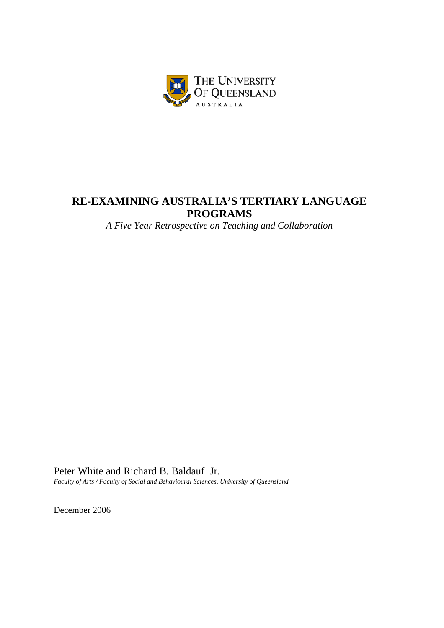

# **RE-EXAMINING AUSTRALIA'S TERTIARY LANGUAGE PROGRAMS**

*A Five Year Retrospective on Teaching and Collaboration* 

Peter White and Richard B. Baldauf Jr. *Faculty of Arts / Faculty of Social and Behavioural Sciences, University of Queensland* 

December 2006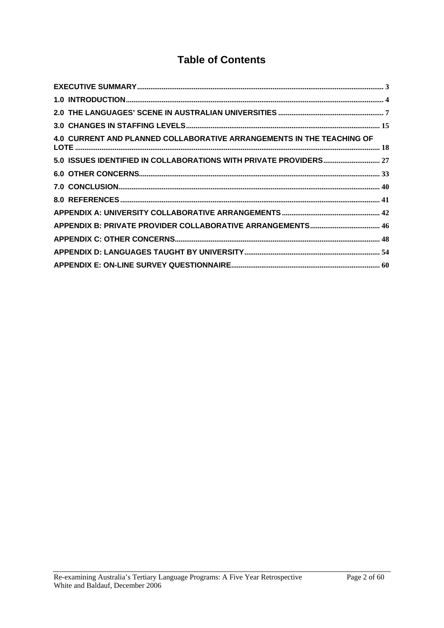# **Table of Contents**

| 4.0 CURRENT AND PLANNED COLLABORATIVE ARRANGEMENTS IN THE TEACHING OF |
|-----------------------------------------------------------------------|
|                                                                       |
|                                                                       |
|                                                                       |
|                                                                       |
|                                                                       |
|                                                                       |
|                                                                       |
|                                                                       |
|                                                                       |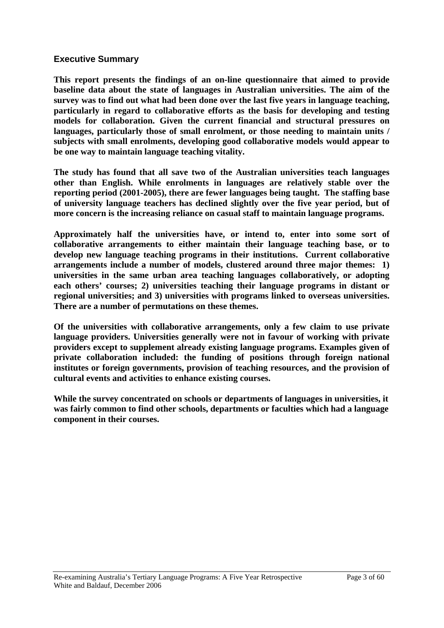#### <span id="page-2-0"></span>**Executive Summary**

**This report presents the findings of an on-line questionnaire that aimed to provide baseline data about the state of languages in Australian universities. The aim of the survey was to find out what had been done over the last five years in language teaching, particularly in regard to collaborative efforts as the basis for developing and testing models for collaboration. Given the current financial and structural pressures on languages, particularly those of small enrolment, or those needing to maintain units / subjects with small enrolments, developing good collaborative models would appear to be one way to maintain language teaching vitality.** 

**The study has found that all save two of the Australian universities teach languages other than English. While enrolments in languages are relatively stable over the reporting period (2001-2005), there are fewer languages being taught. The staffing base of university language teachers has declined slightly over the five year period, but of more concern is the increasing reliance on casual staff to maintain language programs.** 

**Approximately half the universities have, or intend to, enter into some sort of collaborative arrangements to either maintain their language teaching base, or to develop new language teaching programs in their institutions. Current collaborative arrangements include a number of models, clustered around three major themes: 1) universities in the same urban area teaching languages collaboratively, or adopting each others' courses; 2) universities teaching their language programs in distant or regional universities; and 3) universities with programs linked to overseas universities. There are a number of permutations on these themes.** 

**Of the universities with collaborative arrangements, only a few claim to use private language providers. Universities generally were not in favour of working with private providers except to supplement already existing language programs. Examples given of private collaboration included: the funding of positions through foreign national institutes or foreign governments, provision of teaching resources, and the provision of cultural events and activities to enhance existing courses.** 

**While the survey concentrated on schools or departments of languages in universities, it was fairly common to find other schools, departments or faculties which had a language component in their courses.**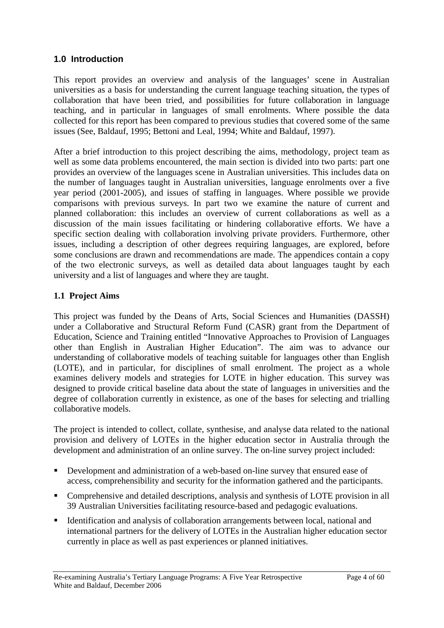### <span id="page-3-0"></span>**1.0 Introduction**

This report provides an overview and analysis of the languages' scene in Australian universities as a basis for understanding the current language teaching situation, the types of collaboration that have been tried, and possibilities for future collaboration in language teaching, and in particular in languages of small enrolments. Where possible the data collected for this report has been compared to previous studies that covered some of the same issues (See, Baldauf, 1995; Bettoni and Leal, 1994; White and Baldauf, 1997).

After a brief introduction to this project describing the aims, methodology, project team as well as some data problems encountered, the main section is divided into two parts: part one provides an overview of the languages scene in Australian universities. This includes data on the number of languages taught in Australian universities, language enrolments over a five year period (2001-2005), and issues of staffing in languages. Where possible we provide comparisons with previous surveys. In part two we examine the nature of current and planned collaboration: this includes an overview of current collaborations as well as a discussion of the main issues facilitating or hindering collaborative efforts. We have a specific section dealing with collaboration involving private providers. Furthermore, other issues, including a description of other degrees requiring languages, are explored, before some conclusions are drawn and recommendations are made. The appendices contain a copy of the two electronic surveys, as well as detailed data about languages taught by each university and a list of languages and where they are taught.

### **1.1 Project Aims**

This project was funded by the Deans of Arts, Social Sciences and Humanities (DASSH) under a Collaborative and Structural Reform Fund (CASR) grant from the Department of Education, Science and Training entitled "Innovative Approaches to Provision of Languages other than English in Australian Higher Education". The aim was to advance our understanding of collaborative models of teaching suitable for languages other than English (LOTE), and in particular, for disciplines of small enrolment. The project as a whole examines delivery models and strategies for LOTE in higher education. This survey was designed to provide critical baseline data about the state of languages in universities and the degree of collaboration currently in existence, as one of the bases for selecting and trialling collaborative models.

The project is intended to collect, collate, synthesise, and analyse data related to the national provision and delivery of LOTEs in the higher education sector in Australia through the development and administration of an online survey. The on-line survey project included:

- Development and administration of a web-based on-line survey that ensured ease of access, comprehensibility and security for the information gathered and the participants.
- Comprehensive and detailed descriptions, analysis and synthesis of LOTE provision in all 39 Australian Universities facilitating resource-based and pedagogic evaluations.
- Identification and analysis of collaboration arrangements between local, national and international partners for the delivery of LOTEs in the Australian higher education sector currently in place as well as past experiences or planned initiatives.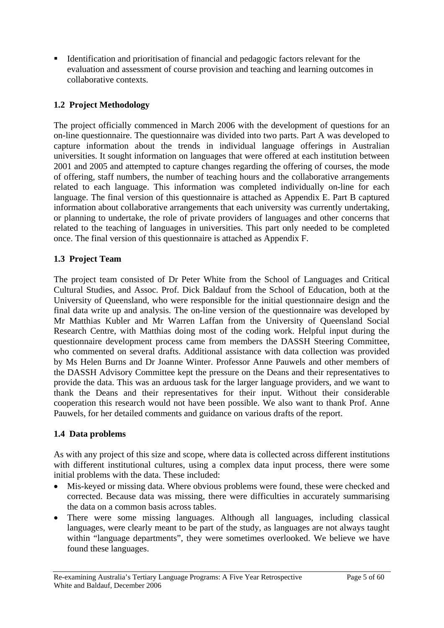Identification and prioritisation of financial and pedagogic factors relevant for the evaluation and assessment of course provision and teaching and learning outcomes in collaborative contexts.

### **1.2 Project Methodology**

The project officially commenced in March 2006 with the development of questions for an on-line questionnaire. The questionnaire was divided into two parts. Part A was developed to capture information about the trends in individual language offerings in Australian universities. It sought information on languages that were offered at each institution between 2001 and 2005 and attempted to capture changes regarding the offering of courses, the mode of offering, staff numbers, the number of teaching hours and the collaborative arrangements related to each language. This information was completed individually on-line for each language. The final version of this questionnaire is attached as Appendix E. Part B captured information about collaborative arrangements that each university was currently undertaking, or planning to undertake, the role of private providers of languages and other concerns that related to the teaching of languages in universities. This part only needed to be completed once. The final version of this questionnaire is attached as Appendix F.

### **1.3 Project Team**

The project team consisted of Dr Peter White from the School of Languages and Critical Cultural Studies, and Assoc. Prof. Dick Baldauf from the School of Education, both at the University of Queensland, who were responsible for the initial questionnaire design and the final data write up and analysis. The on-line version of the questionnaire was developed by Mr Matthias Kubler and Mr Warren Laffan from the University of Queensland Social Research Centre, with Matthias doing most of the coding work. Helpful input during the questionnaire development process came from members the DASSH Steering Committee, who commented on several drafts. Additional assistance with data collection was provided by Ms Helen Burns and Dr Joanne Winter. Professor Anne Pauwels and other members of the DASSH Advisory Committee kept the pressure on the Deans and their representatives to provide the data. This was an arduous task for the larger language providers, and we want to thank the Deans and their representatives for their input. Without their considerable cooperation this research would not have been possible. We also want to thank Prof. Anne Pauwels, for her detailed comments and guidance on various drafts of the report.

#### **1.4 Data problems**

As with any project of this size and scope, where data is collected across different institutions with different institutional cultures, using a complex data input process, there were some initial problems with the data. These included:

- Mis-keyed or missing data. Where obvious problems were found, these were checked and corrected. Because data was missing, there were difficulties in accurately summarising the data on a common basis across tables.
- There were some missing languages. Although all languages, including classical languages, were clearly meant to be part of the study, as languages are not always taught within "language departments", they were sometimes overlooked. We believe we have found these languages.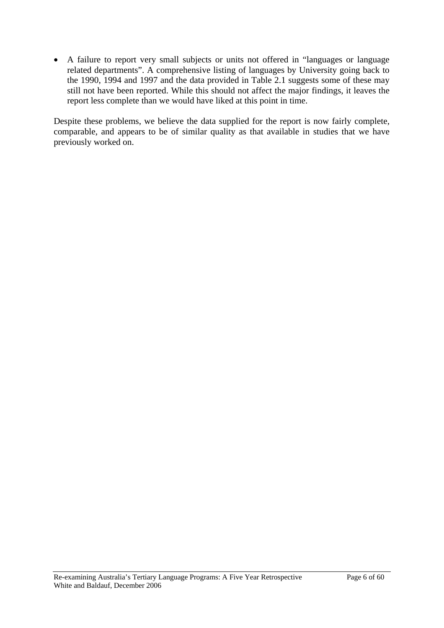• A failure to report very small subjects or units not offered in "languages or language related departments". A comprehensive listing of languages by University going back to the 1990, 1994 and 1997 and the data provided in Table 2.1 suggests some of these may still not have been reported. While this should not affect the major findings, it leaves the report less complete than we would have liked at this point in time.

Despite these problems, we believe the data supplied for the report is now fairly complete, comparable, and appears to be of similar quality as that available in studies that we have previously worked on.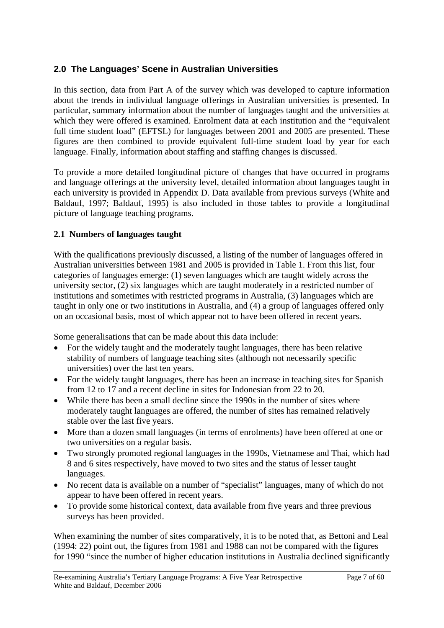### <span id="page-6-0"></span>**2.0 The Languages' Scene in Australian Universities**

In this section, data from Part A of the survey which was developed to capture information about the trends in individual language offerings in Australian universities is presented. In particular, summary information about the number of languages taught and the universities at which they were offered is examined. Enrolment data at each institution and the "equivalent full time student load" (EFTSL) for languages between 2001 and 2005 are presented. These figures are then combined to provide equivalent full-time student load by year for each language. Finally, information about staffing and staffing changes is discussed.

To provide a more detailed longitudinal picture of changes that have occurred in programs and language offerings at the university level, detailed information about languages taught in each university is provided in Appendix D. Data available from previous surveys (White and Baldauf, 1997; Baldauf, 1995) is also included in those tables to provide a longitudinal picture of language teaching programs.

### **2.1 Numbers of languages taught**

With the qualifications previously discussed, a listing of the number of languages offered in Australian universities between 1981 and 2005 is provided in Table 1. From this list, four categories of languages emerge: (1) seven languages which are taught widely across the university sector, (2) six languages which are taught moderately in a restricted number of institutions and sometimes with restricted programs in Australia, (3) languages which are taught in only one or two institutions in Australia, and (4) a group of languages offered only on an occasional basis, most of which appear not to have been offered in recent years.

Some generalisations that can be made about this data include:

- For the widely taught and the moderately taught languages, there has been relative stability of numbers of language teaching sites (although not necessarily specific universities) over the last ten years.
- For the widely taught languages, there has been an increase in teaching sites for Spanish from 12 to 17 and a recent decline in sites for Indonesian from 22 to 20.
- While there has been a small decline since the 1990s in the number of sites where moderately taught languages are offered, the number of sites has remained relatively stable over the last five years.
- More than a dozen small languages (in terms of enrolments) have been offered at one or two universities on a regular basis.
- Two strongly promoted regional languages in the 1990s, Vietnamese and Thai, which had 8 and 6 sites respectively, have moved to two sites and the status of lesser taught languages.
- No recent data is available on a number of "specialist" languages, many of which do not appear to have been offered in recent years.
- To provide some historical context, data available from five years and three previous surveys has been provided.

When examining the number of sites comparatively, it is to be noted that, as Bettoni and Leal (1994: 22) point out, the figures from 1981 and 1988 can not be compared with the figures for 1990 "since the number of higher education institutions in Australia declined significantly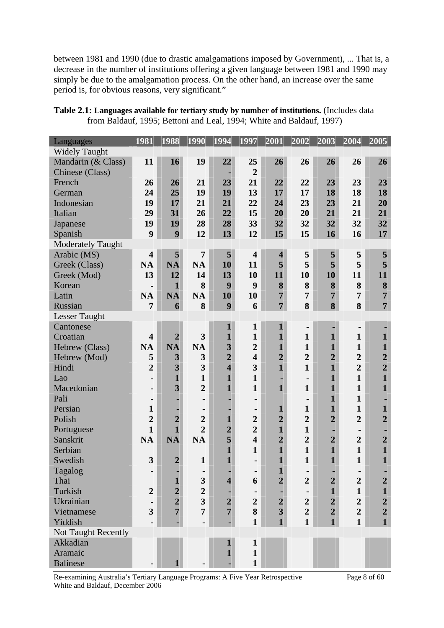between 1981 and 1990 (due to drastic amalgamations imposed by Government), ... That is, a decrease in the number of institutions offering a given language between 1981 and 1990 may simply be due to the amalgamation process. On the other hand, an increase over the same period is, for obvious reasons, very significant."

| Table 2.1: Languages available for tertiary study by number of institutions. (Includes data |
|---------------------------------------------------------------------------------------------|
| from Baldauf, 1995; Bettoni and Leal, 1994; White and Baldauf, 1997)                        |

| Languages                  | 1981                    | 1988                    | 1990                    | 1994                    | 1997                    | 2001                    | 2002           | 2003           | 2004             | 2005             |
|----------------------------|-------------------------|-------------------------|-------------------------|-------------------------|-------------------------|-------------------------|----------------|----------------|------------------|------------------|
| <b>Widely Taught</b>       |                         |                         |                         |                         |                         |                         |                |                |                  |                  |
| Mandarin (& Class)         | 11                      | 16                      | 19                      | 22                      | 25                      | 26                      | 26             | 26             | 26               | 26               |
| Chinese (Class)            |                         |                         |                         | ٠                       | $\overline{2}$          |                         |                |                |                  |                  |
| French                     | 26                      | 26                      | 21                      | 23                      | 21                      | 22                      | 22             | 23             | 23               | 23               |
| German                     | 24                      | 25                      | 19                      | 19                      | 13                      | 17                      | 17             | 18             | 18               | 18               |
| Indonesian                 | 19                      | 17                      | 21                      | 21                      | 22                      | 24                      | 23             | 23             | 21               | 20               |
| Italian                    | 29                      | 31                      | 26                      | 22                      | 15                      | 20                      | 20             | 21             | 21               | 21               |
| Japanese                   | 19                      | 19                      | 28                      | 28                      | 33                      | 32                      | 32             | 32             | 32               | 32               |
| Spanish                    | 9                       | 9                       | 12                      | 13                      | 12                      | 15                      | 15             | 16             | 16               | 17               |
| <b>Moderately Taught</b>   |                         |                         |                         |                         |                         |                         |                |                |                  |                  |
| Arabic (MS)                | $\overline{\mathbf{4}}$ | 5                       | $\overline{7}$          | 5                       | $\overline{\mathbf{4}}$ | $\overline{\mathbf{4}}$ | 5              | 5              | 5                | 5                |
| Greek (Class)              | <b>NA</b>               | <b>NA</b>               | <b>NA</b>               | 10                      | 11                      | 5                       | 5              | 5              | 5                | 5                |
| Greek (Mod)                | 13                      | 12                      | 14                      | 13                      | 10                      | 11                      | 10             | 10             | 11               | 11               |
| Korean                     | $\blacksquare$          | $\mathbf{1}$            | 8                       | 9                       | 9                       | 8                       | 8              | 8              | 8                | 8                |
| Latin                      | <b>NA</b>               | <b>NA</b>               | <b>NA</b>               | 10                      | 10                      | $\overline{7}$          | 7              | $\overline{7}$ | $\overline{7}$   | $\overline{7}$   |
| Russian                    | 7                       | 6                       | 8                       | 9                       | 6                       | $\overline{7}$          | 8              | 8              | 8                | $\overline{7}$   |
| <b>Lesser Taught</b>       |                         |                         |                         |                         |                         |                         |                |                |                  |                  |
| Cantonese                  |                         |                         |                         | $\mathbf{1}$            | $\mathbf{1}$            | $\mathbf{1}$            | ۰              | ٠              |                  |                  |
| Croatian                   | $\overline{\mathbf{4}}$ | $\overline{2}$          | 3                       | $\mathbf{1}$            | $\mathbf{1}$            | $\mathbf{1}$            | $\mathbf{1}$   | $\mathbf{1}$   | $\mathbf{1}$     | $\mathbf{1}$     |
| Hebrew (Class)             | <b>NA</b>               | <b>NA</b>               | <b>NA</b>               | $\overline{\mathbf{3}}$ | $\overline{2}$          | $\mathbf{1}$            | $\mathbf{1}$   | $\mathbf{1}$   | $\mathbf{1}$     | $\mathbf{1}$     |
| Hebrew (Mod)               | 5                       | 3                       | 3                       | $\overline{2}$          | $\overline{\mathbf{4}}$ | $\overline{2}$          | $\overline{2}$ | $\overline{2}$ | $\overline{2}$   | $\overline{2}$   |
| Hindi                      | $\overline{2}$          | $\overline{\mathbf{3}}$ | 3                       | $\overline{\mathbf{4}}$ | 3                       | $\mathbf{1}$            | $\mathbf{1}$   | $\mathbf{1}$   | $\overline{2}$   | $\overline{2}$   |
| Lao                        |                         | $\mathbf{1}$            | $\mathbf{1}$            | $\mathbf{1}$            | $\mathbf{1}$            | ٠                       | $\blacksquare$ | $\mathbf{1}$   | $\mathbf{1}$     | $\mathbf{1}$     |
| Macedonian                 | ٠                       | 3                       | $\overline{2}$          | $\mathbf{1}$            | $\mathbf{1}$            | $\mathbf{1}$            | $\mathbf{1}$   | $\mathbf{1}$   | $\mathbf{1}$     | $\mathbf{1}$     |
| Pali                       | ٠                       |                         |                         |                         | -                       |                         | ٠              | $\mathbf{1}$   | $\mathbf{1}$     |                  |
| Persian                    | $\mathbf{1}$            |                         |                         |                         | ۰                       | $\mathbf{1}$            | $\mathbf{1}$   | $\mathbf{1}$   | $\mathbf{1}$     | $\mathbf{1}$     |
| Polish                     | $\overline{2}$          | $\overline{2}$          | $\overline{2}$          | $\mathbf{1}$            | $\overline{2}$          | $\overline{2}$          | $\overline{2}$ | $\overline{2}$ | $\overline{2}$   | $\overline{2}$   |
| Portuguese                 | $\mathbf{1}$            | $\mathbf{1}$            | $\overline{2}$          | $\overline{2}$          | $\overline{2}$          | $\mathbf{1}$            | $\mathbf{1}$   | ٠              |                  |                  |
| Sanskrit                   | <b>NA</b>               | <b>NA</b>               | <b>NA</b>               | 5                       | $\overline{\mathbf{4}}$ | $\overline{2}$          | $\overline{2}$ | $\overline{2}$ | $\overline{2}$   | $\overline{2}$   |
| Serbian                    |                         |                         |                         | $\mathbf{1}$            | $\mathbf{1}$            | $\mathbf{1}$            | $\mathbf{1}$   | $\mathbf{1}$   | $\mathbf{1}$     | $\mathbf{1}$     |
| Swedish                    | 3                       | $\overline{2}$          | $\mathbf{1}$            | $\mathbf{1}$            | $\blacksquare$          | $\mathbf{1}$            | $\mathbf{1}$   | $\mathbf{1}$   | $\mathbf{1}$     | $\mathbf{1}$     |
| Tagalog                    |                         |                         |                         |                         |                         | $\mathbf{1}$            |                |                |                  |                  |
| Thai                       |                         | $\mathbf{1}$            | 3                       | $\overline{\mathbf{4}}$ | 6                       | $\overline{2}$          | $\overline{2}$ | $\overline{2}$ | $\overline{2}$   | $\boldsymbol{2}$ |
| Turkish                    | $\overline{2}$          | $\overline{2}$          | $\boldsymbol{2}$        |                         |                         |                         | $\blacksquare$ | $\mathbf{1}$   | $\mathbf{1}$     | $\mathbf{1}$     |
| Ukrainian                  |                         | $\overline{2}$          | $\overline{\mathbf{3}}$ | $\overline{2}$          | $\overline{2}$          | $\boldsymbol{2}$        | $\overline{2}$ | $\overline{2}$ | $\boldsymbol{2}$ | $\boldsymbol{2}$ |
| Vietnamese                 | 3                       | $\overline{7}$          | $\overline{7}$          | $\overline{7}$          | 8                       | $\overline{\mathbf{3}}$ | $\overline{2}$ | $\overline{2}$ | $\boldsymbol{2}$ | $\overline{2}$   |
| Yiddish                    |                         |                         |                         |                         | $\mathbf{1}$            | $\mathbf{1}$            | $\mathbf{1}$   | $\mathbf{1}$   | $\mathbf{1}$     | $\mathbf{1}$     |
| <b>Not Taught Recently</b> |                         |                         |                         |                         |                         |                         |                |                |                  |                  |
| Akkadian                   |                         |                         |                         | $\mathbf{1}$            | $\mathbf{1}$            |                         |                |                |                  |                  |
| Aramaic                    |                         |                         |                         | $\mathbf{1}$            | $\mathbf{1}$            |                         |                |                |                  |                  |
| <b>Balinese</b>            |                         | 1                       |                         |                         | $\mathbf{1}$            |                         |                |                |                  |                  |

Re-examining Australia's Tertiary Language Programs: A Five Year Retrospective Page 8 of 60 White and Baldauf, December 2006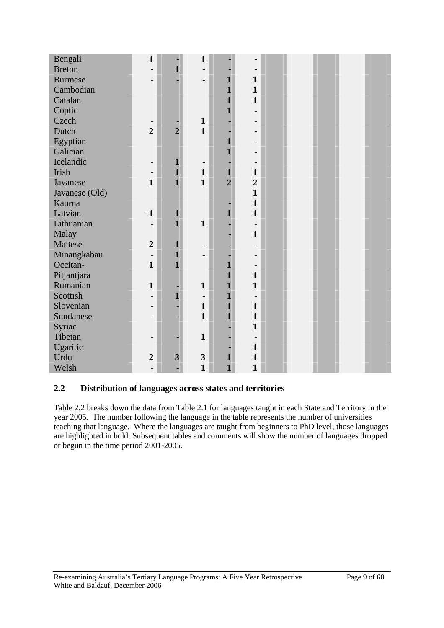| Bengali        | $\mathbf{1}$     |                | $\mathbf{1}$             |                |                |  |  |  |
|----------------|------------------|----------------|--------------------------|----------------|----------------|--|--|--|
| <b>Breton</b>  | Ξ.               | $\mathbf{1}$   | -                        |                |                |  |  |  |
| <b>Burmese</b> | -                |                | -                        | $\mathbf{1}$   | $\mathbf{1}$   |  |  |  |
| Cambodian      |                  |                |                          | $\mathbf{1}$   | $\mathbf{1}$   |  |  |  |
| Catalan        |                  |                |                          | $\mathbf{1}$   | $\mathbf{1}$   |  |  |  |
| Coptic         |                  |                |                          | $\mathbf{1}$   |                |  |  |  |
| Czech          |                  |                | $\mathbf{1}$             |                |                |  |  |  |
| Dutch          | $\overline{2}$   | $\overline{2}$ | $\mathbf{1}$             |                |                |  |  |  |
| Egyptian       |                  |                |                          | $\mathbf{1}$   |                |  |  |  |
| Galician       |                  |                |                          | $\mathbf{1}$   |                |  |  |  |
| Icelandic      | -                | $\mathbf{1}$   | $\blacksquare$           |                |                |  |  |  |
| Irish          | -                | $\mathbf{1}$   | $\mathbf{1}$             | $\mathbf{1}$   | $\mathbf{1}$   |  |  |  |
| Javanese       | $\mathbf{1}$     | $\mathbf{1}$   | $\mathbf{1}$             | $\overline{2}$ | $\overline{2}$ |  |  |  |
| Javanese (Old) |                  |                |                          |                | $\mathbf{1}$   |  |  |  |
| Kaurna         |                  |                |                          |                | $\mathbf{1}$   |  |  |  |
| Latvian        | $-1$             | $\mathbf{1}$   |                          | $\mathbf{1}$   | $\mathbf{1}$   |  |  |  |
| Lithuanian     | -                | $\mathbf{1}$   | $\mathbf{1}$             |                | $\blacksquare$ |  |  |  |
| Malay          |                  |                |                          |                | $\mathbf{1}$   |  |  |  |
| Maltese        | $\overline{2}$   | $\mathbf{1}$   |                          |                |                |  |  |  |
| Minangkabau    |                  | $\mathbf{1}$   |                          |                |                |  |  |  |
| Occitan-       | $\mathbf{1}$     | $\mathbf{1}$   |                          | $\mathbf{1}$   |                |  |  |  |
| Pitjantjara    |                  |                |                          | $\mathbf{1}$   | $\mathbf{1}$   |  |  |  |
| Rumanian       | $\mathbf{1}$     |                | $\mathbf{1}$             | $\mathbf{1}$   | $\mathbf{1}$   |  |  |  |
| Scottish       | -                | $\mathbf{1}$   | $\overline{\phantom{0}}$ | $\mathbf{1}$   |                |  |  |  |
| Slovenian      | -                |                | $\mathbf{1}$             | $\mathbf{1}$   | $\mathbf{1}$   |  |  |  |
| Sundanese      |                  |                | $\mathbf{1}$             | $\mathbf{1}$   | $\mathbf{1}$   |  |  |  |
| Syriac         |                  |                |                          |                | $\mathbf{1}$   |  |  |  |
| Tibetan        | -                |                | $\mathbf{1}$             |                | $\blacksquare$ |  |  |  |
| Ugaritic       |                  |                |                          |                | $\mathbf{1}$   |  |  |  |
| Urdu           | $\boldsymbol{2}$ | 3              | 3                        | $\mathbf{1}$   | $\mathbf{1}$   |  |  |  |
| Welsh          |                  |                | $\mathbf{1}$             | $\mathbf{1}$   | $\mathbf{1}$   |  |  |  |

### **2.2 Distribution of languages across states and territories**

Table 2.2 breaks down the data from Table 2.1 for languages taught in each State and Territory in the year 2005. The number following the language in the table represents the number of universities teaching that language. Where the languages are taught from beginners to PhD level, those languages are highlighted in bold. Subsequent tables and comments will show the number of languages dropped or begun in the time period 2001-2005.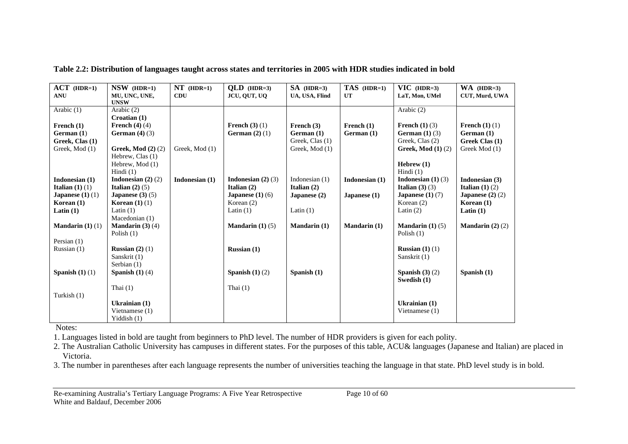| $ACT$ (HDR=1)               | $NSW$ (HDR=1)               | $NT$ (HDR=1)   | $QLD$ (HDR=3)                 | $SA$ (HDR=3)        | TAS (HDR=1)         | $\overline{VIC}$ (HDR=3)      | $WA$ (HDR=3)                |
|-----------------------------|-----------------------------|----------------|-------------------------------|---------------------|---------------------|-------------------------------|-----------------------------|
| <b>ANU</b>                  | MU, UNC, UNE,               | <b>CDU</b>     | JCU, OUT, UO                  | UA, USA, Flind      | UT                  | LaT, Mon, UMel                | CUT, Murd, UWA              |
|                             | <b>UNSW</b>                 |                |                               |                     |                     |                               |                             |
| Arabic (1)                  | Arabic (2)                  |                |                               |                     |                     | Arabic (2)                    |                             |
|                             | Croatian (1)                |                |                               |                     |                     |                               |                             |
| French (1)                  | French $(4)$ $(4)$          |                | French $(3)$ $(1)$            | French $(3)$        | French $(1)$        | <b>French</b> $(1)(3)$        | <b>French</b> $(1)(1)$      |
| German(1)                   | German $(4)$ $(3)$          |                | German $(2)$ $(1)$            | German (1)          | German (1)          | German $(1)$ $(3)$            | German (1)                  |
| Greek, Clas (1)             |                             |                |                               | Greek, Clas (1)     |                     | Greek, Clas (2)               | Greek Clas (1)              |
| Greek, Mod (1)              | <b>Greek, Mod (2) (2)</b>   | Greek, Mod (1) |                               | Greek, Mod (1)      |                     | <b>Greek, Mod (1) (2)</b>     | Greek Mod (1)               |
|                             | Hebrew, Clas (1)            |                |                               |                     |                     |                               |                             |
|                             | Hebrew, Mod (1)             |                |                               |                     |                     | Hebrew $(1)$                  |                             |
|                             | Hindi $(1)$                 |                |                               |                     |                     | Hindi $(1)$                   |                             |
| Indonesian (1)              | Indonesian $(2)$ $(2)$      | Indonesian (1) | <b>Indonesian</b> $(2)$ $(3)$ | Indonesian $(1)$    | Indonesian (1)      | <b>Indonesian</b> $(1)$ $(3)$ | Indonesian (3)              |
| Italian $(1)$ $(1)$         | Italian $(2)$ $(5)$         |                | Italian $(2)$                 | Italian $(2)$       |                     | <b>Italian</b> $(3)$ $(3)$    | Italian $(1)$ $(2)$         |
| Japanese $(1)$ $(1)$        | <b>Japanese</b> $(3)(5)$    |                | <b>Japanese</b> $(1)$ $(6)$   | Japanese $(2)$      | Japanese $(1)$      | <b>Japanese</b> $(1)$ $(7)$   | Japanese $(2)$ $(2)$        |
| Korean $(1)$                | Korean $(1)$ $(1)$          |                | Korean $(2)$                  |                     |                     | Korean $(2)$                  | Korean $(1)$                |
| Latin $(1)$                 | Latin $(1)$                 |                | Latin $(1)$                   | Latin $(1)$         |                     | Latin $(2)$                   | Latin $(1)$                 |
|                             | Macedonian (1)              |                |                               |                     |                     |                               |                             |
| <b>Mandarin</b> $(1)$ $(1)$ | <b>Mandarin</b> $(3)$ $(4)$ |                | <b>Mandarin</b> $(1)$ $(5)$   | <b>Mandarin</b> (1) | <b>Mandarin</b> (1) | <b>Mandarin</b> $(1)$ $(5)$   | <b>Mandarin</b> $(2)$ $(2)$ |
|                             | Polish $(1)$                |                |                               |                     |                     | Polish $(1)$                  |                             |
| Persian (1)                 |                             |                |                               |                     |                     |                               |                             |
| Russian (1)                 | Russian $(2)$ $(1)$         |                | Russian $(1)$                 |                     |                     | Russian $(1)$ $(1)$           |                             |
|                             | Sanskrit (1)                |                |                               |                     |                     | Sanskrit (1)                  |                             |
|                             | Serbian (1)                 |                |                               |                     |                     |                               |                             |
| Spanish $(1)$ $(1)$         | Spanish $(1)$ $(4)$         |                | Spanish $(1)$ $(2)$           | Spanish $(1)$       |                     | Spanish $(3)(2)$              | Spanish $(1)$               |
|                             |                             |                |                               |                     |                     | Swedish (1)                   |                             |
|                             | Thai $(1)$                  |                | Thai $(1)$                    |                     |                     |                               |                             |
| Turkish (1)                 |                             |                |                               |                     |                     |                               |                             |
|                             | Ukrainian (1)               |                |                               |                     |                     | Ukrainian $(1)$               |                             |
|                             | Vietnamese $(1)$            |                |                               |                     |                     | Vietnamese (1)                |                             |
|                             | Yiddish $(1)$               |                |                               |                     |                     |                               |                             |

**Table 2.2: Distribution of languages taught across states and territories in 2005 with HDR studies indicated in bold** 

Notes:

1. Languages listed in bold are taught from beginners to PhD level. The number of HDR providers is given for each polity.

2. The Australian Catholic University has campuses in different states. For the purposes of this table, ACU& languages (Japanese and Italian) are placed in Victoria.

3. The number in parentheses after each language represents the number of universities teaching the language in that state. PhD level study is in bold.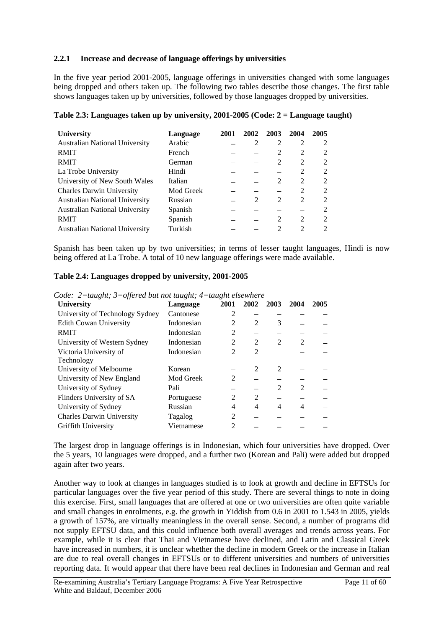#### **2.2.1 Increase and decrease of language offerings by universities**

In the five year period 2001-2005, language offerings in universities changed with some languages being dropped and others taken up. The following two tables describe those changes. The first table shows languages taken up by universities, followed by those languages dropped by universities.

| <b>University</b>                     | Language  | 2001 | 2002          | 2003           | 2004           | 2005           |
|---------------------------------------|-----------|------|---------------|----------------|----------------|----------------|
| <b>Australian National University</b> | Arabic    |      |               | 2              | 2              | 2              |
| <b>RMIT</b>                           | French    |      |               | 2              | $\overline{2}$ | 2              |
| <b>RMIT</b>                           | German    |      |               | 2              | $\overline{c}$ | 2              |
| La Trobe University                   | Hindi     |      |               |                | 2              | 2              |
| University of New South Wales         | Italian   |      |               | $\mathfrak{D}$ | 2              | 2              |
| <b>Charles Darwin University</b>      | Mod Greek |      |               |                | $\overline{c}$ | 2              |
| <b>Australian National University</b> | Russian   |      | $\mathcal{L}$ | 2              | 2              | 2              |
| <b>Australian National University</b> | Spanish   |      |               |                |                | 2              |
| <b>RMIT</b>                           | Spanish   |      |               | 2              | 2              | 2              |
| <b>Australian National University</b> | Turkish   |      |               | $\mathcal{D}$  | $\mathfrak{D}$ | $\mathfrak{D}$ |

**Table 2.3: Languages taken up by university, 2001-2005 (Code: 2 = Language taught)** 

Spanish has been taken up by two universities; in terms of lesser taught languages, Hindi is now being offered at La Trobe. A total of 10 new language offerings were made available.

|  | Table 2.4: Languages dropped by university, 2001-2005 |  |  |  |  |
|--|-------------------------------------------------------|--|--|--|--|
|--|-------------------------------------------------------|--|--|--|--|

*Code: 2=taught; 3=offered but not taught; 4=taught elsewhere* 

| <b>University</b>                | Language   | 2001           | 2002           | 2003           | 2004 | 2005 |
|----------------------------------|------------|----------------|----------------|----------------|------|------|
| University of Technology Sydney  | Cantonese  | 2              |                |                |      |      |
| <b>Edith Cowan University</b>    | Indonesian | 2              | $\mathfrak{D}$ | 3              |      |      |
| <b>RMIT</b>                      | Indonesian | 2              |                |                |      |      |
| University of Western Sydney     | Indonesian | $\overline{2}$ | 2              | $\mathfrak{D}$ | 2    |      |
| Victoria University of           | Indonesian | $\mathfrak{D}$ | $\mathfrak{D}$ |                |      |      |
| Technology                       |            |                |                |                |      |      |
| University of Melbourne          | Korean     |                | $\mathfrak{D}$ | $\mathfrak{D}$ |      |      |
| University of New England        | Mod Greek  | 2              |                |                |      |      |
| University of Sydney             | Pali       |                |                | $\mathfrak{D}$ | 2    |      |
| Flinders University of SA        | Portuguese | $\overline{c}$ | 2              |                |      |      |
| University of Sydney             | Russian    | 4              | 4              | 4              | 4    |      |
| <b>Charles Darwin University</b> | Tagalog    | $\overline{2}$ |                |                |      |      |
| Griffith University              | Vietnamese | 2              |                |                |      |      |
|                                  |            |                |                |                |      |      |

The largest drop in language offerings is in Indonesian, which four universities have dropped. Over the 5 years, 10 languages were dropped, and a further two (Korean and Pali) were added but dropped again after two years.

Another way to look at changes in languages studied is to look at growth and decline in EFTSUs for particular languages over the five year period of this study. There are several things to note in doing this exercise. First, small languages that are offered at one or two universities are often quite variable and small changes in enrolments, e.g. the growth in Yiddish from 0.6 in 2001 to 1.543 in 2005, yields a growth of 157%, are virtually meaningless in the overall sense. Second, a number of programs did not supply EFTSU data, and this could influence both overall averages and trends across years. For example, while it is clear that Thai and Vietnamese have declined, and Latin and Classical Greek have increased in numbers, it is unclear whether the decline in modern Greek or the increase in Italian are due to real overall changes in EFTSUs or to different universities and numbers of universities reporting data. It would appear that there have been real declines in Indonesian and German and real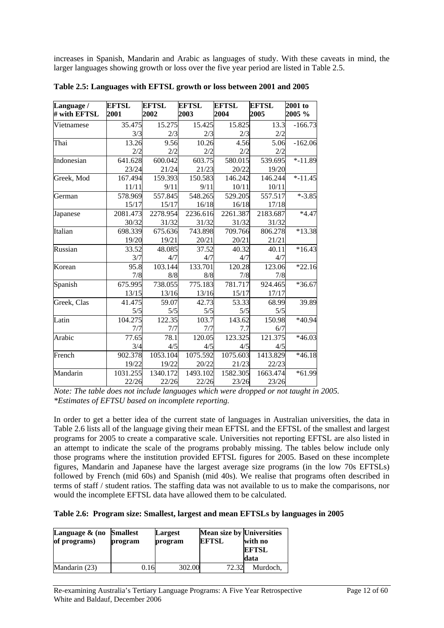increases in Spanish, Mandarin and Arabic as languages of study. With these caveats in mind, the larger languages showing growth or loss over the five year period are listed in Table 2.5.

| Language /<br># with EFTSL | <b>EFTSL</b><br>2001 | <b>EFTSL</b><br>2002 | <b>EFTSL</b><br>2003 | <b>EFTSL</b><br>2004 | <b>EFTSL</b><br>2005 | 2001 to<br>2005 % |
|----------------------------|----------------------|----------------------|----------------------|----------------------|----------------------|-------------------|
| Vietnamese                 | 35.475               | 15.275               | 15.425               | 15.825               | 13.3                 | $-166.73$         |
|                            | 3/3                  | 2/3                  | 2/3                  | 2/3                  | 2/2                  |                   |
| Thai                       | 13.26                | 9.56                 | 10.26                | 4.56                 | 5.06                 | $-162.06$         |
|                            | 2/2                  | 2/2                  | 2/2                  | 2/2                  | 2/2                  |                   |
| Indonesian                 | 641.628              | 600.042              | 603.75               | 580.015              | 539.695              | $* - 11.89$       |
|                            | 23/24                | 21/24                | 21/23                | 20/22                | 19/20                |                   |
| Greek, Mod                 | 167.494              | 159.393              | 150.583              | 146.242              | 146.244              | $* - 11.45$       |
|                            | 11/11                | 9/11                 | 9/11                 | 10/11                | 10/11                |                   |
| German                     | 578.969              | 557.845              | 548.265              | 529.205              | 557.517              | $* - 3.85$        |
|                            | 15/17                | 15/17                | 16/18                | 16/18                | 17/18                |                   |
| Japanese                   | 2081.473             | 2278.954             | 2236.616             | 2261.387             | 2183.687             | $*4.47$           |
|                            | 30/32                | 31/32                | 31/32                | 31/32                | 31/32                |                   |
| Italian                    | 698.339              | 675.636              | 743.898              | 709.766              | 806.278              | $*13.38$          |
|                            | 19/20                | 19/21                | 20/21                | 20/21                | 21/21                |                   |
| Russian                    | 33.52                | 48.085               | 37.52                | 40.32                | 40.11                | $*16.43$          |
|                            | 3/7                  | 4/7                  | 4/7                  | 4/7                  | 4/7                  |                   |
| Korean                     | 95.8                 | 103.144              | 133.701              | 120.28               | 123.06               | $*22.16$          |
|                            | 7/8                  | 8/8                  | 8/8                  | 7/8                  | 7/8                  |                   |
| Spanish                    | 675.995              | 738.055              | 775.183              | 781.717              | 924.465              | $*36.67$          |
|                            | 13/15                | 13/16                | 13/16                | 15/17                | 17/17                |                   |
| Greek, Clas                | 41.475               | 59.07                | 42.73                | 53.33                | 68.99                | 39.89             |
|                            | 5/5                  | 5/5                  | 5/5                  | 5/5                  | 5/5                  |                   |
| Latin                      | 104.275              | 122.35               | 103.7                | 143.62               | 150.98               | *40.94            |
|                            | 7/7                  | 7/7                  | 7/7                  | 7.7                  | 6/7                  |                   |
| Arabic                     | 77.65                | 78.1                 | 120.05               | 123.325              | 121.375              | $*46.03$          |
|                            | 3/4                  | 4/5                  | 4/5                  | 4/5                  | 4/5                  |                   |
| French                     | 902.378              | 1053.104             | 1075.592             | 1075.603             | 1413.829             | $*46.18$          |
|                            | 19/22                | 19/22                | 20/22                | 21/23                | 22/23                |                   |
| Mandarin                   | 1031.255             | 1340.172             | 1493.102             | 1582.305             | 1663.474             | $*61.99$          |
|                            | 22/26                | 22/26                | 22/26                | 23/26                | 23/26                |                   |

**Table 2.5: Languages with EFTSL growth or loss between 2001 and 2005** 

*Note: The table does not include languages which were dropped or not taught in 2005. \*Estimates of EFTSU based on incomplete reporting.* 

In order to get a better idea of the current state of languages in Australian universities, the data in Table 2.6 lists all of the language giving their mean EFTSL and the EFTSL of the smallest and largest programs for 2005 to create a comparative scale. Universities not reporting EFTSL are also listed in an attempt to indicate the scale of the programs probably missing. The tables below include only those programs where the institution provided EFTSL figures for 2005. Based on these incomplete figures, Mandarin and Japanese have the largest average size programs (in the low 70s EFTSLs) followed by French (mid 60s) and Spanish (mid 40s). We realise that programs often described in terms of staff / student ratios. The staffing data was not available to us to make the comparisons, nor would the incomplete EFTSL data have allowed them to be calculated.

#### **Table 2.6: Program size: Smallest, largest and mean EFTSLs by languages in 2005**

| Language $\&$ (no<br>of programs) | <b>Smallest</b><br>program | Largest<br>program | <b>Mean size by Universities</b><br><b>EFTSL</b> | with no<br><b>EFTSL</b><br>data |
|-----------------------------------|----------------------------|--------------------|--------------------------------------------------|---------------------------------|
| Mandarin (23)                     | 0.16                       | 302.00             | 72.32                                            | Murdoch.                        |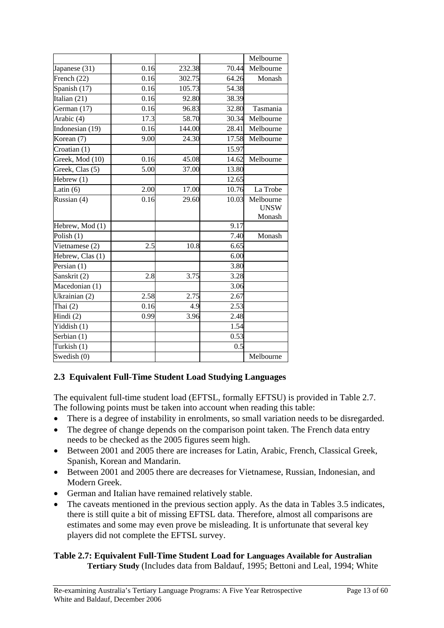|                                |      |        |       | Melbourne                |
|--------------------------------|------|--------|-------|--------------------------|
| Japanese (31)                  | 0.16 | 232.38 | 70.44 | Melbourne                |
| French (22)                    | 0.16 | 302.75 | 64.26 | Monash                   |
| Spanish (17)                   | 0.16 | 105.73 | 54.38 |                          |
| Italian (21)                   | 0.16 | 92.80  | 38.39 |                          |
| German (17)                    | 0.16 | 96.83  | 32.80 | Tasmania                 |
| Arabic (4)                     | 17.3 | 58.70  | 30.34 | Melbourne                |
| Indonesian (19)                | 0.16 | 144.00 | 28.41 | Melbourne                |
| Korean (7)                     | 9.00 | 24.30  | 17.58 | Melbourne                |
| Croatian (1)                   |      |        | 15.97 |                          |
| Greek, Mod (10)                | 0.16 | 45.08  | 14.62 | Melbourne                |
| Greek, Clas (5)                | 5.00 | 37.00  | 13.80 |                          |
| Hebrew $(1)$                   |      |        | 12.65 |                          |
| Latin $(6)$                    | 2.00 | 17.00  | 10.76 | La Trobe                 |
| Russian (4)                    | 0.16 | 29.60  | 10.03 | Melbourne<br><b>UNSW</b> |
|                                |      |        |       | Monash                   |
| Hebrew, Mod (1)                |      |        | 9.17  |                          |
| Polish (1)                     |      |        | 7.40  | Monash                   |
| Vietnamese (2)                 | 2.5  | 10.8   | 6.65  |                          |
| Hebrew, Clas (1)               |      |        | 6.00  |                          |
| Persian (1)                    |      |        | 3.80  |                          |
| Sanskrit (2)                   | 2.8  | 3.75   | 3.28  |                          |
| Macedonian (1)                 |      |        | 3.06  |                          |
| Ukrainian (2)                  | 2.58 | 2.75   | 2.67  |                          |
| Thai $(2)$                     | 0.16 | 4.9    | 2.53  |                          |
| $\overline{H}$ indi $(2)$      | 0.99 | 3.96   | 2.48  |                          |
| Yiddish (1)                    |      |        | 1.54  |                          |
| $\overline{\text{Serbian}}(1)$ |      |        | 0.53  |                          |
| Turkish (1)                    |      |        | 0.5   |                          |
| Swedish (0)                    |      |        |       | Melbourne                |

### **2.3 Equivalent Full-Time Student Load Studying Languages**

The equivalent full-time student load (EFTSL, formally EFTSU) is provided in Table 2.7. The following points must be taken into account when reading this table:

- There is a degree of instability in enrolments, so small variation needs to be disregarded.
- The degree of change depends on the comparison point taken. The French data entry needs to be checked as the 2005 figures seem high.
- Between 2001 and 2005 there are increases for Latin, Arabic, French, Classical Greek, Spanish, Korean and Mandarin.
- Between 2001 and 2005 there are decreases for Vietnamese, Russian, Indonesian, and Modern Greek.
- German and Italian have remained relatively stable.
- The caveats mentioned in the previous section apply. As the data in Tables 3.5 indicates, there is still quite a bit of missing EFTSL data. Therefore, almost all comparisons are estimates and some may even prove be misleading. It is unfortunate that several key players did not complete the EFTSL survey.

### **Table 2.7: Equivalent Full-Time Student Load for Languages Available for Australian Tertiary Study** (Includes data from Baldauf, 1995; Bettoni and Leal, 1994; White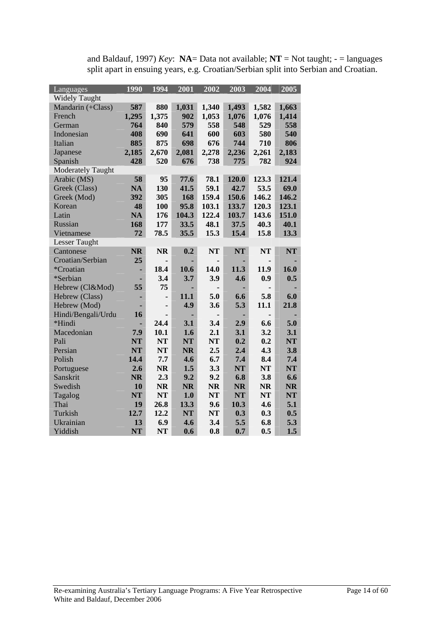| Languages                | 1990      | 1994           | 2001      | 2002      | 2003      | 2004      | 2005      |
|--------------------------|-----------|----------------|-----------|-----------|-----------|-----------|-----------|
| <b>Widely Taught</b>     |           |                |           |           |           |           |           |
| Mandarin (+Class)        | 587       | 880            | 1,031     | 1,340     | 1,493     | 1,582     | 1,663     |
| French                   | 1,295     | 1,375          | 902       | 1,053     | 1,076     | 1,076     | 1,414     |
| German                   | 764       | 840            | 579       | 558       | 548       | 529       | 558       |
| Indonesian               | 408       | 690            | 641       | 600       | 603       | 580       | 540       |
| Italian                  | 885       | 875            | 698       | 676       | 744       | 710       | 806       |
| Japanese                 | 2,185     | 2,670          | 2,081     | 2,278     | 2,236     | 2,261     | 2,183     |
| Spanish                  | 428       | 520            | 676       | 738       | 775       | 782       | 924       |
| <b>Moderately Taught</b> |           |                |           |           |           |           |           |
| Arabic (MS)              | 58        | 95             | 77.6      | 78.1      | 120.0     | 123.3     | 121.4     |
| Greek (Class)            | <b>NA</b> | 130            | 41.5      | 59.1      | 42.7      | 53.5      | 69.0      |
| Greek (Mod)              | 392       | 305            | 168       | 159.4     | 150.6     | 146.2     | 146.2     |
| Korean                   | 48        | 100            | 95.8      | 103.1     | 133.7     | 120.3     | 123.1     |
| Latin                    | <b>NA</b> | 176            | 104.3     | 122.4     | 103.7     | 143.6     | 151.0     |
| Russian                  | 168       | 177            | 33.5      | 48.1      | 37.5      | 40.3      | 40.1      |
| Vietnamese               | 72        | 78.5           | 35.5      | 15.3      | 15.4      | 15.8      | 13.3      |
| <b>Lesser Taught</b>     |           |                |           |           |           |           |           |
| Cantonese                | <b>NR</b> | <b>NR</b>      | 0.2       | <b>NT</b> | <b>NT</b> | <b>NT</b> | <b>NT</b> |
| Croatian/Serbian         | 25        |                |           |           |           |           |           |
| *Croatian                |           | 18.4           | 10.6      | 14.0      | 11.3      | 11.9      | 16.0      |
| *Serbian                 |           | 3.4            | 3.7       | 3.9       | 4.6       | 0.9       | 0.5       |
| Hebrew (Cl&Mod)          | 55        | 75             |           |           |           |           |           |
| Hebrew (Class)           |           | $\blacksquare$ | 11.1      | 5.0       | 6.6       | 5.8       | 6.0       |
| Hebrew (Mod)             |           | $\blacksquare$ | 4.9       | 3.6       | 5.3       | 11.1      | 21.8      |
| Hindi/Bengali/Urdu       | 16        |                |           |           |           |           |           |
| *Hindi                   |           | 24.4           | 3.1       | 3.4       | 2.9       | 6.6       | 5.0       |
| Macedonian               | 7.9       | 10.1           | 1.6       | 2.1       | 3.1       | 3.2       | 3.1       |
| Pali                     | <b>NT</b> | <b>NT</b>      | <b>NT</b> | <b>NT</b> | 0.2       | 0.2       | <b>NT</b> |
| Persian                  | <b>NT</b> | <b>NT</b>      | <b>NR</b> | 2.5       | 2.4       | 4.3       | 3.8       |
| Polish                   | 14.4      | 7.7            | 4.6       | 6.7       | 7.4       | 8.4       | 7.4       |
| Portuguese               | 2.6       | <b>NR</b>      | 1.5       | 3.3       | <b>NT</b> | <b>NT</b> | <b>NT</b> |
| Sanskrit                 | <b>NR</b> | 2.3            | 9.2       | 9.2       | 6.8       | 3.8       | 6.6       |
| Swedish                  | 10        | <b>NR</b>      | <b>NR</b> | <b>NR</b> | <b>NR</b> | <b>NR</b> | <b>NR</b> |
| Tagalog                  | <b>NT</b> | <b>NT</b>      | 1.0       | <b>NT</b> | <b>NT</b> | <b>NT</b> | <b>NT</b> |
| Thai                     | 19        | 26.8           | 13.3      | 9.6       | 10.3      | 4.6       | 5.1       |
| Turkish                  | 12.7      | 12.2           | <b>NT</b> | <b>NT</b> | 0.3       | 0.3       | 0.5       |
| Ukrainian                | 13        | 6.9            | 4.6       | 3.4       | 5.5       | 6.8       | 5.3       |
| Yiddish                  | <b>NT</b> | <b>NT</b>      | 0.6       | 0.8       | 0.7       | 0.5       | 1.5       |

and Baldauf, 1997) *Key*: **NA**= Data not available; **NT** = Not taught; - = languages split apart in ensuing years, e.g. Croatian/Serbian split into Serbian and Croatian.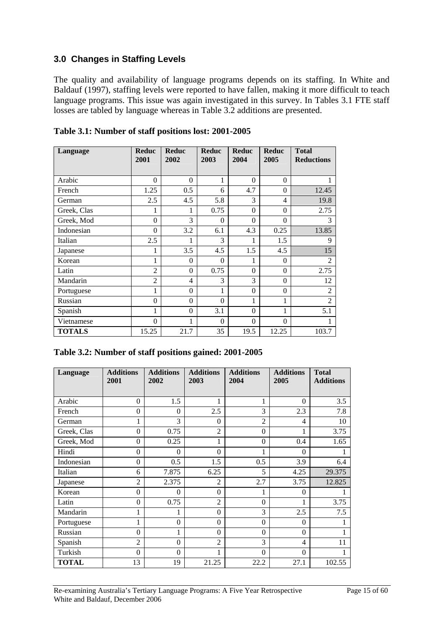### <span id="page-14-0"></span>**3.0 Changes in Staffing Levels**

The quality and availability of language programs depends on its staffing. In White and Baldauf (1997), staffing levels were reported to have fallen, making it more difficult to teach language programs. This issue was again investigated in this survey. In Tables 3.1 FTE staff losses are tabled by language whereas in Table 3.2 additions are presented.

| Language      | <b>Reduc</b><br>2001 | <b>Reduc</b><br>2002 | <b>Reduc</b><br>2003 | <b>Reduc</b><br>2004 | <b>Reduc</b><br>2005 | <b>Total</b><br><b>Reductions</b> |
|---------------|----------------------|----------------------|----------------------|----------------------|----------------------|-----------------------------------|
| Arabic        | $\Omega$             | $\Omega$             | 1                    | $\Omega$             | $\theta$             |                                   |
| French        | 1.25                 | 0.5                  | 6                    | 4.7                  | $\theta$             | 12.45                             |
| German        | 2.5                  | 4.5                  | 5.8                  | 3                    | 4                    | 19.8                              |
| Greek, Clas   | 1                    | 1                    | 0.75                 | $\theta$             | $\theta$             | 2.75                              |
| Greek, Mod    | $\theta$             | 3                    | $\theta$             | $\theta$             | $\theta$             | 3                                 |
| Indonesian    | $\theta$             | 3.2                  | 6.1                  | 4.3                  | 0.25                 | 13.85                             |
| Italian       | 2.5                  | 1                    | 3                    | 1                    | 1.5                  | 9                                 |
| Japanese      | 1                    | 3.5                  | 4.5                  | 1.5                  | 4.5                  | 15                                |
| Korean        | 1                    | $\theta$             | $\theta$             | 1                    | $\theta$             | $\overline{2}$                    |
| Latin         | $\overline{2}$       | $\theta$             | 0.75                 | $\theta$             | $\theta$             | 2.75                              |
| Mandarin      | $\overline{2}$       | $\overline{4}$       | 3                    | 3                    | $\theta$             | 12                                |
| Portuguese    | 1                    | $\theta$             | 1                    | $\Omega$             | $\theta$             | $\overline{2}$                    |
| Russian       | $\theta$             | $\theta$             | $\theta$             | 1                    | 1                    | $\overline{2}$                    |
| Spanish       | 1                    | $\theta$             | 3.1                  | $\Omega$             | 1                    | 5.1                               |
| Vietnamese    | $\theta$             | 1                    | $\theta$             | $\theta$             | $\Omega$             |                                   |
| <b>TOTALS</b> | 15.25                | 21.7                 | 35                   | 19.5                 | 12.25                | 103.7                             |

| Table 3.1: Number of staff positions lost: 2001-2005 |  |  |  |
|------------------------------------------------------|--|--|--|
|                                                      |  |  |  |

| Language     | <b>Additions</b><br>2001 | <b>Additions</b><br>2002 | <b>Additions</b><br>2003 | <b>Additions</b><br>2004 | <b>Additions</b><br>2005 | <b>Total</b><br><b>Additions</b> |
|--------------|--------------------------|--------------------------|--------------------------|--------------------------|--------------------------|----------------------------------|
|              |                          |                          |                          |                          |                          |                                  |
| Arabic       | $\Omega$                 | 1.5                      | 1                        | 1                        | $\theta$                 | 3.5                              |
| French       | $\Omega$                 | $\theta$                 | 2.5                      | 3                        | 2.3                      | 7.8                              |
| German       | 1                        | 3                        | $\Omega$                 | $\overline{2}$           | 4                        | 10                               |
| Greek, Clas  | $\Omega$                 | 0.75                     | $\overline{2}$           | $\Omega$                 |                          | 3.75                             |
| Greek, Mod   | $\Omega$                 | 0.25                     | 1                        | $\overline{0}$           | 0.4                      | 1.65                             |
| Hindi        | $\theta$                 | $\Omega$                 | $\theta$                 |                          | 0                        |                                  |
| Indonesian   | $\Omega$                 | 0.5                      | 1.5                      | 0.5                      | 3.9                      | 6.4                              |
| Italian      | 6                        | 7.875                    | 6.25                     | 5                        | 4.25                     | 29.375                           |
| Japanese     | $\overline{2}$           | 2.375                    | 2                        | 2.7                      | 3.75                     | 12.825                           |
| Korean       | $\Omega$                 | $\theta$                 | $\theta$                 |                          | $\theta$                 |                                  |
| Latin        | $\Omega$                 | 0.75                     | $\overline{2}$           | $\boldsymbol{0}$         |                          | 3.75                             |
| Mandarin     | 1                        | 1                        | $\mathbf{0}$             | 3                        | 2.5                      | 7.5                              |
| Portuguese   |                          | $\theta$                 | $\mathbf{0}$             | $\mathbf{0}$             | $\overline{0}$           |                                  |
| Russian      | $\Omega$                 | 1                        | $\theta$                 | $\Omega$                 | $\theta$                 |                                  |
| Spanish      | $\mathfrak{D}$           | $\Omega$                 | $\overline{2}$           | 3                        | 4                        | 11                               |
| Turkish      | $\theta$                 | $\Omega$                 | 1                        | $\Omega$                 | $\theta$                 |                                  |
| <b>TOTAL</b> | 13                       | 19                       | 21.25                    | 22.2                     | 27.1                     | 102.55                           |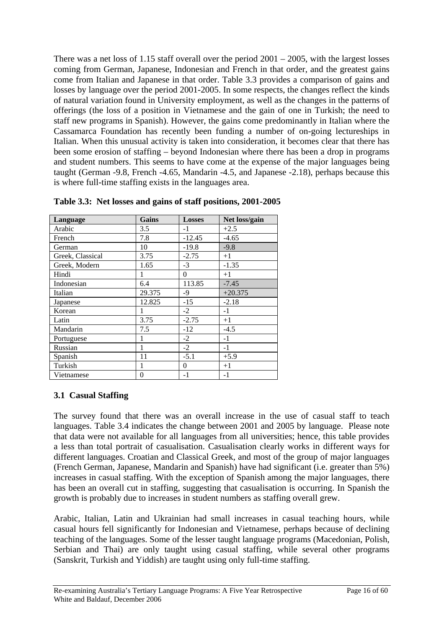There was a net loss of 1.15 staff overall over the period 2001 – 2005, with the largest losses coming from German, Japanese, Indonesian and French in that order, and the greatest gains come from Italian and Japanese in that order. Table 3.3 provides a comparison of gains and losses by language over the period 2001-2005. In some respects, the changes reflect the kinds of natural variation found in University employment, as well as the changes in the patterns of offerings (the loss of a position in Vietnamese and the gain of one in Turkish; the need to staff new programs in Spanish). However, the gains come predominantly in Italian where the Cassamarca Foundation has recently been funding a number of on-going lectureships in Italian. When this unusual activity is taken into consideration, it becomes clear that there has been some erosion of staffing – beyond Indonesian where there has been a drop in programs and student numbers. This seems to have come at the expense of the major languages being taught (German -9.8, French -4.65, Mandarin -4.5, and Japanese -2.18), perhaps because this is where full-time staffing exists in the languages area.

| Language         | Gains            | <b>Losses</b> | Net loss/gain |
|------------------|------------------|---------------|---------------|
| Arabic           | 3.5              | $-1$          | $+2.5$        |
| French           | 7.8              | $-12.45$      | $-4.65$       |
| German           | 10               | $-19.8$       | $-9.8$        |
| Greek, Classical | 3.75             | $-2.75$       | $+1$          |
| Greek, Modern    | 1.65             | $-3$          | $-1.35$       |
| Hindi            | 1                | $\mathbf{0}$  | $+1$          |
| Indonesian       | 6.4              | 113.85        | $-7.45$       |
| Italian          | 29.375           | $-9$          | $+20.375$     |
| Japanese         | 12.825           | $-15$         | $-2.18$       |
| Korean           |                  | $-2$          | $-1$          |
| Latin            | 3.75             | $-2.75$       | $+1$          |
| Mandarin         | 7.5              | $-12$         | $-4.5$        |
| Portuguese       |                  | $-2$          | $-1$          |
| Russian          | 1                | $-2$          | $-1$          |
| Spanish          | 11               | $-5.1$        | $+5.9$        |
| Turkish          | 1                | $\theta$      | $+1$          |
| Vietnamese       | $\boldsymbol{0}$ | $-1$          | $-1$          |

**Table 3.3: Net losses and gains of staff positions, 2001-2005** 

### **3.1 Casual Staffing**

The survey found that there was an overall increase in the use of casual staff to teach languages. Table 3.4 indicates the change between 2001 and 2005 by language. Please note that data were not available for all languages from all universities; hence, this table provides a less than total portrait of casualisation. Casualisation clearly works in different ways for different languages. Croatian and Classical Greek, and most of the group of major languages (French German, Japanese, Mandarin and Spanish) have had significant (i.e. greater than 5%) increases in casual staffing. With the exception of Spanish among the major languages, there has been an overall cut in staffing, suggesting that casualisation is occurring. In Spanish the growth is probably due to increases in student numbers as staffing overall grew.

Arabic, Italian, Latin and Ukrainian had small increases in casual teaching hours, while casual hours fell significantly for Indonesian and Vietnamese, perhaps because of declining teaching of the languages. Some of the lesser taught language programs (Macedonian, Polish, Serbian and Thai) are only taught using casual staffing, while several other programs (Sanskrit, Turkish and Yiddish) are taught using only full-time staffing.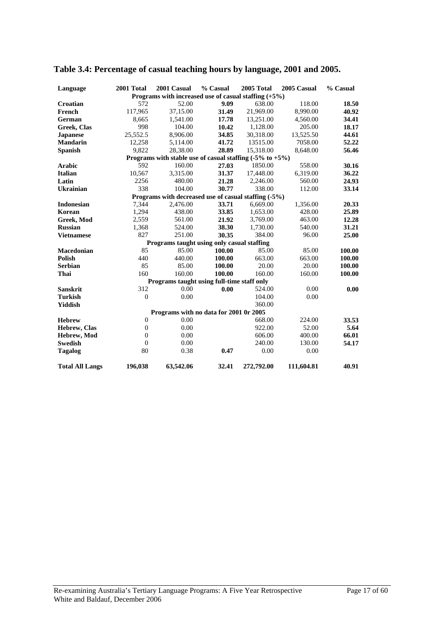| Language               | 2001 Total       | 2001 Casual                                                           | % Casual | 2005 Total | 2005 Casual | % Casual |
|------------------------|------------------|-----------------------------------------------------------------------|----------|------------|-------------|----------|
|                        |                  | Programs with increased use of casual staffing $(+5%)$                |          |            |             |          |
| Croatian               | 572              | 52.00                                                                 | 9.09     | 638.00     | 118.00      | 18.50    |
| French                 | 117,965          | 37,15.00                                                              | 31.49    | 21,969.00  | 8,990.00    | 40.92    |
| German                 | 8,665            | 1,541.00                                                              | 17.78    | 13,251.00  | 4,560.00    | 34.41    |
| Greek, Clas            | 998              | 104.00                                                                | 10.42    | 1,128.00   | 205.00      | 18.17    |
| <b>Japanese</b>        | 25,552.5         | 8,906.00                                                              | 34.85    | 30.318.00  | 13.525.50   | 44.61    |
| <b>Mandarin</b>        | 12,258           | 5,114.00                                                              | 41.72    | 13515.00   | 7058.00     | 52.22    |
| <b>Spanish</b>         | 9,822            | 28,38.00                                                              | 28.89    | 15,318.00  | 8,648.00    | 56.46    |
|                        |                  | Programs with stable use of casual staffing $(-5\% \text{ to } +5\%)$ |          |            |             |          |
| <b>Arabic</b>          | 592              | 160.00                                                                | 27.03    | 1850.00    | 558.00      | 30.16    |
| <b>Italian</b>         | 10,567           | 3,315.00                                                              | 31.37    | 17,448.00  | 6,319.00    | 36.22    |
| Latin                  | 2256             | 480.00                                                                | 21.28    | 2.246.00   | 560.00      | 24.93    |
| <b>Ukrainian</b>       | 338              | 104.00                                                                | 30.77    | 338.00     | 112.00      | 33.14    |
|                        |                  | Programs with decreased use of casual staffing (-5%)                  |          |            |             |          |
| <b>Indonesian</b>      | 7,344            | 2,476.00                                                              | 33.71    | 6,669.00   | 1,356.00    | 20.33    |
| Korean                 | 1,294            | 438.00                                                                | 33.85    | 1,653.00   | 428.00      | 25.89    |
| Greek, Mod             | 2,559            | 561.00                                                                | 21.92    | 3,769.00   | 463.00      | 12.28    |
| <b>Russian</b>         | 1,368            | 524.00                                                                | 38.30    | 1,730.00   | 540.00      | 31.21    |
| <b>Vietnamese</b>      | 827              | 251.00                                                                | 30.35    | 384.00     | 96.00       | 25.00    |
|                        |                  | Programs taught using only casual staffing                            |          |            |             |          |
| <b>Macedonian</b>      | 85               | 85.00                                                                 | 100.00   | 85.00      | 85.00       | 100.00   |
| <b>Polish</b>          | 440              | 440.00                                                                | 100.00   | 663.00     | 663.00      | 100.00   |
| <b>Serbian</b>         | 85               | 85.00                                                                 | 100.00   | 20.00      | 20.00       | 100.00   |
| Thai                   | 160              | 160.00                                                                | 100.00   | 160.00     | 160.00      | 100.00   |
|                        |                  | Programs taught using full-time staff only                            |          |            |             |          |
| <b>Sanskrit</b>        | 312              | 0.00                                                                  | 0.00     | 524.00     | 0.00        | 0.00     |
| <b>Turkish</b>         | $\theta$         | 0.00                                                                  |          | 104.00     | 0.00        |          |
| Yiddish                |                  |                                                                       |          | 360.00     |             |          |
|                        |                  | Programs with no data for 2001 0r 2005                                |          |            |             |          |
| <b>Hebrew</b>          | $\boldsymbol{0}$ | 0.00                                                                  |          | 668.00     | 224.00      | 33.53    |
| Hebrew, Clas           | $\boldsymbol{0}$ | 0.00                                                                  |          | 922.00     | 52.00       | 5.64     |
| Hebrew, Mod            | $\theta$         | 0.00                                                                  |          | 606.00     | 400.00      | 66.01    |
| <b>Swedish</b>         | $\Omega$         | 0.00                                                                  |          | 240.00     | 130.00      | 54.17    |
| <b>Tagalog</b>         | 80               | 0.38                                                                  | 0.47     | 0.00       | 0.00        |          |
| <b>Total All Langs</b> | 196,038          | 63,542.06                                                             | 32.41    | 272,792.00 | 111,604.81  | 40.91    |

### **Table 3.4: Percentage of casual teaching hours by language, 2001 and 2005.**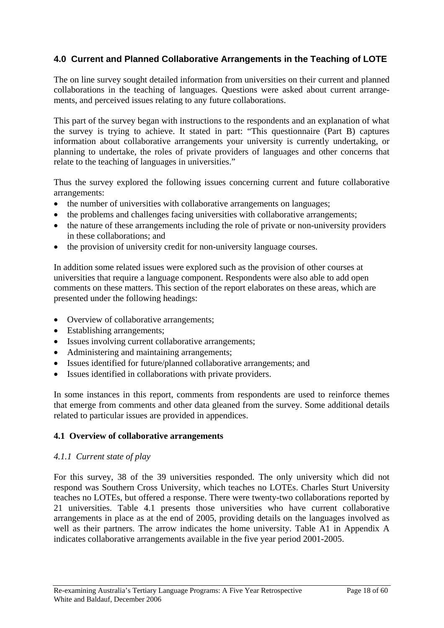## <span id="page-17-0"></span>**4.0 Current and Planned Collaborative Arrangements in the Teaching of LOTE**

The on line survey sought detailed information from universities on their current and planned collaborations in the teaching of languages. Questions were asked about current arrangements, and perceived issues relating to any future collaborations.

This part of the survey began with instructions to the respondents and an explanation of what the survey is trying to achieve. It stated in part: "This questionnaire (Part B) captures information about collaborative arrangements your university is currently undertaking, or planning to undertake, the roles of private providers of languages and other concerns that relate to the teaching of languages in universities."

Thus the survey explored the following issues concerning current and future collaborative arrangements:

- the number of universities with collaborative arrangements on languages;
- the problems and challenges facing universities with collaborative arrangements;
- the nature of these arrangements including the role of private or non-university providers in these collaborations; and
- the provision of university credit for non-university language courses.

In addition some related issues were explored such as the provision of other courses at universities that require a language component. Respondents were also able to add open comments on these matters. This section of the report elaborates on these areas, which are presented under the following headings:

- Overview of collaborative arrangements;
- Establishing arrangements;
- Issues involving current collaborative arrangements;
- Administering and maintaining arrangements;
- Issues identified for future/planned collaborative arrangements; and
- Issues identified in collaborations with private providers.

In some instances in this report, comments from respondents are used to reinforce themes that emerge from comments and other data gleaned from the survey. Some additional details related to particular issues are provided in appendices.

#### **4.1 Overview of collaborative arrangements**

#### *4.1.1 Current state of play*

For this survey, 38 of the 39 universities responded. The only university which did not respond was Southern Cross University, which teaches no LOTEs. Charles Sturt University teaches no LOTEs, but offered a response. There were twenty-two collaborations reported by 21 universities. Table 4.1 presents those universities who have current collaborative arrangements in place as at the end of 2005, providing details on the languages involved as well as their partners. The arrow indicates the home university. Table A1 in Appendix A indicates collaborative arrangements available in the five year period 2001-2005.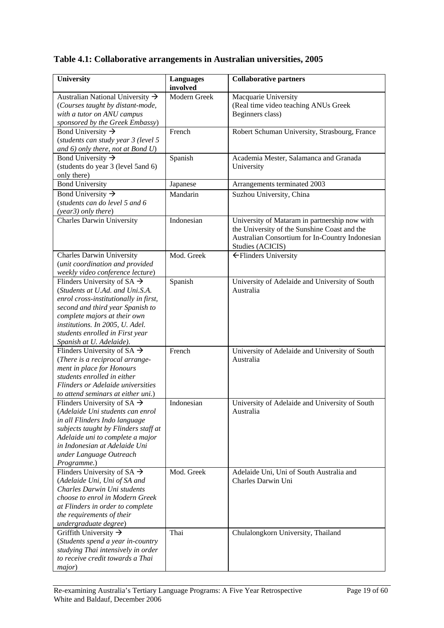### **Table 4.1: Collaborative arrangements in Australian universities, 2005**

| University                                                        | <b>Languages</b> | <b>Collaborative partners</b>                   |
|-------------------------------------------------------------------|------------------|-------------------------------------------------|
|                                                                   | involved         |                                                 |
| Australian National University $\rightarrow$                      | Modern Greek     | Macquarie University                            |
| (Courses taught by distant-mode,                                  |                  | (Real time video teaching ANUs Greek            |
| with a tutor on ANU campus                                        |                  | Beginners class)                                |
| sponsored by the Greek Embassy)                                   |                  |                                                 |
| Bond University $\rightarrow$                                     | French           | Robert Schuman University, Strasbourg, France   |
| (students can study year 3 (level 5                               |                  |                                                 |
| and $6$ ) only there, not at Bond $U$ )                           |                  |                                                 |
| Bond University $\rightarrow$                                     | Spanish          | Academia Mester, Salamanca and Granada          |
| (students do year 3 (level 5and 6)                                |                  | University                                      |
| only there)                                                       |                  |                                                 |
| <b>Bond University</b>                                            | Japanese         | Arrangements terminated 2003                    |
| Bond University $\rightarrow$                                     | Mandarin         | Suzhou University, China                        |
| (students can do level 5 and 6                                    |                  |                                                 |
| (year3) only there)                                               |                  |                                                 |
| <b>Charles Darwin University</b>                                  | Indonesian       | University of Mataram in partnership now with   |
|                                                                   |                  | the University of the Sunshine Coast and the    |
|                                                                   |                  | Australian Consortium for In-Country Indonesian |
|                                                                   |                  | Studies (ACICIS)                                |
| <b>Charles Darwin University</b>                                  | Mod. Greek       | ← Flinders University                           |
| (unit coordination and provided                                   |                  |                                                 |
| weekly video conference lecture)                                  |                  |                                                 |
| Flinders University of SA $\rightarrow$                           | Spanish          | University of Adelaide and University of South  |
| (Students at U.Ad. and Uni.S.A.                                   |                  | Australia                                       |
| enrol cross-institutionally in first,                             |                  |                                                 |
| second and third year Spanish to                                  |                  |                                                 |
| complete majors at their own                                      |                  |                                                 |
| institutions. In 2005, U. Adel.                                   |                  |                                                 |
| students enrolled in First year                                   |                  |                                                 |
| Spanish at U. Adelaide).                                          |                  |                                                 |
| Flinders University of SA $\rightarrow$                           | French           | University of Adelaide and University of South  |
| (There is a reciprocal arrange-                                   |                  | Australia                                       |
| ment in place for Honours                                         |                  |                                                 |
| students enrolled in either                                       |                  |                                                 |
| Flinders or Adelaide universities                                 |                  |                                                 |
| to attend seminars at either uni.)                                | Indonesian       |                                                 |
| Flinders University of SA $\rightarrow$                           |                  | University of Adelaide and University of South  |
| (Adelaide Uni students can enrol<br>in all Flinders Indo language |                  | Australia                                       |
| subjects taught by Flinders staff at                              |                  |                                                 |
| Adelaide uni to complete a major                                  |                  |                                                 |
| in Indonesian at Adelaide Uni                                     |                  |                                                 |
| under Language Outreach                                           |                  |                                                 |
| Programme.)                                                       |                  |                                                 |
| Flinders University of SA $\rightarrow$                           | Mod. Greek       | Adelaide Uni, Uni of South Australia and        |
| (Adelaide Uni, Uni of SA and                                      |                  | Charles Darwin Uni                              |
| Charles Darwin Uni students                                       |                  |                                                 |
| choose to enrol in Modern Greek                                   |                  |                                                 |
| at Flinders in order to complete                                  |                  |                                                 |
| the requirements of their                                         |                  |                                                 |
| undergraduate degree)                                             |                  |                                                 |
| Griffith University $\rightarrow$                                 | Thai             | Chulalongkorn University, Thailand              |
| (Students spend a year in-country                                 |                  |                                                 |
| studying Thai intensively in order                                |                  |                                                 |
| to receive credit towards a Thai                                  |                  |                                                 |
| major)                                                            |                  |                                                 |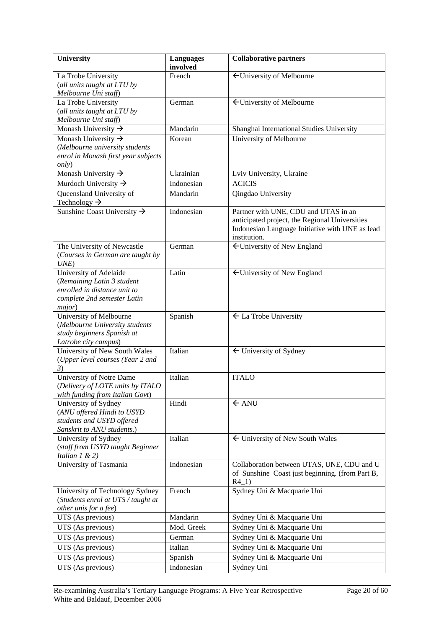| University                                                | <b>Languages</b><br>involved | <b>Collaborative partners</b>                   |
|-----------------------------------------------------------|------------------------------|-------------------------------------------------|
| La Trobe University                                       | French                       | ← University of Melbourne                       |
| (all units taught at LTU by                               |                              |                                                 |
| Melbourne Uni staff)                                      |                              |                                                 |
| La Trobe University                                       | German                       | ← University of Melbourne                       |
| (all units taught at LTU by                               |                              |                                                 |
| Melbourne Uni staff)                                      |                              |                                                 |
| Monash University $\rightarrow$                           | Mandarin                     | Shanghai International Studies University       |
| Monash University $\rightarrow$                           | Korean                       | University of Melbourne                         |
| (Melbourne university students                            |                              |                                                 |
| enrol in Monash first year subjects                       |                              |                                                 |
| <i>only</i> )                                             |                              |                                                 |
| Monash University $\rightarrow$                           | Ukrainian                    | Lviv University, Ukraine                        |
| Murdoch University $\rightarrow$                          | Indonesian                   | <b>ACICIS</b>                                   |
| Queensland University of                                  | Mandarin                     | Qingdao University                              |
| Technology $\rightarrow$                                  |                              |                                                 |
| Sunshine Coast University $\rightarrow$                   | Indonesian                   | Partner with UNE, CDU and UTAS in an            |
|                                                           |                              | anticipated project, the Regional Universities  |
|                                                           |                              | Indonesian Language Initiative with UNE as lead |
|                                                           |                              | institution.                                    |
| The University of Newcastle                               | German                       | ← University of New England                     |
| (Courses in German are taught by                          |                              |                                                 |
| UNE                                                       |                              |                                                 |
| University of Adelaide                                    | Latin                        | ← University of New England                     |
| (Remaining Latin 3 student                                |                              |                                                 |
| enrolled in distance unit to                              |                              |                                                 |
| complete 2nd semester Latin                               |                              |                                                 |
| major)                                                    |                              |                                                 |
| University of Melbourne<br>(Melbourne University students | Spanish                      | $\leftarrow$ La Trobe University                |
| study beginners Spanish at                                |                              |                                                 |
| Latrobe city campus)                                      |                              |                                                 |
| University of New South Wales                             | Italian                      | $\leftarrow$ University of Sydney               |
| (Upper level courses (Year 2 and                          |                              |                                                 |
| 3)                                                        |                              |                                                 |
| University of Notre Dame                                  | Italian                      | <b>ITALO</b>                                    |
| (Delivery of LOTE units by ITALO                          |                              |                                                 |
| with funding from Italian Govt)                           |                              |                                                 |
| University of Sydney                                      | Hindi                        | $\leftarrow$ ANU                                |
| (ANU offered Hindi to USYD                                |                              |                                                 |
| students and USYD offered                                 |                              |                                                 |
| Sanskrit to ANU students.)                                |                              |                                                 |
| University of Sydney                                      | Italian                      | $\leftarrow$ University of New South Wales      |
| (staff from USYD taught Beginner                          |                              |                                                 |
| Italian $1 \& 2)$                                         |                              |                                                 |
| University of Tasmania                                    | Indonesian                   | Collaboration between UTAS, UNE, CDU and U      |
|                                                           |                              | of Sunshine Coast just beginning. (from Part B, |
|                                                           |                              | $R4_1)$                                         |
| University of Technology Sydney                           | French                       | Sydney Uni & Macquarie Uni                      |
| (Students enrol at UTS / taught at                        |                              |                                                 |
| other unis for a fee)                                     |                              |                                                 |
| UTS (As previous)                                         | Mandarin                     | Sydney Uni & Macquarie Uni                      |
| UTS (As previous)                                         | Mod. Greek                   | Sydney Uni & Macquarie Uni                      |
| UTS (As previous)                                         | German                       | Sydney Uni & Macquarie Uni                      |
| UTS (As previous)                                         | Italian                      | Sydney Uni & Macquarie Uni                      |
| UTS (As previous)                                         | Spanish                      | Sydney Uni & Macquarie Uni                      |
| UTS (As previous)                                         | Indonesian                   | Sydney Uni                                      |
|                                                           |                              |                                                 |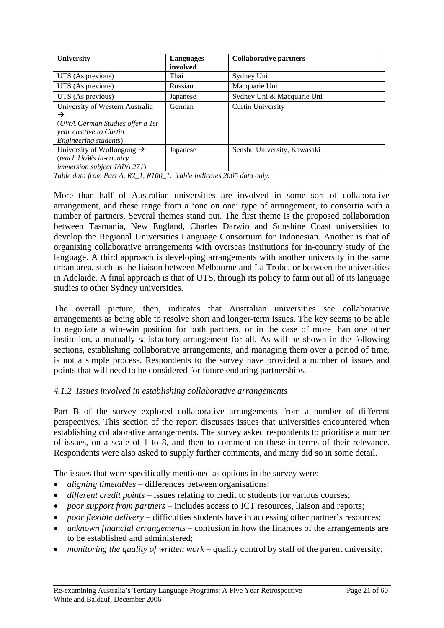| University                             | Languages | <b>Collaborative partners</b> |
|----------------------------------------|-----------|-------------------------------|
|                                        | involved  |                               |
| UTS (As previous)                      | Thai      | Sydney Uni                    |
| UTS (As previous)                      | Russian   | Macquarie Uni                 |
| UTS (As previous)                      | Japanese  | Sydney Uni & Macquarie Uni    |
| University of Western Australia        | German    | <b>Curtin University</b>      |
| $\rightarrow$                          |           |                               |
| (UWA German Studies offer a 1st)       |           |                               |
| year elective to Curtin                |           |                               |
| Engineering students)                  |           |                               |
| University of Wollongong $\rightarrow$ | Japanese  | Senshu University, Kawasaki   |
| (teach UoWs in-country                 |           |                               |
| <i>immersion subject JAPA 271)</i>     |           |                               |

*Table data from Part A, R2\_1, R100\_1. Table indicates 2005 data only.* 

More than half of Australian universities are involved in some sort of collaborative arrangement, and these range from a 'one on one' type of arrangement, to consortia with a number of partners. Several themes stand out. The first theme is the proposed collaboration between Tasmania, New England, Charles Darwin and Sunshine Coast universities to develop the Regional Universities Language Consortium for Indonesian. Another is that of organising collaborative arrangements with overseas institutions for in-country study of the language. A third approach is developing arrangements with another university in the same urban area, such as the liaison between Melbourne and La Trobe, or between the universities in Adelaide. A final approach is that of UTS, through its policy to farm out all of its language studies to other Sydney universities.

The overall picture, then, indicates that Australian universities see collaborative arrangements as being able to resolve short and longer-term issues. The key seems to be able to negotiate a win-win position for both partners, or in the case of more than one other institution, a mutually satisfactory arrangement for all. As will be shown in the following sections, establishing collaborative arrangements, and managing them over a period of time, is not a simple process. Respondents to the survey have provided a number of issues and points that will need to be considered for future enduring partnerships.

### *4.1.2 Issues involved in establishing collaborative arrangements*

Part B of the survey explored collaborative arrangements from a number of different perspectives. This section of the report discusses issues that universities encountered when establishing collaborative arrangements. The survey asked respondents to prioritise a number of issues, on a scale of 1 to 8, and then to comment on these in terms of their relevance. Respondents were also asked to supply further comments, and many did so in some detail.

The issues that were specifically mentioned as options in the survey were:

- *aligning timetables* differences between organisations;
- *different credit points* issues relating to credit to students for various courses;
- *poor support from partners* includes access to ICT resources, liaison and reports;
- *poor flexible delivery* difficulties students have in accessing other partner's resources;
- *unknown financial arrangements* confusion in how the finances of the arrangements are to be established and administered;
- *monitoring the quality of written work* quality control by staff of the parent university;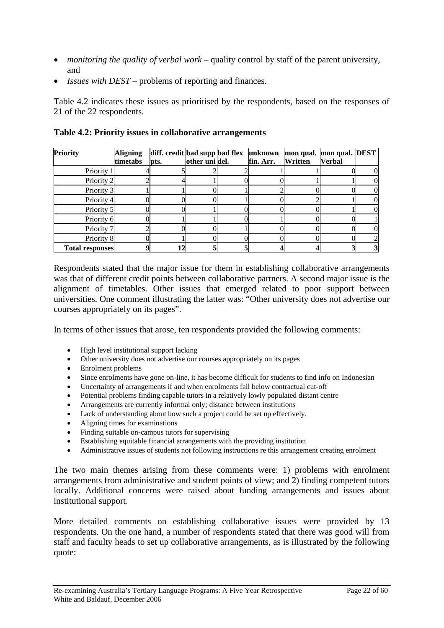- *monitoring the quality of verbal work* quality control by staff of the parent university, and
- *Issues with DEST* problems of reporting and finances.

Table 4.2 indicates these issues as prioritised by the respondents, based on the responses of 21 of the 22 respondents.

| Priority               | <b>Aligning</b><br>timetabs | diff. credit bad supp bad flex<br>pts. | other unidel. | unknown<br>fin. Arr. | Written | mon qual. mon qual. DEST<br><b>Verbal</b> |   |
|------------------------|-----------------------------|----------------------------------------|---------------|----------------------|---------|-------------------------------------------|---|
|                        |                             |                                        |               |                      |         |                                           |   |
| Priority 1             |                             |                                        |               |                      |         |                                           |   |
| Priority 2             |                             |                                        |               |                      |         |                                           |   |
| Priority 3             |                             |                                        |               |                      |         |                                           |   |
| Priority 4             |                             |                                        |               |                      |         |                                           |   |
| Priority 5             |                             |                                        |               |                      |         |                                           |   |
| Priority 6             |                             |                                        |               |                      |         |                                           |   |
| Priority 7             |                             |                                        |               |                      |         |                                           |   |
| Priority 8             |                             |                                        |               |                      |         |                                           |   |
| <b>Total responses</b> |                             |                                        |               |                      |         |                                           | 3 |

#### **Table 4.2: Priority issues in collaborative arrangements**

Respondents stated that the major issue for them in establishing collaborative arrangements was that of different credit points between collaborative partners. A second major issue is the alignment of timetables. Other issues that emerged related to poor support between universities. One comment illustrating the latter was: "Other university does not advertise our courses appropriately on its pages".

In terms of other issues that arose, ten respondents provided the following comments:

- High level institutional support lacking
- Other university does not advertise our courses appropriately on its pages
- Enrolment problems
- Since enrolments have gone on-line, it has become difficult for students to find info on Indonesian
- Uncertainty of arrangements if and when enrolments fall below contractual cut-off
- Potential problems finding capable tutors in a relatively lowly populated distant centre
- Arrangements are currently informal only; distance between institutions
- Lack of understanding about how such a project could be set up effectively.
- Aligning times for examinations
- Finding suitable on-campus tutors for supervising
- Establishing equitable financial arrangements with the providing institution
- Administrative issues of students not following instructions re this arrangement creating enrolment

The two main themes arising from these comments were: 1) problems with enrolment arrangements from administrative and student points of view; and 2) finding competent tutors locally. Additional concerns were raised about funding arrangements and issues about institutional support.

More detailed comments on establishing collaborative issues were provided by 13 respondents. On the one hand, a number of respondents stated that there was good will from staff and faculty heads to set up collaborative arrangements, as is illustrated by the following quote: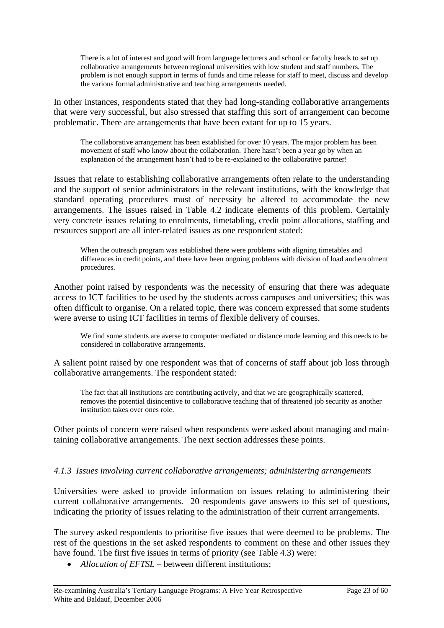There is a lot of interest and good will from language lecturers and school or faculty heads to set up collaborative arrangements between regional universities with low student and staff numbers. The problem is not enough support in terms of funds and time release for staff to meet, discuss and develop the various formal administrative and teaching arrangements needed.

In other instances, respondents stated that they had long-standing collaborative arrangements that were very successful, but also stressed that staffing this sort of arrangement can become problematic. There are arrangements that have been extant for up to 15 years.

The collaborative arrangement has been established for over 10 years. The major problem has been movement of staff who know about the collaboration. There hasn't been a year go by when an explanation of the arrangement hasn't had to be re-explained to the collaborative partner!

Issues that relate to establishing collaborative arrangements often relate to the understanding and the support of senior administrators in the relevant institutions, with the knowledge that standard operating procedures must of necessity be altered to accommodate the new arrangements. The issues raised in Table 4.2 indicate elements of this problem. Certainly very concrete issues relating to enrolments, timetabling, credit point allocations, staffing and resources support are all inter-related issues as one respondent stated:

When the outreach program was established there were problems with aligning timetables and differences in credit points, and there have been ongoing problems with division of load and enrolment procedures.

Another point raised by respondents was the necessity of ensuring that there was adequate access to ICT facilities to be used by the students across campuses and universities; this was often difficult to organise. On a related topic, there was concern expressed that some students were averse to using ICT facilities in terms of flexible delivery of courses.

We find some students are averse to computer mediated or distance mode learning and this needs to be considered in collaborative arrangements.

A salient point raised by one respondent was that of concerns of staff about job loss through collaborative arrangements. The respondent stated:

The fact that all institutions are contributing actively, and that we are geographically scattered, removes the potential disincentive to collaborative teaching that of threatened job security as another institution takes over ones role.

Other points of concern were raised when respondents were asked about managing and maintaining collaborative arrangements. The next section addresses these points.

#### *4.1.3 Issues involving current collaborative arrangements; administering arrangements*

Universities were asked to provide information on issues relating to administering their current collaborative arrangements. 20 respondents gave answers to this set of questions, indicating the priority of issues relating to the administration of their current arrangements.

The survey asked respondents to prioritise five issues that were deemed to be problems. The rest of the questions in the set asked respondents to comment on these and other issues they have found. The first five issues in terms of priority (see Table 4.3) were:

• *Allocation of EFTSL* – between different institutions;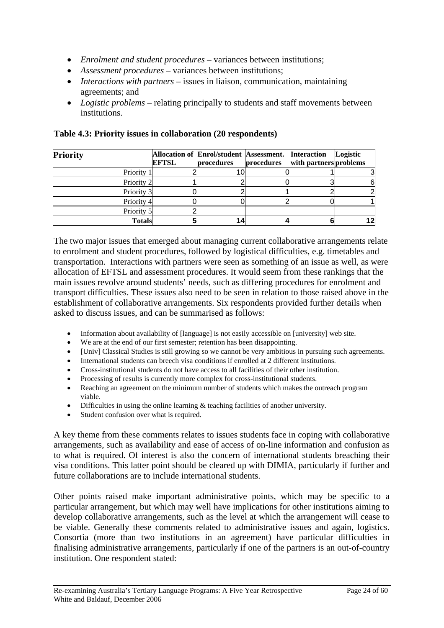- *Enrolment and student procedures* variances between institutions;
- *Assessment procedures* variances between institutions;
- *Interactions with partners* issues in liaison, communication, maintaining agreements; and
- *Logistic problems* relating principally to students and staff movements between institutions.

| <b>Priority</b> | <b>EFTSL</b> | Allocation of Enrol/student Assessment. Interaction<br>procedures | procedures | with partners problems | Logistic |
|-----------------|--------------|-------------------------------------------------------------------|------------|------------------------|----------|
| Priority 1      |              |                                                                   |            |                        |          |
| Priority 2      |              |                                                                   |            |                        |          |
| Priority 3      |              |                                                                   |            |                        |          |
| Priority 4      |              |                                                                   |            |                        |          |
| Priority 5      |              |                                                                   |            |                        |          |
| <b>Totals</b>   |              |                                                                   |            |                        |          |

**Table 4.3: Priority issues in collaboration (20 respondents)** 

The two major issues that emerged about managing current collaborative arrangements relate to enrolment and student procedures, followed by logistical difficulties, e.g. timetables and transportation. Interactions with partners were seen as something of an issue as well, as were allocation of EFTSL and assessment procedures. It would seem from these rankings that the main issues revolve around students' needs, such as differing procedures for enrolment and transport difficulties. These issues also need to be seen in relation to those raised above in the establishment of collaborative arrangements. Six respondents provided further details when asked to discuss issues, and can be summarised as follows:

- Information about availability of [language] is not easily accessible on [university] web site.
- We are at the end of our first semester; retention has been disappointing.
- [Univ] Classical Studies is still growing so we cannot be very ambitious in pursuing such agreements.
- International students can breech visa conditions if enrolled at 2 different institutions.
- Cross-institutional students do not have access to all facilities of their other institution.
- Processing of results is currently more complex for cross-institutional students.
- Reaching an agreement on the minimum number of students which makes the outreach program viable.
- Difficulties in using the online learning & teaching facilities of another university.
- Student confusion over what is required.

A key theme from these comments relates to issues students face in coping with collaborative arrangements, such as availability and ease of access of on-line information and confusion as to what is required. Of interest is also the concern of international students breaching their visa conditions. This latter point should be cleared up with DIMIA, particularly if further and future collaborations are to include international students.

Other points raised make important administrative points, which may be specific to a particular arrangement, but which may well have implications for other institutions aiming to develop collaborative arrangements, such as the level at which the arrangement will cease to be viable. Generally these comments related to administrative issues and again, logistics. Consortia (more than two institutions in an agreement) have particular difficulties in finalising administrative arrangements, particularly if one of the partners is an out-of-country institution. One respondent stated: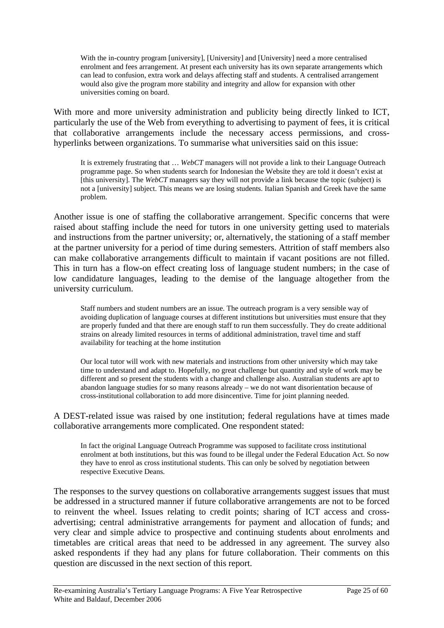With the in-country program [university], [University] and [University] need a more centralised enrolment and fees arrangement. At present each university has its own separate arrangements which can lead to confusion, extra work and delays affecting staff and students. A centralised arrangement would also give the program more stability and integrity and allow for expansion with other universities coming on board.

With more and more university administration and publicity being directly linked to ICT, particularly the use of the Web from everything to advertising to payment of fees, it is critical that collaborative arrangements include the necessary access permissions, and crosshyperlinks between organizations. To summarise what universities said on this issue:

It is extremely frustrating that … *WebCT* managers will not provide a link to their Language Outreach programme page. So when students search for Indonesian the Website they are told it doesn't exist at [this university]. The *WebCT* managers say they will not provide a link because the topic (subject) is not a [university] subject. This means we are losing students. Italian Spanish and Greek have the same problem.

Another issue is one of staffing the collaborative arrangement. Specific concerns that were raised about staffing include the need for tutors in one university getting used to materials and instructions from the partner university; or, alternatively, the stationing of a staff member at the partner university for a period of time during semesters. Attrition of staff members also can make collaborative arrangements difficult to maintain if vacant positions are not filled. This in turn has a flow-on effect creating loss of language student numbers; in the case of low candidature languages, leading to the demise of the language altogether from the university curriculum.

Staff numbers and student numbers are an issue. The outreach program is a very sensible way of avoiding duplication of language courses at different institutions but universities must ensure that they are properly funded and that there are enough staff to run them successfully. They do create additional strains on already limited resources in terms of additional administration, travel time and staff availability for teaching at the home institution

Our local tutor will work with new materials and instructions from other university which may take time to understand and adapt to. Hopefully, no great challenge but quantity and style of work may be different and so present the students with a change and challenge also. Australian students are apt to abandon language studies for so many reasons already – we do not want disorientation because of cross-institutional collaboration to add more disincentive. Time for joint planning needed.

A DEST-related issue was raised by one institution; federal regulations have at times made collaborative arrangements more complicated. One respondent stated:

In fact the original Language Outreach Programme was supposed to facilitate cross institutional enrolment at both institutions, but this was found to be illegal under the Federal Education Act. So now they have to enrol as cross institutional students. This can only be solved by negotiation between respective Executive Deans.

The responses to the survey questions on collaborative arrangements suggest issues that must be addressed in a structured manner if future collaborative arrangements are not to be forced to reinvent the wheel. Issues relating to credit points; sharing of ICT access and crossadvertising; central administrative arrangements for payment and allocation of funds; and very clear and simple advice to prospective and continuing students about enrolments and timetables are critical areas that need to be addressed in any agreement. The survey also asked respondents if they had any plans for future collaboration. Their comments on this question are discussed in the next section of this report.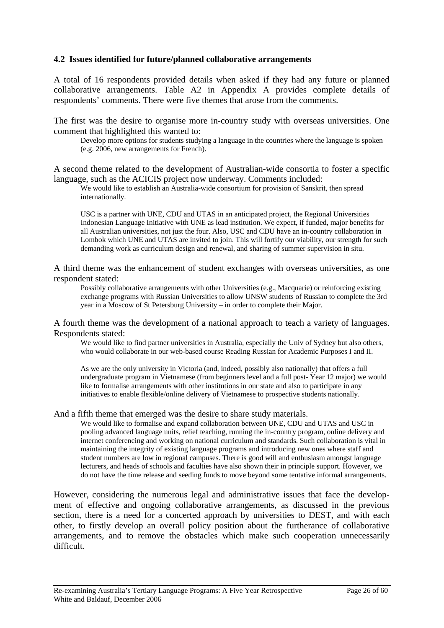#### **4.2 Issues identified for future/planned collaborative arrangements**

A total of 16 respondents provided details when asked if they had any future or planned collaborative arrangements. Table A2 in Appendix A provides complete details of respondents' comments. There were five themes that arose from the comments.

The first was the desire to organise more in-country study with overseas universities. One comment that highlighted this wanted to:

Develop more options for students studying a language in the countries where the language is spoken (e.g. 2006, new arrangements for French).

A second theme related to the development of Australian-wide consortia to foster a specific language, such as the ACICIS project now underway. Comments included:

We would like to establish an Australia-wide consortium for provision of Sanskrit, then spread internationally.

USC is a partner with UNE, CDU and UTAS in an anticipated project, the Regional Universities Indonesian Language Initiative with UNE as lead institution. We expect, if funded, major benefits for all Australian universities, not just the four. Also, USC and CDU have an in-country collaboration in Lombok which UNE and UTAS are invited to join. This will fortify our viability, our strength for such demanding work as curriculum design and renewal, and sharing of summer supervision in situ.

A third theme was the enhancement of student exchanges with overseas universities, as one respondent stated:

Possibly collaborative arrangements with other Universities (e.g., Macquarie) or reinforcing existing exchange programs with Russian Universities to allow UNSW students of Russian to complete the 3rd year in a Moscow of St Petersburg University – in order to complete their Major.

A fourth theme was the development of a national approach to teach a variety of languages. Respondents stated:

We would like to find partner universities in Australia, especially the Univ of Sydney but also others, who would collaborate in our web-based course Reading Russian for Academic Purposes I and II.

As we are the only university in Victoria (and, indeed, possibly also nationally) that offers a full undergraduate program in Vietnamese (from beginners level and a full post- Year 12 major) we would like to formalise arrangements with other institutions in our state and also to participate in any initiatives to enable flexible/online delivery of Vietnamese to prospective students nationally.

And a fifth theme that emerged was the desire to share study materials.

We would like to formalise and expand collaboration between UNE, CDU and UTAS and USC in pooling advanced language units, relief teaching, running the in-country program, online delivery and internet conferencing and working on national curriculum and standards. Such collaboration is vital in maintaining the integrity of existing language programs and introducing new ones where staff and student numbers are low in regional campuses. There is good will and enthusiasm amongst language lecturers, and heads of schools and faculties have also shown their in principle support. However, we do not have the time release and seeding funds to move beyond some tentative informal arrangements.

However, considering the numerous legal and administrative issues that face the development of effective and ongoing collaborative arrangements, as discussed in the previous section, there is a need for a concerted approach by universities to DEST, and with each other, to firstly develop an overall policy position about the furtherance of collaborative arrangements, and to remove the obstacles which make such cooperation unnecessarily difficult.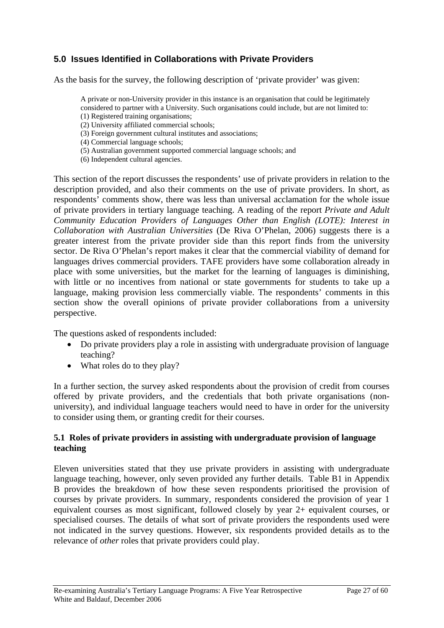## <span id="page-26-0"></span>**5.0 Issues Identified in Collaborations with Private Providers**

As the basis for the survey, the following description of 'private provider' was given:

A private or non-University provider in this instance is an organisation that could be legitimately considered to partner with a University. Such organisations could include, but are not limited to: (1) Registered training organisations;

- (2) University affiliated commercial schools;
- (3) Foreign government cultural institutes and associations;
- (4) Commercial language schools;
- (5) Australian government supported commercial language schools; and
- (6) Independent cultural agencies.

This section of the report discusses the respondents' use of private providers in relation to the description provided, and also their comments on the use of private providers. In short, as respondents' comments show, there was less than universal acclamation for the whole issue of private providers in tertiary language teaching. A reading of the report *Private and Adult Community Education Providers of Languages Other than English (LOTE): Interest in Collaboration with Australian Universities* (De Riva O'Phelan, 2006) suggests there is a greater interest from the private provider side than this report finds from the university sector. De Riva O'Phelan's report makes it clear that the commercial viability of demand for languages drives commercial providers. TAFE providers have some collaboration already in place with some universities, but the market for the learning of languages is diminishing, with little or no incentives from national or state governments for students to take up a language, making provision less commercially viable. The respondents' comments in this section show the overall opinions of private provider collaborations from a university perspective.

The questions asked of respondents included:

- Do private providers play a role in assisting with undergraduate provision of language teaching?
- What roles do to they play?

In a further section, the survey asked respondents about the provision of credit from courses offered by private providers, and the credentials that both private organisations (nonuniversity), and individual language teachers would need to have in order for the university to consider using them, or granting credit for their courses.

#### **5.1 Roles of private providers in assisting with undergraduate provision of language teaching**

Eleven universities stated that they use private providers in assisting with undergraduate language teaching, however, only seven provided any further details. Table B1 in Appendix B provides the breakdown of how these seven respondents prioritised the provision of courses by private providers. In summary, respondents considered the provision of year 1 equivalent courses as most significant, followed closely by year 2+ equivalent courses, or specialised courses. The details of what sort of private providers the respondents used were not indicated in the survey questions. However, six respondents provided details as to the relevance of *other* roles that private providers could play.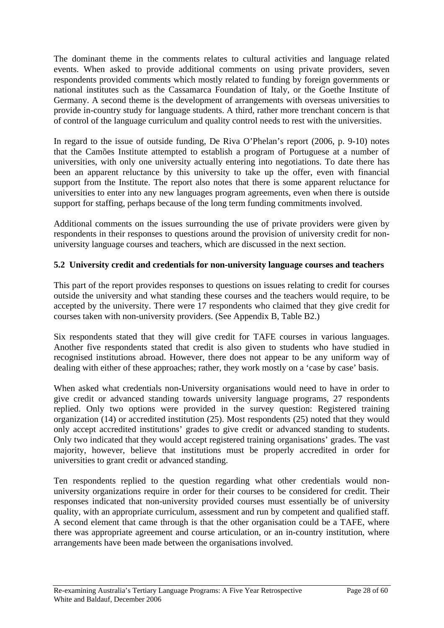The dominant theme in the comments relates to cultural activities and language related events. When asked to provide additional comments on using private providers, seven respondents provided comments which mostly related to funding by foreign governments or national institutes such as the Cassamarca Foundation of Italy, or the Goethe Institute of Germany. A second theme is the development of arrangements with overseas universities to provide in-country study for language students. A third, rather more trenchant concern is that of control of the language curriculum and quality control needs to rest with the universities.

In regard to the issue of outside funding, De Riva O'Phelan's report (2006, p. 9-10) notes that the Camões Institute attempted to establish a program of Portuguese at a number of universities, with only one university actually entering into negotiations. To date there has been an apparent reluctance by this university to take up the offer, even with financial support from the Institute. The report also notes that there is some apparent reluctance for universities to enter into any new languages program agreements, even when there is outside support for staffing, perhaps because of the long term funding commitments involved.

Additional comments on the issues surrounding the use of private providers were given by respondents in their responses to questions around the provision of university credit for nonuniversity language courses and teachers, which are discussed in the next section.

### **5.2 University credit and credentials for non-university language courses and teachers**

This part of the report provides responses to questions on issues relating to credit for courses outside the university and what standing these courses and the teachers would require, to be accepted by the university. There were 17 respondents who claimed that they give credit for courses taken with non-university providers. (See Appendix B, Table B2.)

Six respondents stated that they will give credit for TAFE courses in various languages. Another five respondents stated that credit is also given to students who have studied in recognised institutions abroad. However, there does not appear to be any uniform way of dealing with either of these approaches; rather, they work mostly on a 'case by case' basis.

When asked what credentials non-University organisations would need to have in order to give credit or advanced standing towards university language programs, 27 respondents replied. Only two options were provided in the survey question: Registered training organization (14) or accredited institution (25). Most respondents (25) noted that they would only accept accredited institutions' grades to give credit or advanced standing to students. Only two indicated that they would accept registered training organisations' grades. The vast majority, however, believe that institutions must be properly accredited in order for universities to grant credit or advanced standing.

Ten respondents replied to the question regarding what other credentials would nonuniversity organizations require in order for their courses to be considered for credit. Their responses indicated that non-university provided courses must essentially be of university quality, with an appropriate curriculum, assessment and run by competent and qualified staff. A second element that came through is that the other organisation could be a TAFE, where there was appropriate agreement and course articulation, or an in-country institution, where arrangements have been made between the organisations involved.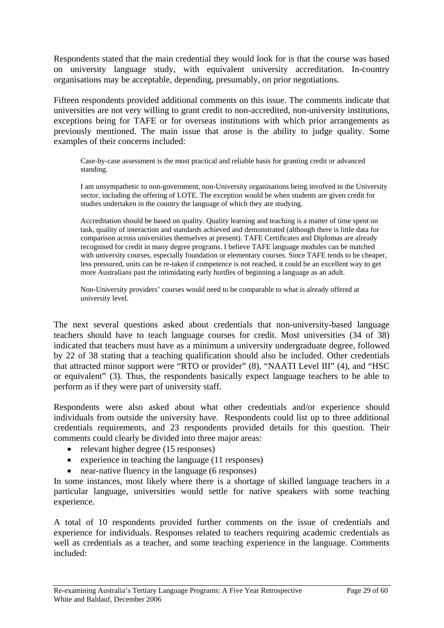Respondents stated that the main credential they would look for is that the course was based on university language study, with equivalent university accreditation. In-country organisations may be acceptable, depending, presumably, on prior negotiations.

Fifteen respondents provided additional comments on this issue. The comments indicate that universities are not very willing to grant credit to non-accredited, non-university institutions, exceptions being for TAFE or for overseas institutions with which prior arrangements as previously mentioned. The main issue that arose is the ability to judge quality. Some examples of their concerns included:

Case-by-case assessment is the most practical and reliable basis for granting credit or advanced standing.

I am unsympathetic to non-government, non-University organisations being involved in the University sector, including the offering of LOTE. The exception would be when students are given credit for studies undertaken in the country the language of which they are studying.

Accreditation should be based on quality. Quality learning and teaching is a matter of time spent on task, quality of interaction and standards achieved and demonstrated (although there is little data for comparison across universities themselves at present). TAFE Certificates and Diplomas are already recognised for credit in many degree programs. I believe TAFE language modules can be matched with university courses, especially foundation or elementary courses. Since TAFE tends to be cheaper, less pressured, units can be re-taken if competence is not reached, it could be an excellent way to get more Australians past the intimidating early hurdles of beginning a language as an adult.

Non-University providers' courses would need to be comparable to what is already offered at university level.

The next several questions asked about credentials that non-university-based language teachers should have to teach language courses for credit. Most universities (34 of 38) indicated that teachers must have as a minimum a university undergraduate degree, followed by 22 of 38 stating that a teaching qualification should also be included. Other credentials that attracted minor support were "RTO or provider" (8), "NAATI Level III" (4), and "HSC or equivalent" (3). Thus, the respondents basically expect language teachers to be able to perform as if they were part of university staff.

Respondents were also asked about what other credentials and/or experience should individuals from outside the university have. Respondents could list up to three additional credentials requirements, and 23 respondents provided details for this question. Their comments could clearly be divided into three major areas:

- relevant higher degree (15 responses)
- experience in teaching the language (11 responses)
- near-native fluency in the language (6 responses)

In some instances, most likely where there is a shortage of skilled language teachers in a particular language, universities would settle for native speakers with some teaching experience.

A total of 10 respondents provided further comments on the issue of credentials and experience for individuals. Responses related to teachers requiring academic credentials as well as credentials as a teacher, and some teaching experience in the language. Comments included: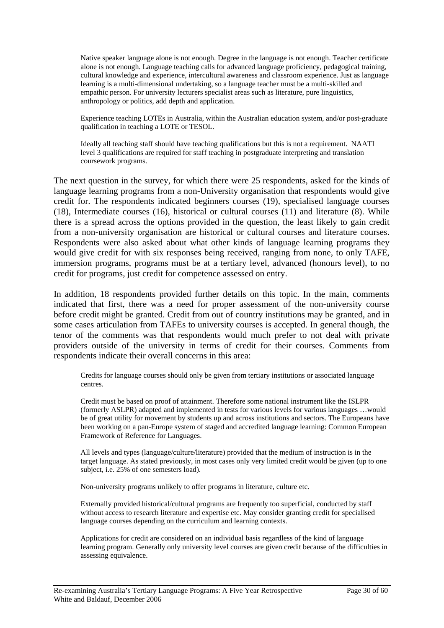Native speaker language alone is not enough. Degree in the language is not enough. Teacher certificate alone is not enough. Language teaching calls for advanced language proficiency, pedagogical training, cultural knowledge and experience, intercultural awareness and classroom experience. Just as language learning is a multi-dimensional undertaking, so a language teacher must be a multi-skilled and empathic person. For university lecturers specialist areas such as literature, pure linguistics, anthropology or politics, add depth and application.

Experience teaching LOTEs in Australia, within the Australian education system, and/or post-graduate qualification in teaching a LOTE or TESOL.

Ideally all teaching staff should have teaching qualifications but this is not a requirement. NAATI level 3 qualifications are required for staff teaching in postgraduate interpreting and translation coursework programs.

The next question in the survey, for which there were 25 respondents, asked for the kinds of language learning programs from a non-University organisation that respondents would give credit for. The respondents indicated beginners courses (19), specialised language courses (18), Intermediate courses (16), historical or cultural courses (11) and literature (8). While there is a spread across the options provided in the question, the least likely to gain credit from a non-university organisation are historical or cultural courses and literature courses. Respondents were also asked about what other kinds of language learning programs they would give credit for with six responses being received, ranging from none, to only TAFE, immersion programs, programs must be at a tertiary level, advanced (honours level), to no credit for programs, just credit for competence assessed on entry.

In addition, 18 respondents provided further details on this topic. In the main, comments indicated that first, there was a need for proper assessment of the non-university course before credit might be granted. Credit from out of country institutions may be granted, and in some cases articulation from TAFEs to university courses is accepted. In general though, the tenor of the comments was that respondents would much prefer to not deal with private providers outside of the university in terms of credit for their courses. Comments from respondents indicate their overall concerns in this area:

Credits for language courses should only be given from tertiary institutions or associated language centres.

Credit must be based on proof of attainment. Therefore some national instrument like the ISLPR (formerly ASLPR) adapted and implemented in tests for various levels for various languages …would be of great utility for movement by students up and across institutions and sectors. The Europeans have been working on a pan-Europe system of staged and accredited language learning: Common European Framework of Reference for Languages.

All levels and types (language/culture/literature) provided that the medium of instruction is in the target language. As stated previously, in most cases only very limited credit would be given (up to one subject, i.e. 25% of one semesters load).

Non-university programs unlikely to offer programs in literature, culture etc.

Externally provided historical/cultural programs are frequently too superficial, conducted by staff without access to research literature and expertise etc. May consider granting credit for specialised language courses depending on the curriculum and learning contexts.

Applications for credit are considered on an individual basis regardless of the kind of language learning program. Generally only university level courses are given credit because of the difficulties in assessing equivalence.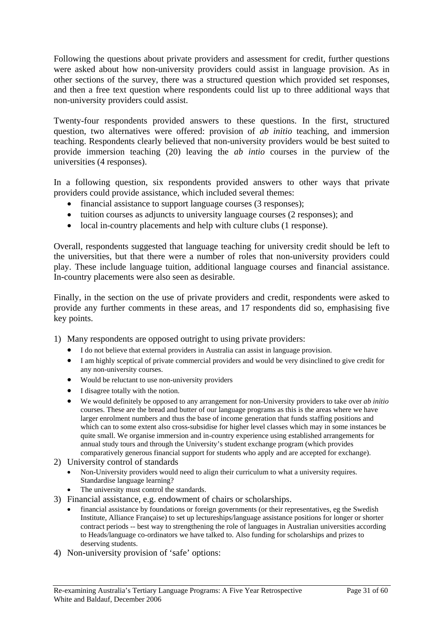Following the questions about private providers and assessment for credit, further questions were asked about how non-university providers could assist in language provision. As in other sections of the survey, there was a structured question which provided set responses, and then a free text question where respondents could list up to three additional ways that non-university providers could assist.

Twenty-four respondents provided answers to these questions. In the first, structured question, two alternatives were offered: provision of *ab initio* teaching, and immersion teaching. Respondents clearly believed that non-university providers would be best suited to provide immersion teaching (20) leaving the *ab intio* courses in the purview of the universities (4 responses).

In a following question, six respondents provided answers to other ways that private providers could provide assistance, which included several themes:

- financial assistance to support language courses (3 responses);
- tuition courses as adjuncts to university language courses (2 responses); and
- local in-country placements and help with culture clubs (1 response).

Overall, respondents suggested that language teaching for university credit should be left to the universities, but that there were a number of roles that non-university providers could play. These include language tuition, additional language courses and financial assistance. In-country placements were also seen as desirable.

Finally, in the section on the use of private providers and credit, respondents were asked to provide any further comments in these areas, and 17 respondents did so, emphasising five key points.

1) Many respondents are opposed outright to using private providers:

- I do not believe that external providers in Australia can assist in language provision.
- I am highly sceptical of private commercial providers and would be very disinclined to give credit for any non-university courses.
- Would be reluctant to use non-university providers
- I disagree totally with the notion.
- We would definitely be opposed to any arrangement for non-University providers to take over *ab initio* courses. These are the bread and butter of our language programs as this is the areas where we have larger enrolment numbers and thus the base of income generation that funds staffing positions and which can to some extent also cross-subsidise for higher level classes which may in some instances be quite small. We organise immersion and in-country experience using established arrangements for annual study tours and through the University's student exchange program (which provides comparatively generous financial support for students who apply and are accepted for exchange).
- 2) University control of standards
	- Non-University providers would need to align their curriculum to what a university requires. Standardise language learning?
	- The university must control the standards.
- 3) Financial assistance, e.g. endowment of chairs or scholarships.
	- financial assistance by foundations or foreign governments (or their representatives, eg the Swedish Institute, Alliance Française) to set up lectureships/language assistance positions for longer or shorter contract periods -- best way to strengthening the role of languages in Australian universities according to Heads/language co-ordinators we have talked to. Also funding for scholarships and prizes to deserving students.
- 4) Non-university provision of 'safe' options: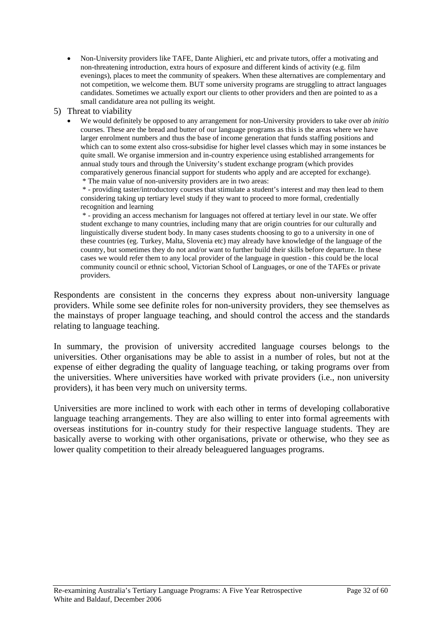- Non-University providers like TAFE, Dante Alighieri, etc and private tutors, offer a motivating and non-threatening introduction, extra hours of exposure and different kinds of activity (e.g. film evenings), places to meet the community of speakers. When these alternatives are complementary and not competition, we welcome them. BUT some university programs are struggling to attract languages candidates. Sometimes we actually export our clients to other providers and then are pointed to as a small candidature area not pulling its weight.
- 5) Threat to viability
	- We would definitely be opposed to any arrangement for non-University providers to take over *ab initio* courses. These are the bread and butter of our language programs as this is the areas where we have larger enrolment numbers and thus the base of income generation that funds staffing positions and which can to some extent also cross-subsidise for higher level classes which may in some instances be quite small. We organise immersion and in-country experience using established arrangements for annual study tours and through the University's student exchange program (which provides comparatively generous financial support for students who apply and are accepted for exchange).
		- \* The main value of non-university providers are in two areas:

 \* - providing taster/introductory courses that stimulate a student's interest and may then lead to them considering taking up tertiary level study if they want to proceed to more formal, credentially recognition and learning

 \* - providing an access mechanism for languages not offered at tertiary level in our state. We offer student exchange to many countries, including many that are origin countries for our culturally and linguistically diverse student body. In many cases students choosing to go to a university in one of these countries (eg. Turkey, Malta, Slovenia etc) may already have knowledge of the language of the country, but sometimes they do not and/or want to further build their skills before departure. In these cases we would refer them to any local provider of the language in question - this could be the local community council or ethnic school, Victorian School of Languages, or one of the TAFEs or private providers.

Respondents are consistent in the concerns they express about non-university language providers. While some see definite roles for non-university providers, they see themselves as the mainstays of proper language teaching, and should control the access and the standards relating to language teaching.

In summary, the provision of university accredited language courses belongs to the universities. Other organisations may be able to assist in a number of roles, but not at the expense of either degrading the quality of language teaching, or taking programs over from the universities. Where universities have worked with private providers (i.e., non university providers), it has been very much on university terms.

Universities are more inclined to work with each other in terms of developing collaborative language teaching arrangements. They are also willing to enter into formal agreements with overseas institutions for in-country study for their respective language students. They are basically averse to working with other organisations, private or otherwise, who they see as lower quality competition to their already beleaguered languages programs.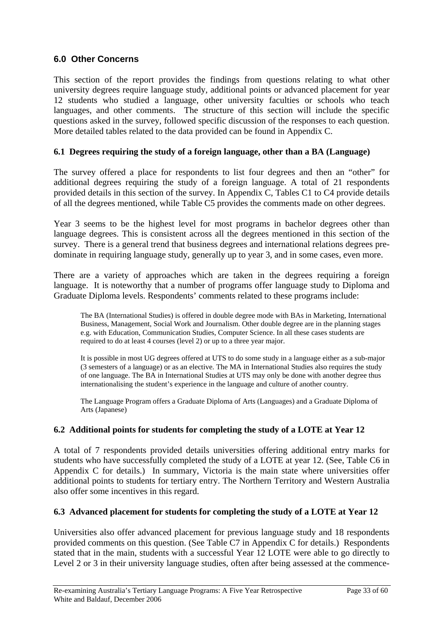### <span id="page-32-0"></span>**6.0 Other Concerns**

This section of the report provides the findings from questions relating to what other university degrees require language study, additional points or advanced placement for year 12 students who studied a language, other university faculties or schools who teach languages, and other comments. The structure of this section will include the specific questions asked in the survey, followed specific discussion of the responses to each question. More detailed tables related to the data provided can be found in Appendix C.

### **6.1 Degrees requiring the study of a foreign language, other than a BA (Language)**

The survey offered a place for respondents to list four degrees and then an "other" for additional degrees requiring the study of a foreign language. A total of 21 respondents provided details in this section of the survey. In Appendix C, Tables C1 to C4 provide details of all the degrees mentioned, while Table C5 provides the comments made on other degrees.

Year 3 seems to be the highest level for most programs in bachelor degrees other than language degrees. This is consistent across all the degrees mentioned in this section of the survey. There is a general trend that business degrees and international relations degrees predominate in requiring language study, generally up to year 3, and in some cases, even more.

There are a variety of approaches which are taken in the degrees requiring a foreign language. It is noteworthy that a number of programs offer language study to Diploma and Graduate Diploma levels. Respondents' comments related to these programs include:

The BA (International Studies) is offered in double degree mode with BAs in Marketing, International Business, Management, Social Work and Journalism. Other double degree are in the planning stages e.g. with Education, Communication Studies, Computer Science. In all these cases students are required to do at least 4 courses (level 2) or up to a three year major.

It is possible in most UG degrees offered at UTS to do some study in a language either as a sub-major (3 semesters of a language) or as an elective. The MA in International Studies also requires the study of one language. The BA in International Studies at UTS may only be done with another degree thus internationalising the student's experience in the language and culture of another country.

The Language Program offers a Graduate Diploma of Arts (Languages) and a Graduate Diploma of Arts (Japanese)

### **6.2 Additional points for students for completing the study of a LOTE at Year 12**

A total of 7 respondents provided details universities offering additional entry marks for students who have successfully completed the study of a LOTE at year 12. (See, Table C6 in Appendix C for details.) In summary, Victoria is the main state where universities offer additional points to students for tertiary entry. The Northern Territory and Western Australia also offer some incentives in this regard.

### **6.3 Advanced placement for students for completing the study of a LOTE at Year 12**

Universities also offer advanced placement for previous language study and 18 respondents provided comments on this question. (See Table C7 in Appendix C for details.) Respondents stated that in the main, students with a successful Year 12 LOTE were able to go directly to Level 2 or 3 in their university language studies, often after being assessed at the commence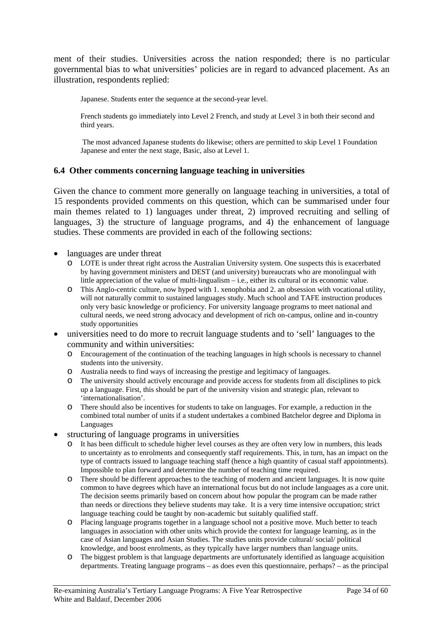ment of their studies. Universities across the nation responded; there is no particular governmental bias to what universities' policies are in regard to advanced placement. As an illustration, respondents replied:

Japanese. Students enter the sequence at the second-year level.

French students go immediately into Level 2 French, and study at Level 3 in both their second and third years.

 The most advanced Japanese students do likewise; others are permitted to skip Level 1 Foundation Japanese and enter the next stage, Basic, also at Level 1.

#### **6.4 Other comments concerning language teaching in universities**

Given the chance to comment more generally on language teaching in universities, a total of 15 respondents provided comments on this question, which can be summarised under four main themes related to 1) languages under threat, 2) improved recruiting and selling of languages, 3) the structure of language programs, and 4) the enhancement of language studies. These comments are provided in each of the following sections:

- languages are under threat
	- o LOTE is under threat right across the Australian University system. One suspects this is exacerbated by having government ministers and DEST (and university) bureaucrats who are monolingual with little appreciation of the value of multi-lingualism – i.e., either its cultural or its economic value.
	- o This Anglo-centric culture, now hyped with 1. xenophobia and 2. an obsession with vocational utility, will not naturally commit to sustained languages study. Much school and TAFE instruction produces only very basic knowledge or proficiency. For university language programs to meet national and cultural needs, we need strong advocacy and development of rich on-campus, online and in-country study opportunities
- universities need to do more to recruit language students and to 'sell' languages to the community and within universities:
	- o Encouragement of the continuation of the teaching languages in high schools is necessary to channel students into the university.
	- o Australia needs to find ways of increasing the prestige and legitimacy of languages.
	- o The university should actively encourage and provide access for students from all disciplines to pick up a language. First, this should be part of the university vision and strategic plan, relevant to 'internationalisation'.
	- o There should also be incentives for students to take on languages. For example, a reduction in the combined total number of units if a student undertakes a combined Batchelor degree and Diploma in Languages
- structuring of language programs in universities
	- o It has been difficult to schedule higher level courses as they are often very low in numbers, this leads to uncertainty as to enrolments and consequently staff requirements. This, in turn, has an impact on the type of contracts issued to language teaching staff (hence a high quantity of casual staff appointments). Impossible to plan forward and determine the number of teaching time required.
	- o There should be different approaches to the teaching of modern and ancient languages. It is now quite common to have degrees which have an international focus but do not include languages as a core unit. The decision seems primarily based on concern about how popular the program can be made rather than needs or directions they believe students may take. It is a very time intensive occupation; strict language teaching could be taught by non-academic but suitably qualified staff.
	- o Placing language programs together in a language school not a positive move. Much better to teach languages in association with other units which provide the context for language learning, as in the case of Asian languages and Asian Studies. The studies units provide cultural/ social/ political knowledge, and boost enrolments, as they typically have larger numbers than language units.
	- o The biggest problem is that language departments are unfortunately identified as language acquisition departments. Treating language programs – as does even this questionnaire, perhaps? – as the principal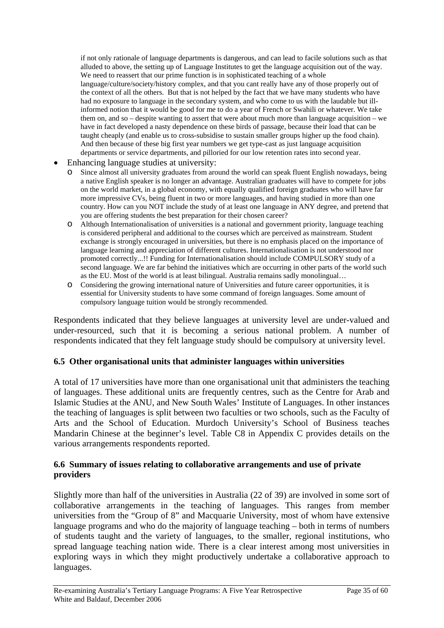if not only rationale of language departments is dangerous, and can lead to facile solutions such as that alluded to above, the setting up of Language Institutes to get the language acquisition out of the way. We need to reassert that our prime function is in sophisticated teaching of a whole language/culture/society/history complex, and that you cant really have any of those properly out of the context of all the others. But that is not helped by the fact that we have many students who have had no exposure to language in the secondary system, and who come to us with the laudable but illinformed notion that it would be good for me to do a year of French or Swahili or whatever. We take them on, and so – despite wanting to assert that were about much more than language acquisition – we have in fact developed a nasty dependence on these birds of passage, because their load that can be taught cheaply (and enable us to cross-subsidise to sustain smaller groups higher up the food chain). And then because of these big first year numbers we get type-cast as just language acquisition departments or service departments, and pilloried for our low retention rates into second year.

- Enhancing language studies at university:
	- o Since almost all university graduates from around the world can speak fluent English nowadays, being a native English speaker is no longer an advantage. Australian graduates will have to compete for jobs on the world market, in a global economy, with equally qualified foreign graduates who will have far more impressive CVs, being fluent in two or more languages, and having studied in more than one country. How can you NOT include the study of at least one language in ANY degree, and pretend that you are offering students the best preparation for their chosen career?
	- o Although Internationalisation of universities is a national and government priority, language teaching is considered peripheral and additional to the courses which are perceived as mainstream. Student exchange is strongly encouraged in universities, but there is no emphasis placed on the importance of language learning and appreciation of different cultures. Internationalisation is not understood nor promoted correctly...!! Funding for Internationalisation should include COMPULSORY study of a second language. We are far behind the initiatives which are occurring in other parts of the world such as the EU. Most of the world is at least bilingual. Australia remains sadly monolingual…
	- o Considering the growing international nature of Universities and future career opportunities, it is essential for University students to have some command of foreign languages. Some amount of compulsory language tuition would be strongly recommended.

Respondents indicated that they believe languages at university level are under-valued and under-resourced, such that it is becoming a serious national problem. A number of respondents indicated that they felt language study should be compulsory at university level.

#### **6.5 Other organisational units that administer languages within universities**

A total of 17 universities have more than one organisational unit that administers the teaching of languages. These additional units are frequently centres, such as the Centre for Arab and Islamic Studies at the ANU, and New South Wales' Institute of Languages. In other instances the teaching of languages is split between two faculties or two schools, such as the Faculty of Arts and the School of Education. Murdoch University's School of Business teaches Mandarin Chinese at the beginner's level. Table C8 in Appendix C provides details on the various arrangements respondents reported.

#### **6.6 Summary of issues relating to collaborative arrangements and use of private providers**

Slightly more than half of the universities in Australia (22 of 39) are involved in some sort of collaborative arrangements in the teaching of languages. This ranges from member universities from the "Group of 8" and Macquarie University, most of whom have extensive language programs and who do the majority of language teaching – both in terms of numbers of students taught and the variety of languages, to the smaller, regional institutions, who spread language teaching nation wide. There is a clear interest among most universities in exploring ways in which they might productively undertake a collaborative approach to languages.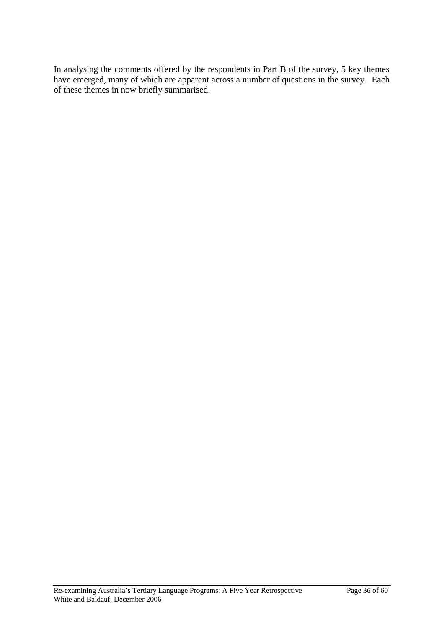In analysing the comments offered by the respondents in Part B of the survey, 5 key themes have emerged, many of which are apparent across a number of questions in the survey. Each of these themes in now briefly summarised.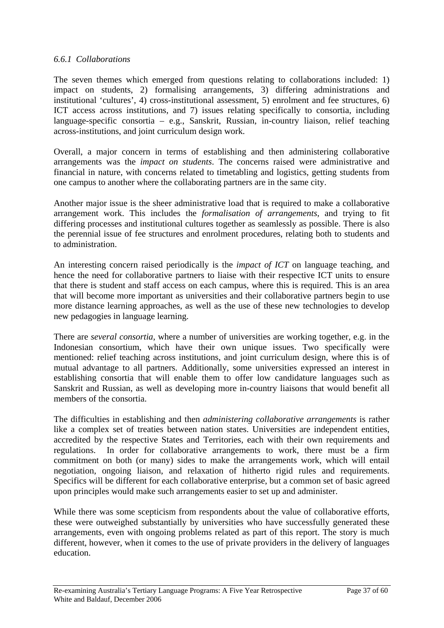## *6.6.1 Collaborations*

The seven themes which emerged from questions relating to collaborations included: 1) impact on students, 2) formalising arrangements, 3) differing administrations and institutional 'cultures', 4) cross-institutional assessment, 5) enrolment and fee structures, 6) ICT access across institutions, and 7) issues relating specifically to consortia, including language-specific consortia – e.g., Sanskrit, Russian, in-country liaison, relief teaching across-institutions, and joint curriculum design work.

Overall, a major concern in terms of establishing and then administering collaborative arrangements was the *impact on students*. The concerns raised were administrative and financial in nature, with concerns related to timetabling and logistics, getting students from one campus to another where the collaborating partners are in the same city.

Another major issue is the sheer administrative load that is required to make a collaborative arrangement work. This includes the *formalisation of arrangements*, and trying to fit differing processes and institutional cultures together as seamlessly as possible. There is also the perennial issue of fee structures and enrolment procedures, relating both to students and to administration.

An interesting concern raised periodically is the *impact of ICT* on language teaching, and hence the need for collaborative partners to liaise with their respective ICT units to ensure that there is student and staff access on each campus, where this is required. This is an area that will become more important as universities and their collaborative partners begin to use more distance learning approaches, as well as the use of these new technologies to develop new pedagogies in language learning.

There are *several consortia*, where a number of universities are working together, e.g. in the Indonesian consortium, which have their own unique issues. Two specifically were mentioned: relief teaching across institutions, and joint curriculum design, where this is of mutual advantage to all partners. Additionally, some universities expressed an interest in establishing consortia that will enable them to offer low candidature languages such as Sanskrit and Russian, as well as developing more in-country liaisons that would benefit all members of the consortia.

The difficulties in establishing and then *administering collaborative arrangements* is rather like a complex set of treaties between nation states. Universities are independent entities, accredited by the respective States and Territories, each with their own requirements and regulations. In order for collaborative arrangements to work, there must be a firm commitment on both (or many) sides to make the arrangements work, which will entail negotiation, ongoing liaison, and relaxation of hitherto rigid rules and requirements. Specifics will be different for each collaborative enterprise, but a common set of basic agreed upon principles would make such arrangements easier to set up and administer.

While there was some scepticism from respondents about the value of collaborative efforts, these were outweighed substantially by universities who have successfully generated these arrangements, even with ongoing problems related as part of this report. The story is much different, however, when it comes to the use of private providers in the delivery of languages education.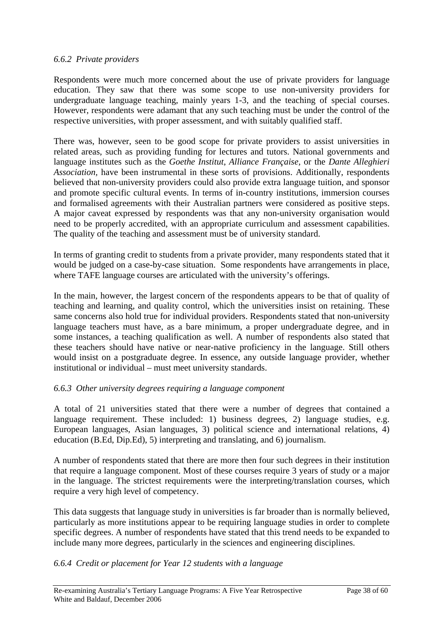## *6.6.2 Private providers*

Respondents were much more concerned about the use of private providers for language education. They saw that there was some scope to use non-university providers for undergraduate language teaching, mainly years 1-3, and the teaching of special courses. However, respondents were adamant that any such teaching must be under the control of the respective universities, with proper assessment, and with suitably qualified staff.

There was, however, seen to be good scope for private providers to assist universities in related areas, such as providing funding for lectures and tutors. National governments and language institutes such as the *Goethe Institut*, *Alliance Française*, or the *Dante Alleghieri Association,* have been instrumental in these sorts of provisions. Additionally, respondents believed that non-university providers could also provide extra language tuition, and sponsor and promote specific cultural events. In terms of in-country institutions, immersion courses and formalised agreements with their Australian partners were considered as positive steps. A major caveat expressed by respondents was that any non-university organisation would need to be properly accredited, with an appropriate curriculum and assessment capabilities. The quality of the teaching and assessment must be of university standard.

In terms of granting credit to students from a private provider, many respondents stated that it would be judged on a case-by-case situation. Some respondents have arrangements in place, where TAFE language courses are articulated with the university's offerings.

In the main, however, the largest concern of the respondents appears to be that of quality of teaching and learning, and quality control, which the universities insist on retaining. These same concerns also hold true for individual providers. Respondents stated that non-university language teachers must have, as a bare minimum, a proper undergraduate degree, and in some instances, a teaching qualification as well. A number of respondents also stated that these teachers should have native or near-native proficiency in the language. Still others would insist on a postgraduate degree. In essence, any outside language provider, whether institutional or individual – must meet university standards.

## *6.6.3 Other university degrees requiring a language component*

A total of 21 universities stated that there were a number of degrees that contained a language requirement. These included: 1) business degrees, 2) language studies, e.g. European languages, Asian languages, 3) political science and international relations, 4) education (B.Ed, Dip.Ed), 5) interpreting and translating, and 6) journalism.

A number of respondents stated that there are more then four such degrees in their institution that require a language component. Most of these courses require 3 years of study or a major in the language. The strictest requirements were the interpreting/translation courses, which require a very high level of competency.

This data suggests that language study in universities is far broader than is normally believed, particularly as more institutions appear to be requiring language studies in order to complete specific degrees. A number of respondents have stated that this trend needs to be expanded to include many more degrees, particularly in the sciences and engineering disciplines.

## *6.6.4 Credit or placement for Year 12 students with a language*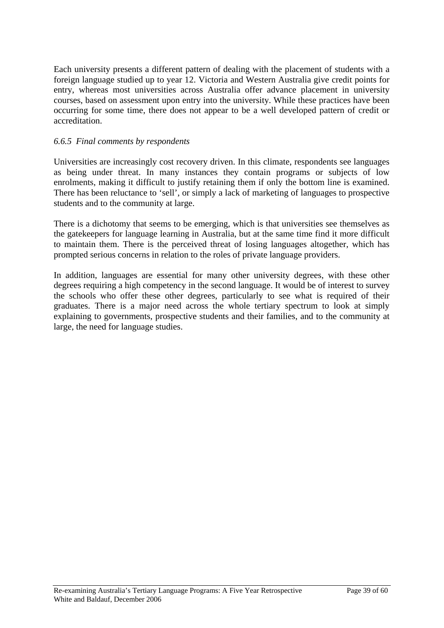Each university presents a different pattern of dealing with the placement of students with a foreign language studied up to year 12. Victoria and Western Australia give credit points for entry, whereas most universities across Australia offer advance placement in university courses, based on assessment upon entry into the university. While these practices have been occurring for some time, there does not appear to be a well developed pattern of credit or accreditation.

## *6.6.5 Final comments by respondents*

Universities are increasingly cost recovery driven. In this climate, respondents see languages as being under threat. In many instances they contain programs or subjects of low enrolments, making it difficult to justify retaining them if only the bottom line is examined. There has been reluctance to 'sell', or simply a lack of marketing of languages to prospective students and to the community at large.

There is a dichotomy that seems to be emerging, which is that universities see themselves as the gatekeepers for language learning in Australia, but at the same time find it more difficult to maintain them. There is the perceived threat of losing languages altogether, which has prompted serious concerns in relation to the roles of private language providers.

In addition, languages are essential for many other university degrees, with these other degrees requiring a high competency in the second language. It would be of interest to survey the schools who offer these other degrees, particularly to see what is required of their graduates. There is a major need across the whole tertiary spectrum to look at simply explaining to governments, prospective students and their families, and to the community at large, the need for language studies.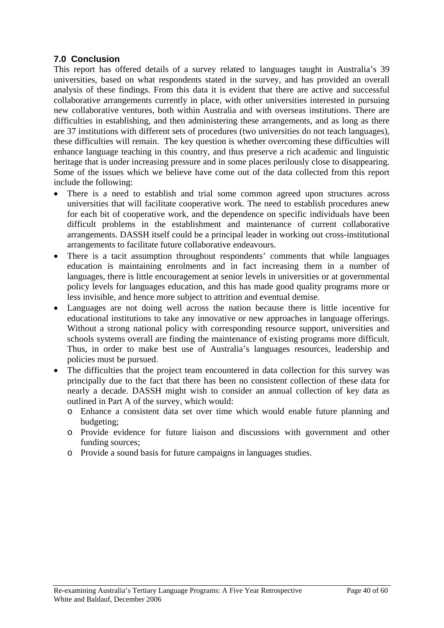# **7.0 Conclusion**

This report has offered details of a survey related to languages taught in Australia's 39 universities, based on what respondents stated in the survey, and has provided an overall analysis of these findings. From this data it is evident that there are active and successful collaborative arrangements currently in place, with other universities interested in pursuing new collaborative ventures, both within Australia and with overseas institutions. There are difficulties in establishing, and then administering these arrangements, and as long as there are 37 institutions with different sets of procedures (two universities do not teach languages), these difficulties will remain. The key question is whether overcoming these difficulties will enhance language teaching in this country, and thus preserve a rich academic and linguistic heritage that is under increasing pressure and in some places perilously close to disappearing. Some of the issues which we believe have come out of the data collected from this report include the following:

- There is a need to establish and trial some common agreed upon structures across universities that will facilitate cooperative work. The need to establish procedures anew for each bit of cooperative work, and the dependence on specific individuals have been difficult problems in the establishment and maintenance of current collaborative arrangements. DASSH itself could be a principal leader in working out cross-institutional arrangements to facilitate future collaborative endeavours.
- There is a tacit assumption throughout respondents' comments that while languages education is maintaining enrolments and in fact increasing them in a number of languages, there is little encouragement at senior levels in universities or at governmental policy levels for languages education, and this has made good quality programs more or less invisible, and hence more subject to attrition and eventual demise.
- Languages are not doing well across the nation because there is little incentive for educational institutions to take any innovative or new approaches in language offerings. Without a strong national policy with corresponding resource support, universities and schools systems overall are finding the maintenance of existing programs more difficult. Thus, in order to make best use of Australia's languages resources, leadership and policies must be pursued.
- The difficulties that the project team encountered in data collection for this survey was principally due to the fact that there has been no consistent collection of these data for nearly a decade. DASSH might wish to consider an annual collection of key data as outlined in Part A of the survey, which would:
	- o Enhance a consistent data set over time which would enable future planning and budgeting;
	- o Provide evidence for future liaison and discussions with government and other funding sources;
	- o Provide a sound basis for future campaigns in languages studies.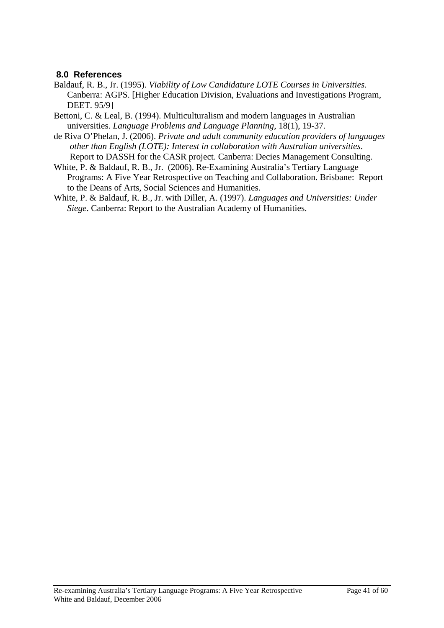# **8.0 References**

- Baldauf, R. B., Jr. (1995). *Viability of Low Candidature LOTE Courses in Universities.*  Canberra: AGPS. [Higher Education Division, Evaluations and Investigations Program, DEET. 95/9]
- Bettoni, C. & Leal, B. (1994). Multiculturalism and modern languages in Australian universities. *Language Problems and Language Planning*, 18(1), 19-37.
- de Riva O'Phelan, J. (2006). *Private and adult community education providers of languages other than English (LOTE): Interest in collaboration with Australian universities*. Report to DASSH for the CASR project. Canberra: Decies Management Consulting.
- White, P. & Baldauf, R. B., Jr. (2006). Re-Examining Australia's Tertiary Language Programs: A Five Year Retrospective on Teaching and Collaboration. Brisbane: Report to the Deans of Arts, Social Sciences and Humanities.
- White, P. & Baldauf, R. B., Jr. with Diller, A. (1997). *Languages and Universities: Under Siege*. Canberra: Report to the Australian Academy of Humanities.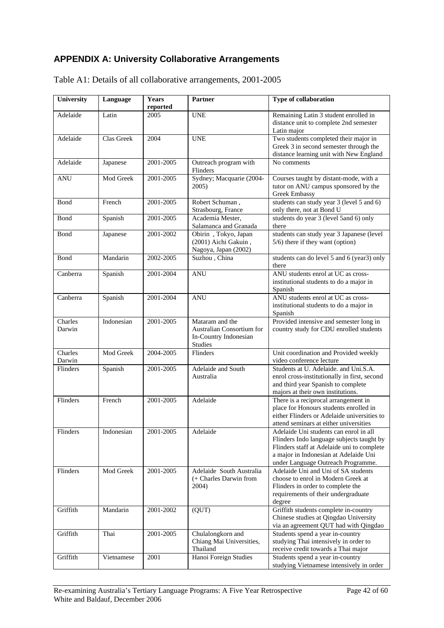# **APPENDIX A: University Collaborative Arrangements**

| University        | Language   | Years<br>reported | Partner                                                                                 | Type of collaboration                                                                                                                                                                                            |
|-------------------|------------|-------------------|-----------------------------------------------------------------------------------------|------------------------------------------------------------------------------------------------------------------------------------------------------------------------------------------------------------------|
| Adelaide          | Latin      | 2005              | <b>UNE</b>                                                                              | Remaining Latin 3 student enrolled in<br>distance unit to complete 2nd semester<br>Latin major                                                                                                                   |
| Adelaide          | Clas Greek | 2004              | <b>UNE</b>                                                                              | Two students completed their major in<br>Greek 3 in second semester through the<br>distance learning unit with New England                                                                                       |
| Adelaide          | Japanese   | 2001-2005         | Outreach program with<br>Flinders                                                       | No comments                                                                                                                                                                                                      |
| <b>ANU</b>        | Mod Greek  | 2001-2005         | Sydney; Macquarie (2004-<br>2005)                                                       | Courses taught by distant-mode, with a<br>tutor on ANU campus sponsored by the<br><b>Greek Embassy</b>                                                                                                           |
| Bond              | French     | 2001-2005         | Robert Schuman,<br>Strasbourg, France                                                   | students can study year 3 (level 5 and 6)<br>only there, not at Bond U                                                                                                                                           |
| Bond              | Spanish    | 2001-2005         | Academia Mester,<br>Salamanca and Granada                                               | students do year 3 (level 5and 6) only<br>there                                                                                                                                                                  |
| Bond              | Japanese   | 2001-2002         | Obirin, Tokyo, Japan<br>(2001) Aichi Gakuin,<br>Nagoya, Japan (2002)                    | students can study year 3 Japanese (level<br>5/6) there if they want (option)                                                                                                                                    |
| <b>Bond</b>       | Mandarin   | 2002-2005         | Suzhou, China                                                                           | students can do level 5 and 6 (year3) only<br>there                                                                                                                                                              |
| Canberra          | Spanish    | 2001-2004         | <b>ANU</b>                                                                              | ANU students enrol at UC as cross-<br>institutional students to do a major in<br>Spanish                                                                                                                         |
| Canberra          | Spanish    | 2001-2004         | <b>ANU</b>                                                                              | ANU students enrol at UC as cross-<br>institutional students to do a major in<br>Spanish                                                                                                                         |
| Charles<br>Darwin | Indonesian | 2001-2005         | Mataram and the<br>Australian Consortium for<br>In-Country Indonesian<br><b>Studies</b> | Provided intensive and semester long in<br>country study for CDU enrolled students                                                                                                                               |
| Charles<br>Darwin | Mod Greek  | 2004-2005         | Flinders                                                                                | Unit coordination and Provided weekly<br>video conference lecture                                                                                                                                                |
| Flinders          | Spanish    | 2001-2005         | Adelaide and South<br>Australia                                                         | Students at U. Adelaide. and Uni.S.A.<br>enrol cross-institutionally in first, second<br>and third year Spanish to complete<br>majors at their own institutions.                                                 |
| Flinders          | French     | 2001-2005         | Adelaide                                                                                | There is a reciprocal arrangement in<br>place for Honours students enrolled in<br>either Flinders or Adelaide universities to<br>attend seminars at either universities                                          |
| Flinders          | Indonesian | 2001-2005         | Adelaide                                                                                | Adelaide Uni students can enrol in all<br>Flinders Indo language subjects taught by<br>Flinders staff at Adelaide uni to complete<br>a major in Indonesian at Adelaide Uni<br>under Language Outreach Programme. |
| Flinders          | Mod Greek  | 2001-2005         | Adelaide South Australia<br>$(+$ Charles Darwin from<br>2004)                           | Adelaide Uni and Uni of SA students<br>choose to enrol in Modern Greek at<br>Flinders in order to complete the<br>requirements of their undergraduate<br>degree                                                  |
| Griffith          | Mandarin   | 2001-2002         | (QUT)                                                                                   | Griffith students complete in-country<br>Chinese studies at Qingdao University<br>via an agreement QUT had with Qingdao                                                                                          |
| Griffith          | Thai       | 2001-2005         | Chulalongkorn and<br>Chiang Mai Universities,<br>Thailand                               | Students spend a year in-country<br>studying Thai intensively in order to<br>receive credit towards a Thai major                                                                                                 |
| Griffith          | Vietnamese | 2001              | Hanoi Foreign Studies                                                                   | Students spend a year in-country<br>studving Vietnamese intensively in order                                                                                                                                     |

Table A1: Details of all collaborative arrangements, 2001-2005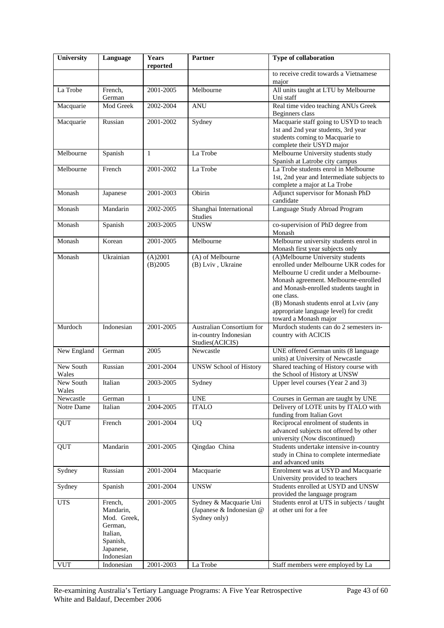| University         | Language                                                                                          | <b>Years</b><br>reported | <b>Partner</b>                                                        | Type of collaboration                                                                                                                                                                                                                                                                                                            |
|--------------------|---------------------------------------------------------------------------------------------------|--------------------------|-----------------------------------------------------------------------|----------------------------------------------------------------------------------------------------------------------------------------------------------------------------------------------------------------------------------------------------------------------------------------------------------------------------------|
|                    |                                                                                                   |                          |                                                                       | to receive credit towards a Vietnamese<br>major                                                                                                                                                                                                                                                                                  |
| La Trobe           | French,<br>German                                                                                 | 2001-2005                | Melbourne                                                             | All units taught at LTU by Melbourne<br>Uni staff                                                                                                                                                                                                                                                                                |
| Macquarie          | Mod Greek                                                                                         | 2002-2004                | <b>ANU</b>                                                            | Real time video teaching ANUs Greek<br>Beginners class                                                                                                                                                                                                                                                                           |
| Macquarie          | Russian                                                                                           | 2001-2002                | Sydney                                                                | Macquarie staff going to USYD to teach<br>1st and 2nd year students, 3rd year<br>students coming to Macquarie to<br>complete their USYD major                                                                                                                                                                                    |
| Melbourne          | Spanish                                                                                           | 1                        | La Trobe                                                              | Melbourne University students study<br>Spanish at Latrobe city campus                                                                                                                                                                                                                                                            |
| Melbourne          | French                                                                                            | 2001-2002                | La Trobe                                                              | La Trobe students enrol in Melbourne<br>1st, 2nd year and Intermediate subjects to<br>complete a major at La Trobe                                                                                                                                                                                                               |
| Monash             | Japanese                                                                                          | 2001-2003                | Obirin                                                                | Adjunct supervisor for Monash PhD<br>candidate                                                                                                                                                                                                                                                                                   |
| Monash             | Mandarin                                                                                          | 2002-2005                | Shanghai International<br>Studies                                     | Language Study Abroad Program                                                                                                                                                                                                                                                                                                    |
| Monash             | Spanish                                                                                           | 2003-2005                | <b>UNSW</b>                                                           | co-supervision of PhD degree from<br>Monash                                                                                                                                                                                                                                                                                      |
| Monash             | Korean                                                                                            | 2001-2005                | Melbourne                                                             | Melbourne university students enrol in<br>Monash first year subjects only                                                                                                                                                                                                                                                        |
| Monash             | Ukrainian                                                                                         | (A)2001<br>(B)2005       | (A) of Melbourne<br>(B) Lviv, Ukraine                                 | (A)Melbourne University students<br>enrolled under Melbourne UKR codes for<br>Melbourne U credit under a Melbourne-<br>Monash agreement. Melbourne-enrolled<br>and Monash-enrolled students taught in<br>one class.<br>(B) Monash students enrol at Lviv (any<br>appropriate language level) for credit<br>toward a Monash major |
| Murdoch            | Indonesian                                                                                        | 2001-2005                | Australian Consortium for<br>in-country Indonesian<br>Studies(ACICIS) | Murdoch students can do 2 semesters in-<br>country with ACICIS                                                                                                                                                                                                                                                                   |
| New England        | German                                                                                            | 2005                     | $\overline{\text{Newcast}}$                                           | UNE offered German units (8 language<br>units) at University of Newcastle                                                                                                                                                                                                                                                        |
| New South<br>Wales | Russian                                                                                           | 2001-2004                | <b>UNSW School of History</b>                                         | Shared teaching of History course with<br>the School of History at UNSW                                                                                                                                                                                                                                                          |
| New South<br>Wales | Italian                                                                                           | 2003-2005                | Sydney                                                                | Upper level courses (Year 2 and 3)                                                                                                                                                                                                                                                                                               |
| Newcastle          | German                                                                                            | 1                        | <b>UNE</b>                                                            | Courses in German are taught by UNE                                                                                                                                                                                                                                                                                              |
| Notre Dame         | Italian                                                                                           | 2004-2005                | <b>ITALO</b>                                                          | Delivery of LOTE units by ITALO with<br>funding from Italian Govt                                                                                                                                                                                                                                                                |
| QUT                | French                                                                                            | 2001-2004                | <b>UQ</b>                                                             | Reciprocal enrolment of students in<br>advanced subjects not offered by other<br>university (Now discontinued)                                                                                                                                                                                                                   |
| <b>QUT</b>         | Mandarin                                                                                          | 2001-2005                | Qingdao China                                                         | Students undertake intensive in-country<br>study in China to complete intermediate<br>and advanced units                                                                                                                                                                                                                         |
| Sydney             | Russian                                                                                           | 2001-2004                | Macquarie                                                             | Enrolment was at USYD and Macquarie<br>University provided to teachers                                                                                                                                                                                                                                                           |
| Sydney             | Spanish                                                                                           | 2001-2004                | <b>UNSW</b>                                                           | Students enrolled at USYD and UNSW<br>provided the language program                                                                                                                                                                                                                                                              |
| <b>UTS</b>         | French,<br>Mandarin,<br>Mod. Greek,<br>German,<br>Italian,<br>Spanish,<br>Japanese,<br>Indonesian | 2001-2005                | Sydney & Macquarie Uni<br>(Japanese & Indonesian @<br>Sydney only)    | Students enrol at UTS in subjects / taught<br>at other uni for a fee                                                                                                                                                                                                                                                             |
| <b>VUT</b>         | Indonesian                                                                                        | 2001-2003                | La Trobe                                                              | Staff members were employed by La                                                                                                                                                                                                                                                                                                |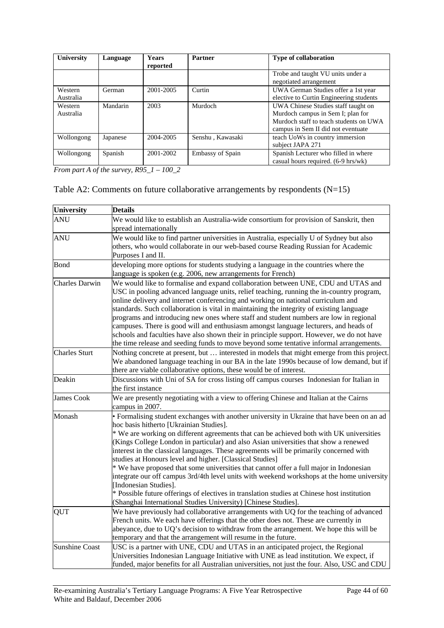| University           | Language | <b>Years</b><br>reported | Partner                 | <b>Type of collaboration</b>                                                                                                                             |
|----------------------|----------|--------------------------|-------------------------|----------------------------------------------------------------------------------------------------------------------------------------------------------|
|                      |          |                          |                         | Trobe and taught VU units under a<br>negotiated arrangement                                                                                              |
| Western<br>Australia | German   | 2001-2005                | Curtin                  | UWA German Studies offer a 1st year<br>elective to Curtin Engineering students                                                                           |
| Western<br>Australia | Mandarin | 2003                     | Murdoch                 | UWA Chinese Studies staff taught on<br>Murdoch campus in Sem I; plan for<br>Murdoch staff to teach students on UWA<br>campus in Sem II did not eventuate |
| Wollongong           | Japanese | 2004-2005                | Senshu, Kawasaki        | teach UoWs in country immersion<br>subject JAPA 271                                                                                                      |
| Wollongong           | Spanish  | 2001-2002                | <b>Embassy of Spain</b> | Spanish Lecturer who filled in where<br>casual hours required. (6-9 hrs/wk)                                                                              |

*From part A of the survey, R95\_1 – 100\_2* 

|  |  | Table A2: Comments on future collaborative arrangements by respondents $(N=15)$ |  |  |
|--|--|---------------------------------------------------------------------------------|--|--|
|  |  |                                                                                 |  |  |

| University            | <b>Details</b>                                                                                                                                                                                                                                                                                                                                                                                                                                                                                                                                                                                                                                                                                                                                                                                                                                                   |
|-----------------------|------------------------------------------------------------------------------------------------------------------------------------------------------------------------------------------------------------------------------------------------------------------------------------------------------------------------------------------------------------------------------------------------------------------------------------------------------------------------------------------------------------------------------------------------------------------------------------------------------------------------------------------------------------------------------------------------------------------------------------------------------------------------------------------------------------------------------------------------------------------|
| <b>ANU</b>            | We would like to establish an Australia-wide consortium for provision of Sanskrit, then<br>spread internationally                                                                                                                                                                                                                                                                                                                                                                                                                                                                                                                                                                                                                                                                                                                                                |
| ANU                   | We would like to find partner universities in Australia, especially U of Sydney but also<br>others, who would collaborate in our web-based course Reading Russian for Academic<br>Purposes I and II.                                                                                                                                                                                                                                                                                                                                                                                                                                                                                                                                                                                                                                                             |
| Bond                  | developing more options for students studying a language in the countries where the<br>language is spoken (e.g. 2006, new arrangements for French)                                                                                                                                                                                                                                                                                                                                                                                                                                                                                                                                                                                                                                                                                                               |
| <b>Charles Darwin</b> | We would like to formalise and expand collaboration between UNE, CDU and UTAS and<br>USC in pooling advanced language units, relief teaching, running the in-country program,<br>online delivery and internet conferencing and working on national curriculum and<br>standards. Such collaboration is vital in maintaining the integrity of existing language<br>programs and introducing new ones where staff and student numbers are low in regional<br>campuses. There is good will and enthusiasm amongst language lecturers, and heads of<br>schools and faculties have also shown their in principle support. However, we do not have<br>the time release and seeding funds to move beyond some tentative informal arrangements.                                                                                                                           |
| <b>Charles Sturt</b>  | Nothing concrete at present, but  interested in models that might emerge from this project.<br>We abandoned language teaching in our BA in the late 1990s because of low demand, but if<br>there are viable collaborative options, these would be of interest.                                                                                                                                                                                                                                                                                                                                                                                                                                                                                                                                                                                                   |
| Deakin                | Discussions with Uni of SA for cross listing off campus courses Indonesian for Italian in<br>the first instance                                                                                                                                                                                                                                                                                                                                                                                                                                                                                                                                                                                                                                                                                                                                                  |
| <b>James Cook</b>     | We are presently negotiating with a view to offering Chinese and Italian at the Cairns<br>campus in 2007.                                                                                                                                                                                                                                                                                                                                                                                                                                                                                                                                                                                                                                                                                                                                                        |
| Monash                | · Formalising student exchanges with another university in Ukraine that have been on an ad<br>hoc basis hitherto [Ukrainian Studies].<br>* We are working on different agreements that can be achieved both with UK universities<br>(Kings College London in particular) and also Asian universities that show a renewed<br>interest in the classical languages. These agreements will be primarily concerned with<br>studies at Honours level and higher. [Classical Studies]<br>* We have proposed that some universities that cannot offer a full major in Indonesian<br>integrate our off campus 3rd/4th level units with weekend workshops at the home university<br>[Indonesian Studies].<br>* Possible future offerings of electives in translation studies at Chinese host institution<br>(Shanghai International Studies University) [Chinese Studies]. |
| QUT                   | We have previously had collaborative arrangements with UQ for the teaching of advanced<br>French units. We each have offerings that the other does not. These are currently in<br>abeyance, due to UQ's decision to withdraw from the arrangement. We hope this will be<br>temporary and that the arrangement will resume in the future.                                                                                                                                                                                                                                                                                                                                                                                                                                                                                                                         |
| <b>Sunshine Coast</b> | USC is a partner with UNE, CDU and UTAS in an anticipated project, the Regional<br>Universities Indonesian Language Initiative with UNE as lead institution. We expect, if<br>funded, major benefits for all Australian universities, not just the four. Also, USC and CDU                                                                                                                                                                                                                                                                                                                                                                                                                                                                                                                                                                                       |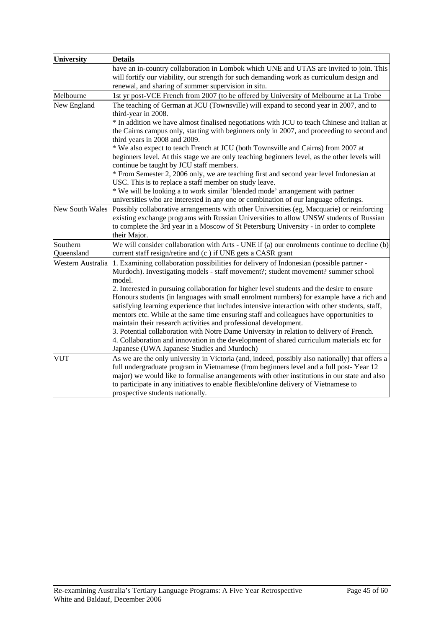| <b>University</b>      | <b>Details</b>                                                                                                                                                                                                                                                                                                                                                                                                                                          |
|------------------------|---------------------------------------------------------------------------------------------------------------------------------------------------------------------------------------------------------------------------------------------------------------------------------------------------------------------------------------------------------------------------------------------------------------------------------------------------------|
|                        | have an in-country collaboration in Lombok which UNE and UTAS are invited to join. This<br>will fortify our viability, our strength for such demanding work as curriculum design and<br>renewal, and sharing of summer supervision in situ.                                                                                                                                                                                                             |
| Melbourne              | 1st yr post-VCE French from 2007 (to be offered by University of Melbourne at La Trobe                                                                                                                                                                                                                                                                                                                                                                  |
| New England            | The teaching of German at JCU (Townsville) will expand to second year in 2007, and to<br>third-year in 2008.                                                                                                                                                                                                                                                                                                                                            |
|                        | * In addition we have almost finalised negotiations with JCU to teach Chinese and Italian at<br>the Cairns campus only, starting with beginners only in 2007, and proceeding to second and<br>third years in 2008 and 2009.                                                                                                                                                                                                                             |
|                        | * We also expect to teach French at JCU (both Townsville and Cairns) from 2007 at<br>beginners level. At this stage we are only teaching beginners level, as the other levels will<br>continue be taught by JCU staff members.                                                                                                                                                                                                                          |
|                        | * From Semester 2, 2006 only, we are teaching first and second year level Indonesian at<br>USC. This is to replace a staff member on study leave.                                                                                                                                                                                                                                                                                                       |
|                        | * We will be looking a to work similar 'blended mode' arrangement with partner<br>universities who are interested in any one or combination of our language offerings.                                                                                                                                                                                                                                                                                  |
| <b>New South Wales</b> | Possibly collaborative arrangements with other Universities (eg, Macquarie) or reinforcing<br>existing exchange programs with Russian Universities to allow UNSW students of Russian<br>to complete the 3rd year in a Moscow of St Petersburg University - in order to complete<br>their Major.                                                                                                                                                         |
| Southern               | We will consider collaboration with Arts - UNE if (a) our enrolments continue to decline $(b)$                                                                                                                                                                                                                                                                                                                                                          |
| Queensland             | current staff resign/retire and (c) if UNE gets a CASR grant                                                                                                                                                                                                                                                                                                                                                                                            |
| Western Australia      | 1. Examining collaboration possibilities for delivery of Indonesian (possible partner -<br>Murdoch). Investigating models - staff movement?; student movement? summer school<br>model.                                                                                                                                                                                                                                                                  |
|                        | 2. Interested in pursuing collaboration for higher level students and the desire to ensure<br>Honours students (in languages with small enrolment numbers) for example have a rich and<br>satisfying learning experience that includes intensive interaction with other students, staff,<br>mentors etc. While at the same time ensuring staff and colleagues have opportunities to<br>maintain their research activities and professional development. |
|                        | 3. Potential collaboration with Notre Dame University in relation to delivery of French.<br>4. Collaboration and innovation in the development of shared curriculum materials etc for<br>Japanese (UWA Japanese Studies and Murdoch)                                                                                                                                                                                                                    |
| <b>VUT</b>             | As we are the only university in Victoria (and, indeed, possibly also nationally) that offers a<br>full undergraduate program in Vietnamese (from beginners level and a full post-Year 12<br>major) we would like to formalise arrangements with other institutions in our state and also<br>to participate in any initiatives to enable flexible/online delivery of Vietnamese to<br>prospective students nationally.                                  |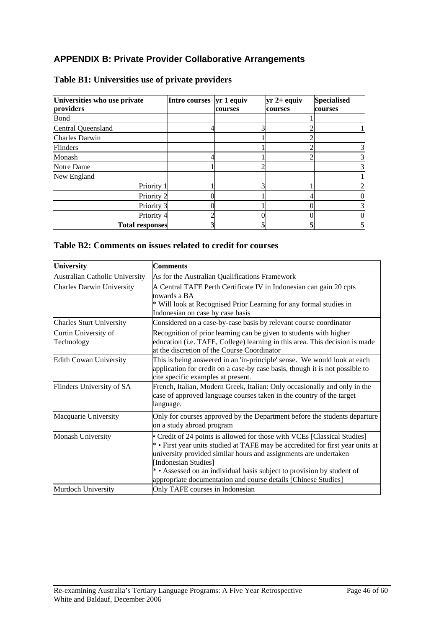# **APPENDIX B: Private Provider Collaborative Arrangements**

| Universities who use private | Intro courses | $yr 1$ equiv | $yr 2+$ equiv | <b>Specialised</b> |
|------------------------------|---------------|--------------|---------------|--------------------|
| providers                    |               | courses      | courses       | courses            |
| Bond                         |               |              |               |                    |
| Central Queensland           |               |              |               |                    |
| <b>Charles Darwin</b>        |               |              |               |                    |
| <b>Flinders</b>              |               |              |               |                    |
| Monash                       |               |              |               |                    |
| Notre Dame                   |               |              |               |                    |
| New England                  |               |              |               |                    |
| Priority 1                   |               | ⌒            |               |                    |
| Priority 2                   |               |              |               |                    |
| Priority 3                   |               |              |               |                    |
| Priority 4                   |               |              |               |                    |
| <b>Total responses</b>       |               |              |               |                    |

# **Table B1: Universities use of private providers**

## **Table B2: Comments on issues related to credit for courses**

| <b>University</b>                  | <b>Comments</b>                                                                                                                                                                                                                                                                                                                                                                                  |  |  |  |
|------------------------------------|--------------------------------------------------------------------------------------------------------------------------------------------------------------------------------------------------------------------------------------------------------------------------------------------------------------------------------------------------------------------------------------------------|--|--|--|
| Australian Catholic University     | As for the Australian Qualifications Framework                                                                                                                                                                                                                                                                                                                                                   |  |  |  |
| <b>Charles Darwin University</b>   | A Central TAFE Perth Certificate IV in Indonesian can gain 20 cpts<br>towards a BA<br>* Will look at Recognised Prior Learning for any formal studies in<br>Indonesian on case by case basis                                                                                                                                                                                                     |  |  |  |
| <b>Charles Sturt University</b>    | Considered on a case-by-case basis by relevant course coordinator                                                                                                                                                                                                                                                                                                                                |  |  |  |
| Curtin University of<br>Technology | Recognition of prior learning can be given to students with higher<br>education (i.e. TAFE, College) learning in this area. This decision is made<br>at the discretion of the Course Coordinator                                                                                                                                                                                                 |  |  |  |
| <b>Edith Cowan University</b>      | This is being answered in an 'in-principle' sense. We would look at each<br>application for credit on a case-by case basis, though it is not possible to<br>cite specific examples at present.                                                                                                                                                                                                   |  |  |  |
| Flinders University of SA          | French, Italian, Modern Greek, Italian: Only occasionally and only in the<br>case of approved language courses taken in the country of the target<br>language.                                                                                                                                                                                                                                   |  |  |  |
| Macquarie University               | Only for courses approved by the Department before the students departure<br>on a study abroad program                                                                                                                                                                                                                                                                                           |  |  |  |
| Monash University                  | • Credit of 24 points is allowed for those with VCEs [Classical Studies]<br>* • First year units studied at TAFE may be accredited for first year units at<br>university provided similar hours and assignments are undertaken<br>[Indonesian Studies]<br>* Assessed on an individual basis subject to provision by student of<br>appropriate documentation and course details [Chinese Studies] |  |  |  |
| Murdoch University                 | Only TAFE courses in Indonesian                                                                                                                                                                                                                                                                                                                                                                  |  |  |  |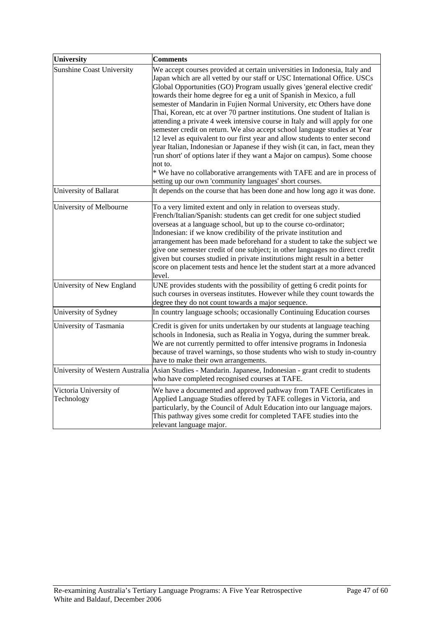| University                           | <b>Comments</b>                                                                                                                                                                                                                                                                                                                                                                                                                                                                                                                                                                                                                                                                                                                                                                                                                                                                                                                                                                                                                  |
|--------------------------------------|----------------------------------------------------------------------------------------------------------------------------------------------------------------------------------------------------------------------------------------------------------------------------------------------------------------------------------------------------------------------------------------------------------------------------------------------------------------------------------------------------------------------------------------------------------------------------------------------------------------------------------------------------------------------------------------------------------------------------------------------------------------------------------------------------------------------------------------------------------------------------------------------------------------------------------------------------------------------------------------------------------------------------------|
| <b>Sunshine Coast University</b>     | We accept courses provided at certain universities in Indonesia, Italy and<br>Japan which are all vetted by our staff or USC International Office. USCs<br>Global Opportunities (GO) Program usually gives 'general elective credit'<br>towards their home degree for eg a unit of Spanish in Mexico, a full<br>semester of Mandarin in Fujien Normal University, etc Others have done<br>Thai, Korean, etc at over 70 partner institutions. One student of Italian is<br>attending a private 4 week intensive course in Italy and will apply for one<br>semester credit on return. We also accept school language studies at Year<br>12 level as equivalent to our first year and allow students to enter second<br>year Italian, Indonesian or Japanese if they wish (it can, in fact, mean they<br>'run short' of options later if they want a Major on campus). Some choose<br>not to.<br>* We have no collaborative arrangements with TAFE and are in process of<br>setting up our own 'community languages' short courses. |
| University of Ballarat               | It depends on the course that has been done and how long ago it was done.                                                                                                                                                                                                                                                                                                                                                                                                                                                                                                                                                                                                                                                                                                                                                                                                                                                                                                                                                        |
| University of Melbourne              | To a very limited extent and only in relation to overseas study.<br>French/Italian/Spanish: students can get credit for one subject studied<br>overseas at a language school, but up to the course co-ordinator;<br>Indonesian: if we know credibility of the private institution and<br>arrangement has been made beforehand for a student to take the subject we<br>give one semester credit of one subject; in other languages no direct credit<br>given but courses studied in private institutions might result in a better<br>score on placement tests and hence let the student start at a more advanced<br>level.                                                                                                                                                                                                                                                                                                                                                                                                        |
| University of New England            | UNE provides students with the possibility of getting 6 credit points for<br>such courses in overseas institutes. However while they count towards the<br>degree they do not count towards a major sequence.                                                                                                                                                                                                                                                                                                                                                                                                                                                                                                                                                                                                                                                                                                                                                                                                                     |
| University of Sydney                 | In country language schools; occasionally Continuing Education courses                                                                                                                                                                                                                                                                                                                                                                                                                                                                                                                                                                                                                                                                                                                                                                                                                                                                                                                                                           |
| University of Tasmania               | Credit is given for units undertaken by our students at language teaching<br>schools in Indonesia, such as Realia in Yogya, during the summer break.<br>We are not currently permitted to offer intensive programs in Indonesia<br>because of travel warnings, so those students who wish to study in-country<br>have to make their own arrangements.                                                                                                                                                                                                                                                                                                                                                                                                                                                                                                                                                                                                                                                                            |
| University of Western Australia      | Asian Studies - Mandarin. Japanese, Indonesian - grant credit to students<br>who have completed recognised courses at TAFE.                                                                                                                                                                                                                                                                                                                                                                                                                                                                                                                                                                                                                                                                                                                                                                                                                                                                                                      |
| Victoria University of<br>Technology | We have a documented and approved pathway from TAFE Certificates in<br>Applied Language Studies offered by TAFE colleges in Victoria, and<br>particularly, by the Council of Adult Education into our language majors.<br>This pathway gives some credit for completed TAFE studies into the<br>relevant language major.                                                                                                                                                                                                                                                                                                                                                                                                                                                                                                                                                                                                                                                                                                         |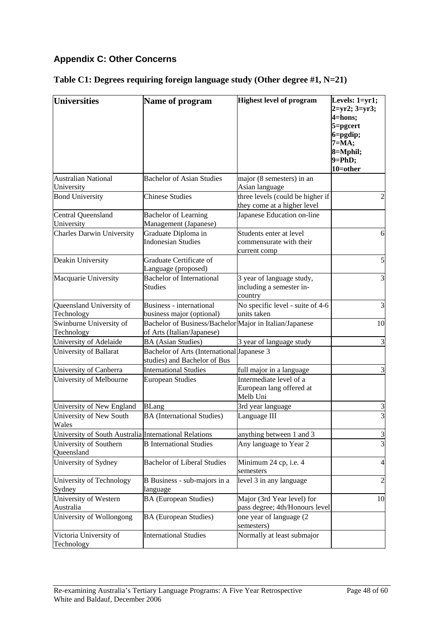# **Appendix C: Other Concerns**

# **Table C1: Degrees requiring foreign language study (Other degree #1, N=21)**

| <b>Universities</b>                                   | Name of program                                                                                         | <b>Highest level of program</b>                                                   | Levels: 1=yr1;<br>$2 = yr2$ ; $3 = yr3$ ;<br>4=hons;<br>$5 =$ pgcert<br>$6 =$ pgdip;<br>$7 = MA;$<br>$8 = M$ phil;<br>$9 = PhD;$ |
|-------------------------------------------------------|---------------------------------------------------------------------------------------------------------|-----------------------------------------------------------------------------------|----------------------------------------------------------------------------------------------------------------------------------|
| <b>Australian National</b>                            | <b>Bachelor of Asian Studies</b>                                                                        | major (8 semesters) in an                                                         | $10$ =other                                                                                                                      |
| University<br><b>Bond University</b>                  | <b>Chinese Studies</b>                                                                                  | Asian language<br>three levels (could be higher if<br>they come at a higher level | 2                                                                                                                                |
| Central Queensland<br>University                      | <b>Bachelor of Learning</b><br>Management (Japanese)                                                    | Japanese Education on-line                                                        |                                                                                                                                  |
| <b>Charles Darwin University</b>                      | Graduate Diploma in<br><b>Indonesian Studies</b>                                                        | Students enter at level<br>commensurate with their<br>current comp                | 6                                                                                                                                |
| Deakin University                                     | Graduate Certificate of<br>Language (proposed)                                                          |                                                                                   | $\mathfrak{S}$                                                                                                                   |
| Macquarie University                                  | <b>Bachelor of International</b><br><b>Studies</b>                                                      | 3 year of language study,<br>including a semester in-<br>country                  | $\overline{3}$                                                                                                                   |
| Queensland University of<br>Technology                | Business - international<br>business major (optional)                                                   | No specific level - suite of 4-6<br>units taken                                   | 3                                                                                                                                |
| Swinburne University of<br>Technology                 | Bachelor of Business/Bachelor Major in Italian/Japanese<br>of Arts (Italian/Japanese)                   |                                                                                   | 10                                                                                                                               |
| University of Adelaide<br>University of Ballarat      | <b>BA</b> (Asian Studies)<br>Bachelor of Arts (International Japanese 3<br>studies) and Bachelor of Bus | 3 year of language study                                                          | 3                                                                                                                                |
| University of Canberra                                | <b>International Studies</b>                                                                            | full major in a language                                                          | 3                                                                                                                                |
| University of Melbourne                               | <b>European Studies</b>                                                                                 | Intermediate level of a<br>European lang offered at<br>Melb Uni                   |                                                                                                                                  |
| University of New England                             | <b>BLang</b>                                                                                            | 3rd year language                                                                 | 3                                                                                                                                |
| University of New South<br>Wales                      | <b>BA</b> (International Studies)                                                                       | Language III                                                                      | 3                                                                                                                                |
| University of South Australia International Relations |                                                                                                         | anything between 1 and 3                                                          | 3                                                                                                                                |
| University of Southern<br>Queensland                  | <b>B</b> International Studies                                                                          | Any language to Year 2                                                            | $\overline{3}$                                                                                                                   |
| University of Sydney                                  | <b>Bachelor of Liberal Studies</b>                                                                      | Minimum 24 cp, i.e. 4<br>semesters                                                | $\overline{4}$                                                                                                                   |
| University of Technology<br>Sydney                    | B Business - sub-majors in a<br>language                                                                | level 3 in any language                                                           | $\overline{c}$                                                                                                                   |
| University of Western<br>Australia                    | <b>BA</b> (European Studies)                                                                            | Major (3rd Year level) for<br>pass degree; 4th/Honours level                      | 10                                                                                                                               |
| University of Wollongong                              | <b>BA</b> (European Studies)                                                                            | one year of language (2)<br>semesters)                                            |                                                                                                                                  |
| Victoria University of<br>Technology                  | <b>International Studies</b>                                                                            | Normally at least submajor                                                        |                                                                                                                                  |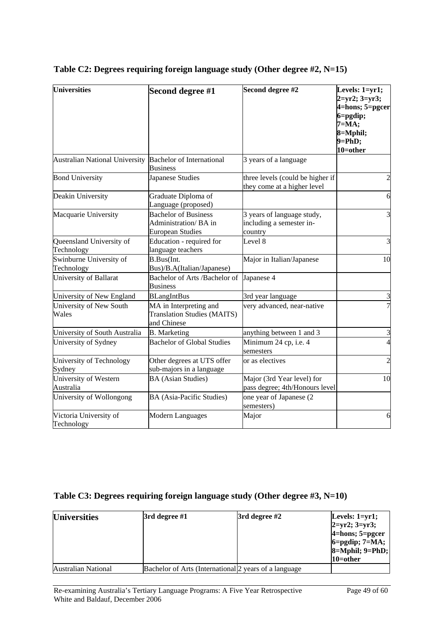| <b>Universities</b>                                      | Second degree #1                                                               | Second degree #2                                                  | Levels: $1 = yr1$ ;<br>$2 = yr2$ ; $3 = yr3$ ;<br>4=hons; 5=pgcer<br>$6 =$ pgdip;<br>$7 = MA;$<br>8=Mphil;<br>$9 = PhD;$<br>$10 =$ other |
|----------------------------------------------------------|--------------------------------------------------------------------------------|-------------------------------------------------------------------|------------------------------------------------------------------------------------------------------------------------------------------|
| Australian National University Bachelor of International | <b>Business</b>                                                                | 3 years of a language                                             |                                                                                                                                          |
| <b>Bond University</b>                                   | Japanese Studies                                                               | three levels (could be higher if<br>they come at a higher level   | $\overline{2}$                                                                                                                           |
| Deakin University                                        | Graduate Diploma of<br>Language (proposed)                                     |                                                                   | 6                                                                                                                                        |
| Macquarie University                                     | <b>Bachelor of Business</b><br>Administration/BA in<br><b>European Studies</b> | 3 years of language study,<br>including a semester in-<br>country | 3                                                                                                                                        |
| Queensland University of<br>Technology                   | Education - required for<br>language teachers                                  | Level 8                                                           | 3                                                                                                                                        |
| Swinburne University of<br>Technology                    | B.Bus(Int.<br>Bus)/B.A(Italian/Japanese)                                       | Major in Italian/Japanese                                         | 10                                                                                                                                       |
| University of Ballarat                                   | Bachelor of Arts /Bachelor of<br><b>Business</b>                               | Japanese 4                                                        |                                                                                                                                          |
| University of New England                                | <b>BLangIntBus</b>                                                             | 3rd year language                                                 | 3                                                                                                                                        |
| University of New South<br>Wales                         | MA in Interpreting and<br><b>Translation Studies (MAITS)</b><br>and Chinese    | very advanced, near-native                                        |                                                                                                                                          |
| University of South Australia                            | <b>B.</b> Marketing                                                            | anything between 1 and 3                                          | 3                                                                                                                                        |
| University of Sydney                                     | <b>Bachelor of Global Studies</b>                                              | Minimum 24 cp, i.e. 4<br>semesters                                | $\overline{4}$                                                                                                                           |
| University of Technology<br>Sydney                       | Other degrees at UTS offer<br>sub-majors in a language                         | or as electives                                                   | $\overline{\mathcal{L}}$                                                                                                                 |
| University of Western<br>Australia                       | <b>BA</b> (Asian Studies)                                                      | Major (3rd Year level) for<br>pass degree; 4th/Honours level      | 10                                                                                                                                       |
| University of Wollongong                                 | BA (Asia-Pacific Studies)                                                      | one year of Japanese (2<br>semesters)                             |                                                                                                                                          |
| Victoria University of<br>Technology                     | <b>Modern Languages</b>                                                        | Major                                                             | 6                                                                                                                                        |

# **Table C2: Degrees requiring foreign language study (Other degree #2, N=15)**

# **Table C3: Degrees requiring foreign language study (Other degree #3, N=10)**

| <b>Universities</b> | 3rd degree #1 | $3rd$ degree #2                                        | Levels: $1 = yr1$ ;  |
|---------------------|---------------|--------------------------------------------------------|----------------------|
|                     |               |                                                        | $ 2=yr2; 3=yr3;$     |
|                     |               |                                                        | $4 =$ hons; 5=pgcer  |
|                     |               |                                                        | $6 =$ pgdip; 7=MA;   |
|                     |               |                                                        | $8 = M$ phil; 9=PhD; |
|                     |               |                                                        | 10=other             |
| Australian National |               | Bachelor of Arts (International) 2 years of a language |                      |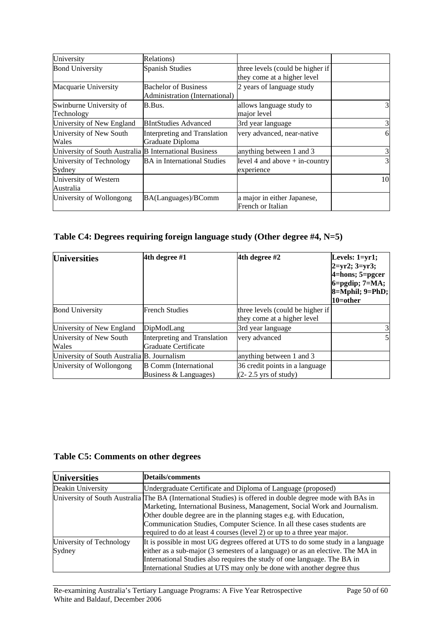| University                                             | Relations)                                                    |                                                                 |    |
|--------------------------------------------------------|---------------------------------------------------------------|-----------------------------------------------------------------|----|
| <b>Bond University</b>                                 | <b>Spanish Studies</b>                                        | three levels (could be higher if<br>they come at a higher level |    |
| Macquarie University                                   | <b>Bachelor of Business</b><br>Administration (International) | 2 years of language study                                       |    |
| Swinburne University of<br>Technology                  | B.Bus.                                                        | allows language study to<br>major level                         | 3  |
| University of New England                              | <b>BIntStudies Advanced</b>                                   | 3rd year language                                               | 3  |
| University of New South<br>Wales                       | Interpreting and Translation<br>Graduate Diploma              | very advanced, near-native                                      | 6  |
| University of South Australia B International Business |                                                               | anything between 1 and 3                                        | 3  |
| University of Technology<br>Sydney                     | <b>BA</b> in International Studies                            | level 4 and above $+$ in-country<br>experience                  | 3  |
| University of Western<br>Australia                     |                                                               |                                                                 | 10 |
| University of Wollongong                               | BA(Languages)/BComm                                           | a major in either Japanese,<br>French or Italian                |    |

# **Table C4: Degrees requiring foreign language study (Other degree #4, N=5)**

| <b>Universities</b>                         | 4th degree #1                                         | 4th degree #2                                                   | Levels: $1 = yr1$ ;<br>$ 2=yr2; 3=yr3;$<br>$4 =$ hons; 5=pgcer<br>$6 =$ pgdip; 7=MA;<br>8=Mphil; 9=PhD;<br>$10 =$ other |
|---------------------------------------------|-------------------------------------------------------|-----------------------------------------------------------------|-------------------------------------------------------------------------------------------------------------------------|
| <b>Bond University</b>                      | <b>French Studies</b>                                 | three levels (could be higher if<br>they come at a higher level |                                                                                                                         |
| University of New England                   | DipModLang                                            | 3rd year language                                               | 3                                                                                                                       |
| University of New South<br>Wales            | Interpreting and Translation<br>Graduate Certificate  | very advanced                                                   | 5                                                                                                                       |
| University of South Australia B. Journalism |                                                       | anything between 1 and 3                                        |                                                                                                                         |
| University of Wollongong                    | <b>B</b> Comm (International<br>Business & Languages) | 36 credit points in a language<br>$(2 - 2.5$ yrs of study)      |                                                                                                                         |

# **Table C5: Comments on other degrees**

| <b>Universities</b>      | Details/comments                                                                                          |
|--------------------------|-----------------------------------------------------------------------------------------------------------|
| Deakin University        | Undergraduate Certificate and Diploma of Language (proposed)                                              |
|                          | University of South Australia The BA (International Studies) is offered in double degree mode with BAs in |
|                          | Marketing, International Business, Management, Social Work and Journalism.                                |
|                          | Other double degree are in the planning stages e.g. with Education,                                       |
|                          | Communication Studies, Computer Science. In all these cases students are                                  |
|                          | required to do at least 4 courses (level 2) or up to a three year major.                                  |
| University of Technology | It is possible in most UG degrees offered at UTS to do some study in a language                           |
| Sydney                   | either as a sub-major (3 semesters of a language) or as an elective. The MA in                            |
|                          | International Studies also requires the study of one language. The BA in                                  |
|                          | International Studies at UTS may only be done with another degree thus                                    |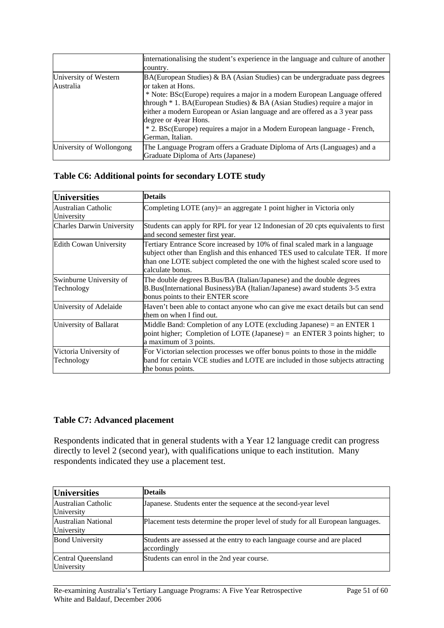|                          | internationalising the student's experience in the language and culture of another |
|--------------------------|------------------------------------------------------------------------------------|
|                          | country.                                                                           |
| University of Western    | $BA(European Studies)$ & BA (Asian Studies) can be undergraduate pass degrees      |
| Australia                | or taken at Hons.                                                                  |
|                          | * Note: BSc(Europe) requires a major in a modern European Language offered         |
|                          | through * 1. BA(European Studies) & BA (Asian Studies) require a major in          |
|                          | either a modern European or Asian language and are offered as a 3 year pass        |
|                          | degree or 4year Hons.                                                              |
|                          | * 2. BSc(Europe) requires a major in a Modern European language - French,          |
|                          | German, Italian.                                                                   |
| University of Wollongong | The Language Program offers a Graduate Diploma of Arts (Languages) and a           |
|                          | Graduate Diploma of Arts (Japanese)                                                |

## **Table C6: Additional points for secondary LOTE study**

| <b>Universities</b>                   | <b>Details</b>                                                                                                                                                                                                                                                      |
|---------------------------------------|---------------------------------------------------------------------------------------------------------------------------------------------------------------------------------------------------------------------------------------------------------------------|
| Australian Catholic<br>University     | Completing LOTE (any)= an aggregate 1 point higher in Victoria only                                                                                                                                                                                                 |
| <b>Charles Darwin University</b>      | Students can apply for RPL for year 12 Indonesian of 20 cpts equivalents to first<br>and second semester first year.                                                                                                                                                |
| <b>Edith Cowan University</b>         | Tertiary Entrance Score increased by 10% of final scaled mark in a language<br>subject other than English and this enhanced TES used to calculate TER. If more<br>than one LOTE subject completed the one with the highest scaled score used to<br>calculate bonus. |
| Swinburne University of<br>Technology | The double degrees B.Bus/BA (Italian/Japanese) and the double degrees<br>B.Bus(International Business)/BA (Italian/Japanese) award students 3-5 extra<br>bonus points to their ENTER score                                                                          |
| University of Adelaide                | Haven't been able to contact anyone who can give me exact details but can send<br>them on when I find out.                                                                                                                                                          |
| University of Ballarat                | Middle Band: Completion of any LOTE (excluding Japanese) = an ENTER 1<br>point higher; Completion of LOTE (Japanese) = an ENTER 3 points higher; to<br>a maximum of 3 points.                                                                                       |
| Victoria University of<br>Technology  | For Victorian selection processes we offer bonus points to those in the middle<br>band for certain VCE studies and LOTE are included in those subjects attracting<br>the bonus points.                                                                              |

## **Table C7: Advanced placement**

Respondents indicated that in general students with a Year 12 language credit can progress directly to level 2 (second year), with qualifications unique to each institution. Many respondents indicated they use a placement test.

| <b>Universities</b>               | <b>Details</b>                                                                           |
|-----------------------------------|------------------------------------------------------------------------------------------|
| Australian Catholic<br>University | Japanese. Students enter the sequence at the second-year level                           |
| Australian National<br>University | Placement tests determine the proper level of study for all European languages.          |
| <b>Bond University</b>            | Students are assessed at the entry to each language course and are placed<br>accordingly |
| Central Queensland<br>University  | Students can enrol in the 2nd year course.                                               |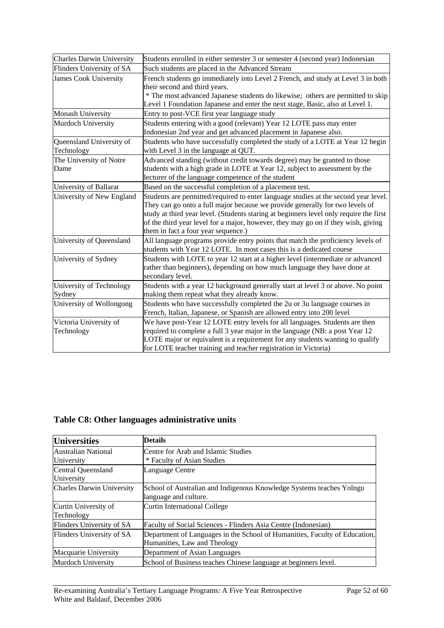| <b>Charles Darwin University</b>       | Students enrolled in either semester 3 or semester 4 (second year) Indonesian                                                                                                                                                                                                                                                                                                             |
|----------------------------------------|-------------------------------------------------------------------------------------------------------------------------------------------------------------------------------------------------------------------------------------------------------------------------------------------------------------------------------------------------------------------------------------------|
| Flinders University of SA              | Such students are placed in the Advanced Stream                                                                                                                                                                                                                                                                                                                                           |
| James Cook University                  | French students go immediately into Level 2 French, and study at Level 3 in both<br>their second and third years.<br>* The most advanced Japanese students do likewise; others are permitted to skip<br>Level 1 Foundation Japanese and enter the next stage, Basic, also at Level 1.                                                                                                     |
| Monash University                      | Entry to post-VCE first year language study                                                                                                                                                                                                                                                                                                                                               |
| Murdoch University                     | Students entering with a good (relevant) Year 12 LOTE pass may enter<br>Indonesian 2nd year and get advanced placement in Japanese also.                                                                                                                                                                                                                                                  |
| Queensland University of<br>Technology | Students who have successfully completed the study of a LOTE at Year 12 begin<br>with Level 3 in the language at QUT.                                                                                                                                                                                                                                                                     |
| The University of Notre<br>Dame        | Advanced standing (without credit towards degree) may be granted to those<br>students with a high grade in LOTE at Year 12, subject to assessment by the<br>lecturer of the language competence of the student                                                                                                                                                                            |
| University of Ballarat                 | Based on the successful completion of a placement test.                                                                                                                                                                                                                                                                                                                                   |
| University of New England              | Students are permitted/required to enter language studies at the second year level.<br>They can go onto a full major because we provide generally for two levels of<br>study at third year level. (Students staring at beginners level only require the first<br>of the third year level for a major, however, they may go on if they wish, giving<br>them in fact a four year sequence.) |
| University of Queensland               | All language programs provide entry points that match the proficiency levels of<br>students with Year 12 LOTE. In most cases this is a dedicated course                                                                                                                                                                                                                                   |
| University of Sydney                   | Students with LOTE to year 12 start at a higher level (intermediate or advanced<br>rather than beginners), depending on how much language they have done at<br>secondary level.                                                                                                                                                                                                           |
| University of Technology<br>Sydney     | Students with a year 12 background generally start at level 3 or above. No point<br>making them repeat what they already know.                                                                                                                                                                                                                                                            |
| University of Wollongong               | Students who have successfully completed the 2u or 3u language courses in<br>French, Italian, Japanese, or Spanish are allowed entry into 200 level                                                                                                                                                                                                                                       |
| Victoria University of<br>Technology   | We have post-Year 12 LOTE entry levels for all languages. Students are then<br>required to complete a full 3 year major in the language (NB: a post Year 12<br>LOTE major or equivalent is a requirement for any students wanting to qualify<br>for LOTE teacher training and teacher registration in Victoria)                                                                           |

# **Table C8: Other languages administrative units**

| <b>Universities</b>              | <b>Details</b>                                                             |
|----------------------------------|----------------------------------------------------------------------------|
| Australian National              | Centre for Arab and Islamic Studies                                        |
| University                       | * Faculty of Asian Studies                                                 |
| Central Queensland               | Language Centre                                                            |
| University                       |                                                                            |
| <b>Charles Darwin University</b> | School of Australian and Indigenous Knowledge Systems teaches Yolngu       |
|                                  | language and culture.                                                      |
| Curtin University of             | Curtin International College                                               |
| Technology                       |                                                                            |
| Flinders University of SA        | Faculty of Social Sciences - Flinders Asia Centre (Indonesian)             |
| Flinders University of SA        | Department of Languages in the School of Humanities, Faculty of Education, |
|                                  | Humanities, Law and Theology                                               |
| Macquarie University             | Department of Asian Languages                                              |
| Murdoch University               | School of Business teaches Chinese language at beginners level.            |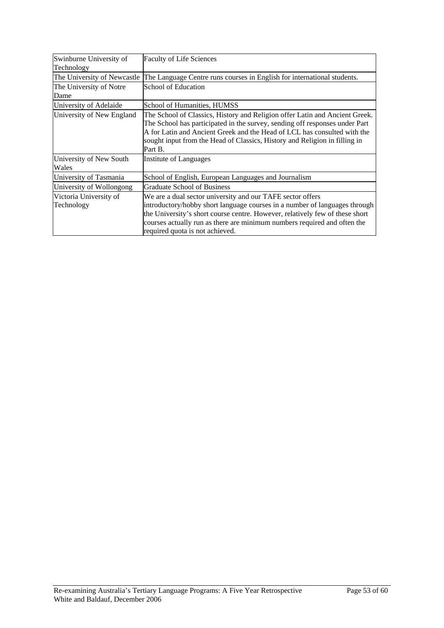| Swinburne University of<br>Technology | <b>Faculty of Life Sciences</b>                                                                                                                                                                                                                                                                                                         |
|---------------------------------------|-----------------------------------------------------------------------------------------------------------------------------------------------------------------------------------------------------------------------------------------------------------------------------------------------------------------------------------------|
| The University of Newcastle           | The Language Centre runs courses in English for international students.                                                                                                                                                                                                                                                                 |
| The University of Notre               | School of Education                                                                                                                                                                                                                                                                                                                     |
| Dame                                  |                                                                                                                                                                                                                                                                                                                                         |
| University of Adelaide                | School of Humanities, HUMSS                                                                                                                                                                                                                                                                                                             |
| University of New England             | The School of Classics, History and Religion offer Latin and Ancient Greek.<br>The School has participated in the survey, sending off responses under Part<br>A for Latin and Ancient Greek and the Head of LCL has consulted with the<br>sought input from the Head of Classics, History and Religion in filling in<br>Part B.         |
| University of New South<br>Wales      | Institute of Languages                                                                                                                                                                                                                                                                                                                  |
| University of Tasmania                | School of English, European Languages and Journalism                                                                                                                                                                                                                                                                                    |
| University of Wollongong              | <b>Graduate School of Business</b>                                                                                                                                                                                                                                                                                                      |
| Victoria University of<br>Technology  | We are a dual sector university and our TAFE sector offers<br>introductory/hobby short language courses in a number of languages through<br>the University's short course centre. However, relatively few of these short<br>courses actually run as there are minimum numbers required and often the<br>required quota is not achieved. |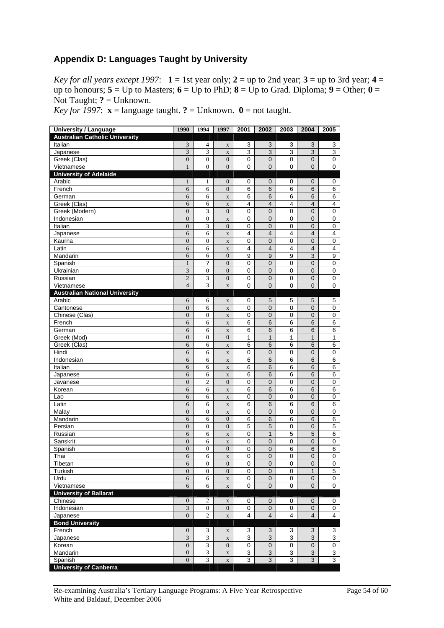# **Appendix D: Languages Taught by University**

*Key for all years except 1997*:  $1 = 1$  st year only;  $2 = up$  to 2nd year;  $3 = up$  to 3rd year;  $4 =$ up to honours;  $5 = Up$  to Masters;  $6 = Up$  to PhD;  $8 = Up$  to Grad. Diploma;  $9 = Other$ ;  $0 =$ Not Taught;  $? =$  Unknown.

*Key for 1997*:  $\mathbf{x} =$  language taught. **?** = Unknown. **0** = not taught.

| <b>University / Language</b>          | 1990             | 1994                        | 1997             | 2001           | 2002           | 2003           | 2004                      | 2005           |
|---------------------------------------|------------------|-----------------------------|------------------|----------------|----------------|----------------|---------------------------|----------------|
| <b>Australian Catholic University</b> |                  |                             |                  |                |                |                |                           |                |
| Italian                               | 3                | 4                           | $\mathbf X$      | 3              | 3              | 3              | 3                         | 3              |
| Japanese                              | 3                | 3                           | $\mathbf X$      | 3              | 3              | 3              | 3                         | 3              |
| Greek (Clas)                          | $\overline{0}$   | $\boldsymbol{0}$            | $\overline{0}$   | $\mathbf 0$    | $\mathbf 0$    | 0              | $\mathbf 0$               | $\pmb{0}$      |
| Vietnamese                            | $\mathbf{1}$     | $\overline{0}$              | $\boldsymbol{0}$ | 0              | 0              | 0              | $\overline{0}$            | 0              |
| <b>University of Adelaide</b>         |                  |                             |                  |                |                |                |                           |                |
| Arabic                                | $\mathbf{1}$     | $\mathbf{1}$                | $\boldsymbol{0}$ | 0              | 0              | 0              | 0                         | 0              |
| French                                | 6                | 6                           | $\boldsymbol{0}$ | 6              | 6              | 6              | 6                         | 6              |
| German                                | 6                | 6                           | $\mathbf X$      | 6              | 6              | 6              | $\,6$                     | 6              |
| Greek (Clas)                          | 6                | 6                           | $\mathbf X$      | 4              | $\overline{4}$ | 4              | $\overline{4}$            | 4              |
| Greek (Modern)                        | $\overline{0}$   | 3                           | $\boldsymbol{0}$ | 0              | 0              | 0              | 0                         | 0              |
| Indonesian                            | $\mathbf{0}$     | $\boldsymbol{0}$            | $\mathbf X$      | $\mathbf 0$    | $\pmb{0}$      | $\mathsf 0$    | $\mathbf 0$               | 0              |
| Italian                               | $\overline{0}$   | 3                           | $\mathbf{0}$     | $\mathbf 0$    | $\mathbf 0$    | $\mathbf 0$    | $\pmb{0}$                 | 0              |
| Japanese                              | 6                | 6                           | $\mathbf X$      | 4              | $\overline{4}$ | 4              | $\overline{4}$            | 4              |
| Kaurna                                | $\overline{0}$   | $\boldsymbol{0}$            | $\mathbf X$      | $\mathbf 0$    | $\mathbf 0$    | $\mathbf 0$    | 0                         | 0              |
| Latin                                 | 6                | 6                           | $\mathbf X$      | 4              | $\overline{4}$ | 4              | $\overline{4}$            | 4              |
| Mandarin                              | 6                | 6                           | $\boldsymbol{0}$ | 9              | 9              | 9              | 3                         | 9              |
| Spanish                               | $\mathbf{1}$     | $\overline{?}$              | $\boldsymbol{0}$ | 0              | $\overline{0}$ | $\mathbf 0$    | $\mathbf 0$               | 0              |
| Ukrainian                             | 3                | $\boldsymbol{0}$            | $\boldsymbol{0}$ | $\mathbf 0$    | $\mathbf 0$    | $\mathbf 0$    | $\pmb{0}$                 | 0              |
| Russian                               | $\overline{c}$   | 3                           | $\boldsymbol{0}$ | 0              | $\pmb{0}$      | 0              | $\mathbf 0$               | $\pmb{0}$      |
| Vietnamese                            | $\overline{4}$   | 3                           | $\mathbf X$      | 0              | $\overline{0}$ | 0              | 0                         | 0              |
| <b>Australian National University</b> |                  |                             |                  |                |                |                |                           |                |
| Arabic                                | 6                | 6                           | $\mathbf X$      | 0              | 5              | 5              | 5                         | 5              |
| Cantonese                             | $\mathbf{0}$     | 6                           | $\mathbf X$      | 0              | $\overline{0}$ | 0              | $\mathbf 0$               | 0              |
| Chinese (Clas)                        | $\mathbf{0}$     | $\boldsymbol{0}$            | $\mathbf X$      | 0              | $\pmb{0}$      | $\mathbf 0$    | $\pmb{0}$                 | 0              |
| French                                | 6                | 6                           | $\mathbf X$      | 6              | 6              | 6              | 6                         | 6              |
| German                                | 6                | 6                           | $\mathbf X$      | 6              | 6              | 6              | 6                         | 6              |
| Greek (Mod)                           | $\boldsymbol{0}$ | $\boldsymbol{0}$            | $\boldsymbol{0}$ | 1              | $\mathbf{1}$   | 1              | $\mathbf{1}$              | 1              |
| Greek (Clas)                          | 6                | 6                           | $\mathbf X$      | 6              | $6\phantom{1}$ | 6              | 6                         | 6              |
| Hindi                                 | 6                | 6                           | $\mathbf X$      | $\mathbf 0$    | $\mathbf 0$    | $\mathbf 0$    | $\mathbf 0$               | 0              |
| <b>Indonesian</b>                     | 6                | 6                           | $\mathbf X$      | 6              | $6\,$          | 6              | $\overline{6}$            | 6              |
| Italian                               | 6                | 6                           | $\mathbf X$      | 6              | 6              | 6              | $\,$ 6                    | 6              |
| Japanese                              | 6                | 6                           | $\mathbf X$      | 6              | 6              | 6              | 6                         | 6              |
| Javanese                              | $\mathbf{0}$     | $\overline{c}$              | $\overline{0}$   | 0              | $\mathbf 0$    | $\pmb{0}$      | $\mathbf 0$               | 0              |
| Korean                                | 6                | 6                           | $\mathbf X$      | 6              | $\,6$          | 6              | $\overline{6}$            | 6              |
| Lao                                   | 6                | 6                           | $\mathbf X$      | 0              | $\mathbf 0$    | 0              | $\mathbf 0$               | 0              |
| Latin                                 | 6                | 6                           | $\mathbf X$      | 6              | 6              | 6              | 6                         | 6              |
| Malay                                 | $\overline{0}$   | $\boldsymbol{0}$            | $\mathbf X$      | 0              | $\mathsf 0$    | $\mathbf 0$    | $\mathbf 0$               | 0              |
| Mandarin                              | 6                | 6                           | $\boldsymbol{0}$ | 6              | 6              | 6              | $\,$ 6                    | 6              |
| Persian                               | $\overline{0}$   | $\boldsymbol{0}$            | $\boldsymbol{0}$ | 5              | 5              | 0              | 0                         | 5              |
| Russian                               | 6                | 6                           | $\mathbf X$      | 0              | $\mathbf{1}$   | 5              | 5                         | 6              |
| Sanskrit                              | $\mathbf{0}$     | 6                           | $\mathbf X$      | $\mathbf 0$    | $\pmb{0}$      | $\pmb{0}$      | $\mathbf 0$               | 0              |
| Spanish                               | $\mathbf{0}$     | $\boldsymbol{0}$            | $\boldsymbol{0}$ | 0              | 0              | 6              | 6                         | 6              |
| Thai                                  | 6                | 6                           | $\mathbf X$      | 0              | $\overline{0}$ | 0              | $\overline{0}$            | 0              |
| Tibetan                               | 6                | $\boldsymbol{0}$            | $\boldsymbol{0}$ | 0              | 0              | 0              | $\pmb{0}$                 | 0              |
| Turkish                               | $\overline{0}$   | $\overline{0}$              | $\overline{0}$   | 0              | $\mathbf 0$    | 0              | $\mathbf{1}$              | 5              |
| Urdu                                  | 6                | 6                           | $\mathbf X$      | 0              | $\pmb{0}$      | 0              | $\pmb{0}$                 | 0              |
| Vietnamese                            | 6                | $\overline{6}$              | $\mathbf X$      | $\overline{0}$ | $\overline{0}$ | $\overline{0}$ | $\mathbf 0$               | $\overline{0}$ |
| <b>University of Ballarat</b>         |                  |                             |                  |                |                |                |                           |                |
| Chinese                               | $\boldsymbol{0}$ | 2                           | $\mathbf X$      | 0              | 0              | 0              | 0                         | 0              |
| Indonesian                            | $\mathfrak{Z}$   | $\mathbf{0}$                | $\mathbf{0}$     | 0              | $\mathbf 0$    | 0              | $\mathbf 0$               | 0              |
| Japanese                              | $\overline{0}$   | $\overline{c}$              | $\mathbf X$      | 4              | 4              | 4              | $\overline{4}$            | 4              |
| <b>Bond University</b>                |                  |                             |                  |                |                |                |                           |                |
| French                                | $\boldsymbol{0}$ | $\ensuremath{\mathfrak{Z}}$ | $\mathbf X$      | 3              | 3              | 3              | $\ensuremath{\mathsf{3}}$ | 3              |
| Japanese                              | 3                | $\ensuremath{\mathfrak{Z}}$ | $\mathbf X$      | 3              | 3              | 3              | 3                         | 3              |
| Korean                                | $\overline{0}$   | $\overline{\mathbf{3}}$     | $\mathbf{0}$     | $\pmb{0}$      | $\pmb{0}$      | $\mathsf 0$    | $\mathbf 0$               | $\pmb{0}$      |
| Mandarin                              | $\boldsymbol{0}$ | $\overline{\mathbf{3}}$     | $\mathbf X$      | 3              | 3              | 3              | $\overline{3}$            | $\overline{3}$ |
| Spanish                               | $\boldsymbol{0}$ | 3                           | $\mathbf X$      | 3              | 3              | 3              | 3                         | 3              |
| <b>University of Canberra</b>         |                  |                             |                  |                |                |                |                           |                |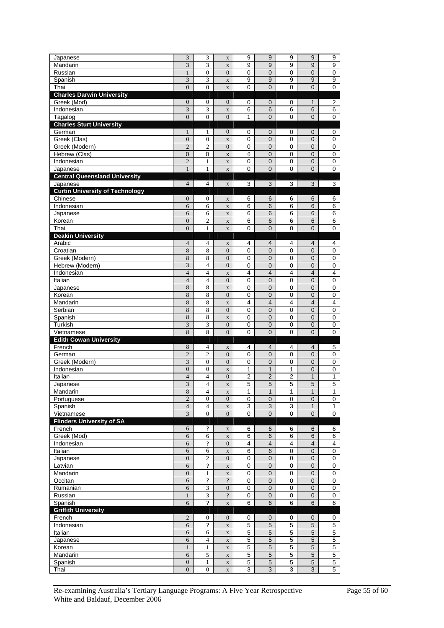| Japanese                                           | 3                                    | 3                                | $\mathbf X$                            | 9                   | 9                              | 9                   | 9                            | 9                                |
|----------------------------------------------------|--------------------------------------|----------------------------------|----------------------------------------|---------------------|--------------------------------|---------------------|------------------------------|----------------------------------|
| Mandarin                                           | 3                                    | 3                                | $\mathbf X$                            | 9                   | 9                              | 9                   | 9                            | 9                                |
| Russian                                            | $\mathbf{1}$                         | $\boldsymbol{0}$                 | $\overline{0}$                         | 0                   | $\mathbf 0$                    | 0                   | $\overline{0}$               | 0                                |
| Spanish                                            | 3                                    | 3                                | $\mathbf X$                            | 9                   | 9                              | 9                   | 9                            | 9                                |
| Thai                                               | $\overline{0}$                       | $\theta$                         | $\bar{\mathbf{X}}$                     | 0                   | $\Omega$                       | 0                   | $\overline{0}$               | 0                                |
| <b>Charles Darwin University</b>                   |                                      |                                  |                                        |                     |                                |                     |                              |                                  |
| Greek (Mod)                                        | $\mathbf{0}$                         | $\boldsymbol{0}$                 | $\boldsymbol{0}$                       | 0                   | $\mathbf 0$                    | 0                   | $\mathbf{1}$                 | 2                                |
| Indonesian<br>Tagalog                              | 3<br>$\overline{0}$                  | 3<br>$\overline{0}$              | $\mathbf X$<br>$\overline{0}$          | 6<br>1              | 6<br>$\mathbf 0$               | 6<br>0              | 6<br>0                       | 6<br>0                           |
| <b>Charles Sturt University</b>                    |                                      |                                  |                                        |                     |                                |                     |                              |                                  |
| German                                             | 1                                    | 1                                | $\boldsymbol{0}$                       | 0                   | 0                              | 0                   | 0                            | 0                                |
| Greek (Clas)                                       | $\mathbf{0}$                         | $\boldsymbol{0}$                 | $\mathbf X$                            | 0                   | $\mathbf 0$                    | 0                   | 0                            | 0                                |
| Greek (Modern)                                     | $\overline{2}$                       | $\overline{2}$                   | $\overline{0}$                         | 0                   | $\mathbf 0$                    | 0                   | 0                            | 0                                |
| Hebrew (Clas)                                      | $\overline{0}$                       | 0                                | X                                      | $\overline{0}$      | $\overline{0}$                 | 0                   | $\overline{0}$               | 0                                |
| Indonesian                                         | $\overline{2}$                       | $\mathbf{1}$                     | $\mathbf X$                            | 0                   | $\mathbf 0$                    | 0                   | 0                            | 0                                |
| Japanese                                           | $\mathbf{1}$                         | 1                                | $\bar{\mathbf{X}}$                     | 0                   | $\Omega$                       | 0                   | $\overline{0}$               | 0                                |
| <b>Central Queensland University</b>               |                                      |                                  |                                        |                     |                                |                     |                              |                                  |
| Japanese<br><b>Curtin University of Technology</b> | $\overline{4}$                       | $\overline{4}$                   | $\mathbf X$                            | 3                   | 3                              | 3                   | 3                            | 3                                |
| Chinese                                            | $\overline{0}$                       | $\boldsymbol{0}$                 | $\mathbf X$                            | 6                   | 6                              | 6                   | 6                            | 6                                |
| Indonesian                                         | 6                                    | 6                                | $\mathbf X$                            | 6                   | 6                              | 6                   | 6                            | 6                                |
| Japanese                                           | 6                                    | 6                                | $\mathbf X$                            | 6                   | 6                              | 6                   | 6                            | 6                                |
| Korean                                             | $\boldsymbol{0}$                     | $\overline{c}$                   | $\mathbf X$                            | 6                   | 6                              | 6                   | 6                            | 6                                |
| Thai                                               | $\overline{0}$                       | $\mathbf{1}$                     | $\mathbf X$                            | 0                   | $\Omega$                       | 0                   | 0                            | 0                                |
| <b>Deakin University</b>                           |                                      |                                  |                                        |                     |                                |                     |                              |                                  |
| Arabic                                             | $\overline{4}$                       | $\overline{4}$                   | $\mathbf X$                            | 4                   | $\overline{4}$                 | 4                   | 4                            | 4                                |
| Croatian                                           | 8                                    | 8                                | $\overline{0}$                         | 0<br>$\overline{0}$ | $\overline{0}$<br>$\mathbf 0$  | 0<br>0              | 0                            | 0                                |
| Greek (Modern)<br>Hebrew (Modern)                  | 8<br>3                               | 8<br>$\overline{4}$              | $\overline{0}$<br>$\overline{0}$       | $\mathbf 0$         | $\mathbf 0$                    | $\mathbf 0$         | 0<br>$\mathbf 0$             | 0<br>$\mathbf 0$                 |
| Indonesian                                         | $\overline{4}$                       | $\overline{4}$                   | $\mathbf X$                            | 4                   | $\overline{4}$                 | 4                   | 4                            | 4                                |
| Italian                                            | $\overline{4}$                       | 4                                | $\overline{0}$                         | 0                   | $\mathbf 0$                    | 0                   | 0                            | 0                                |
| Japanese                                           | 8                                    | 8                                | $\bar{\mathbf{X}}$                     | 0                   | $\mathbf 0$                    | 0                   | $\overline{0}$               | 0                                |
| Korean                                             | 8                                    | 8                                | $\overline{0}$                         | 0                   | $\overline{0}$                 | 0                   | 0                            | 0                                |
| Mandarin                                           | 8                                    | 8                                | $\mathbf X$                            | 4                   | $\overline{4}$                 | 4                   | $\overline{4}$               | 4                                |
| Serbian                                            | 8                                    | 8                                | $\overline{0}$                         | 0                   | $\mathbf 0$                    | 0                   | $\overline{0}$               | 0                                |
| Spanish                                            | 8                                    | 8                                | $\mathbf X$                            | 0                   | $\overline{0}$                 | 0                   | 0                            | 0                                |
| Turkish                                            | 3                                    | 3                                | $\boldsymbol{0}$                       | 0                   | $\mathbf 0$                    | 0                   | 0                            | 0                                |
| Vietnamese                                         | 8                                    | 8                                | $\overline{0}$                         | 0                   | $\overline{0}$                 | 0                   | $\overline{0}$               | 0                                |
| <b>Edith Cowan University</b><br>French            | 8                                    | 4                                |                                        | 4                   | 4                              | 4                   | 4                            | 5                                |
| German                                             | $\overline{2}$                       | $\overline{c}$                   | $\mathbf X$<br>$\boldsymbol{0}$        | 0                   | $\mathbf 0$                    | 0                   | $\mathbf 0$                  | 0                                |
| Greek (Modern)                                     | 3                                    | $\boldsymbol{0}$                 | $\boldsymbol{0}$                       | 0                   | 0                              | 0                   | 0                            | 0                                |
| Indonesian                                         | $\overline{0}$                       | $\overline{0}$                   | $\mathbf X$                            | 1                   | $\mathbf{1}$                   | $\mathbf{1}$        | 0                            | 0                                |
| Italian                                            | $\overline{4}$                       | $\overline{4}$                   | $\overline{0}$                         | 2                   | $\overline{2}$                 | 2                   | $\overline{1}$               | 1                                |
| Japanese                                           | 3                                    | $\overline{\mathcal{L}}$         | $\mathbf X$                            | 5                   | 5                              | 5                   | 5                            | 5                                |
| Mandarin                                           | $\,8$                                | 4                                | $\mathbf X$                            | 1                   | 1                              | 1                   | 1                            | 1                                |
| Portuguese                                         | $\overline{c}$                       | $\boldsymbol{0}$                 | $\boldsymbol{0}$                       | $\mathbf 0$         | 0                              | 0                   | 0                            | 0                                |
| Spanish<br>Vietnamese                              | $\overline{4}$<br>3                  | 4<br>$\overline{0}$              | $\mathbf X$<br>$\boldsymbol{0}$        | 3<br>0              | $\overline{3}$<br>$\mathbf{0}$ | 3<br>0              | $\mathbf{1}$<br>$\mathbf 0$  | 1<br>$\mathbf 0$                 |
| <b>Flinders University of SA</b>                   |                                      |                                  |                                        |                     |                                |                     |                              |                                  |
| French                                             | 6                                    | $\cdot$                          | $\mathbf X$                            | 6                   | 6                              | 6                   | $\,$ 6                       | 6                                |
| Greek (Mod)                                        | 6                                    | 6                                | $\mathbf X$                            | 6                   | 6                              | 6                   | 6                            | 6                                |
| Indonesian                                         | 6                                    | $\overline{\mathcal{L}}$         | $\boldsymbol{0}$                       | 4                   | $\overline{\mathbf{4}}$        | 4                   | $\overline{4}$               | $\overline{\mathbf{4}}$          |
| Italian                                            | 6                                    | 6                                | $\mathbf X$                            | 6                   | 6                              | 0                   | $\mathbf 0$                  | $\pmb{0}$                        |
| Japanese                                           | $\overline{0}$                       | $\overline{c}$                   | $\overline{0}$                         | 0                   | $\mathbf 0$                    | $\mathbf 0$         | $\mathbf 0$                  | $\pmb{0}$                        |
| Latvian                                            | 6                                    | $\overline{\cdot}$               | $\mathbf X$                            | 0                   | $\pmb{0}$                      | 0                   | 0                            | 0                                |
| Mandarin                                           | $\boldsymbol{0}$                     | $\mathbf{1}$                     | $\mathbf X$                            | 0                   | $\pmb{0}$                      | 0                   | $\mathbf 0$                  | 0                                |
| Occitan<br>Rumanian                                | 6<br>6                               | $\overline{\mathcal{L}}$<br>3    | $\overline{\cdot}$<br>$\boldsymbol{0}$ | $\mathbf 0$<br>0    | $\mathbf 0$<br>$\pmb{0}$       | 0<br>0              | $\mathbf 0$<br>$\mathbf 0$   | $\pmb{0}$<br>$\pmb{0}$           |
| Russian                                            | $\mathbf{1}$                         | 3                                | $\overline{\mathcal{L}}$               | 0                   | $\pmb{0}$                      | 0                   | 0                            | 0                                |
| Spanish                                            | 6                                    | $\overline{?}$                   | $\mathbf X$                            | 6                   | 6                              | 6                   | 6                            | 6                                |
| <b>Griffith University</b>                         |                                      |                                  |                                        |                     |                                |                     |                              |                                  |
| French                                             | $\mathbf{2}$                         | $\boldsymbol{0}$                 | $\mathbf{0}$                           | 0                   | 0                              | 0                   | $\pmb{0}$                    | 0                                |
| Indonesian                                         | 6                                    | $\boldsymbol{\mathcal{P}}$       | $\mathbf X$                            | 5                   | 5                              | 5                   | $\overline{5}$               | 5                                |
| Italian                                            | 6                                    | 6                                | $\mathbf X$                            | 5                   | $\mathbf 5$                    | $\overline{5}$      | $\mathbf 5$                  | $\overline{5}$                   |
| Japanese                                           | 6                                    | $\overline{4}$                   | $\mathbf x$                            | $\overline{5}$      | $\overline{5}$                 | $\overline{5}$      | $\overline{5}$               | $\overline{5}$                   |
| Korean                                             | $\mathbf{1}$                         | $\mathbf{1}$                     | $\mathbf X$                            | 5                   | $\mathbf 5$                    | 5<br>5              | $\mathbf 5$<br>5             | $\overline{5}$                   |
| Mandarin                                           | 6                                    | 5                                | $\mathbf X$                            | 5                   | 5                              |                     |                              | $\overline{5}$                   |
|                                                    |                                      |                                  |                                        |                     |                                |                     |                              |                                  |
| Spanish<br>Thai                                    | $\boldsymbol{0}$<br>$\boldsymbol{0}$ | $\mathbf{1}$<br>$\boldsymbol{0}$ | $\mathbf X$<br>$\mathbf X$             | $\overline{5}$<br>3 | 5<br>$\overline{3}$            | $\overline{5}$<br>3 | $\sqrt{5}$<br>$\overline{3}$ | $\overline{5}$<br>$\overline{5}$ |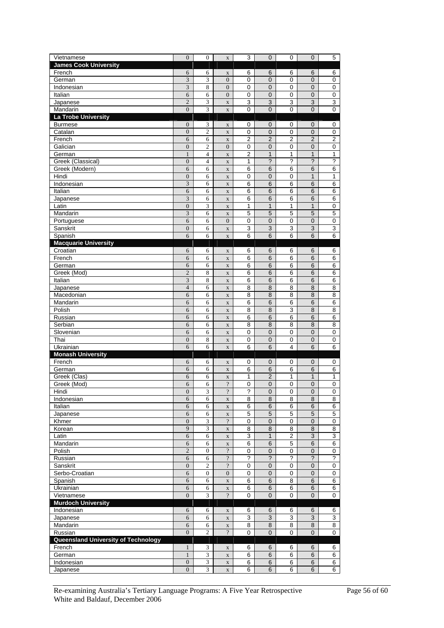| Vietnamese                          | $\overline{0}$                              | $\boldsymbol{0}$             | $\mathbf X$                     | 3                        | $\overline{0}$                  | $\mathbf 0$              | $\mathbf 0$              | 5                    |
|-------------------------------------|---------------------------------------------|------------------------------|---------------------------------|--------------------------|---------------------------------|--------------------------|--------------------------|----------------------|
| <b>James Cook University</b>        |                                             |                              |                                 |                          |                                 |                          |                          |                      |
| French                              | 6                                           | 6                            | $\mathbf X$                     | 6                        | 6                               | 6                        | 6                        | 6                    |
| German<br>Indonesian                | 3<br>3                                      | 3<br>8                       | $\mathbf{0}$<br>$\overline{0}$  | $\mathbf 0$<br>0         | $\mathbf 0$<br>$\overline{0}$   | 0<br>0                   | 0<br>$\overline{0}$      | $\pmb{0}$<br>0       |
| Italian                             | 6                                           | 6                            | $\boldsymbol{0}$                | 0                        | $\pmb{0}$                       | 0                        | 0                        | 0                    |
| Japanese                            | $\overline{2}$                              | $\mathfrak z$                | $\mathbf X$                     | 3                        | $\ensuremath{\mathsf{3}}$       | 3                        | 3                        | 3                    |
| Mandarin                            | $\overline{0}$                              | 3                            | $\mathbf X$                     | 0                        | $\overline{0}$                  | 0                        | 0                        | 0                    |
| La Trobe University                 |                                             |                              |                                 |                          |                                 |                          |                          |                      |
| <b>Burmese</b>                      | $\boldsymbol{0}$                            | 3                            | $\mathbf X$                     | 0                        | $\mathbf 0$                     | 0                        | $\boldsymbol{0}$         | 0                    |
| Catalan                             | $\boldsymbol{0}$                            | $\overline{c}$               | $\mathbf X$                     | 0                        | $\mathbf 0$                     | 0                        | 0                        | 0                    |
| French<br>Galician                  | 6<br>$\boldsymbol{0}$                       | 6<br>$\mathbf{2}$            | $\mathbf X$<br>$\boldsymbol{0}$ | $\overline{c}$<br>0      | $\overline{2}$<br>$\mathbf 0$   | $\overline{2}$<br>0      | $\overline{2}$<br>0      | $\overline{c}$<br>0  |
| German                              | $\mathbf{1}$                                | $\overline{\mathcal{L}}$     | $\mathbf X$                     | $\overline{2}$           | $\mathbf{1}$                    | 1                        | $\mathbf{1}$             | 1                    |
| Greek (Classical)                   | $\boldsymbol{0}$                            | $\overline{4}$               | $\mathbf X$                     | 1                        | $\overline{\phantom{0}}$        | ?                        | $\overline{\phantom{a}}$ | ?                    |
| Greek (Modern)                      | 6                                           | 6                            | $\mathbf X$                     | 6                        | $6\phantom{1}6$                 | 6                        | 6                        | 6                    |
| Hindi                               | $\boldsymbol{0}$                            | 6                            | $\mathbf X$                     | 0                        | $\mathbf 0$                     | 0                        | $\mathbf{1}$             | 1                    |
| Indonesian                          | 3                                           | 6                            | $\mathbf X$                     | 6                        | 6                               | 6                        | 6                        | 6                    |
| Italian                             | 6                                           | 6                            | $\mathbf X$                     | 6                        | 6                               | 6                        | 6                        | 6                    |
| Japanese<br>Latin                   | $\overline{\mathbf{3}}$<br>$\boldsymbol{0}$ | 6<br>3                       | $\mathbf X$                     | 6                        | $6\phantom{1}6$<br>$\mathbf{1}$ | 6                        | 6<br>1                   | 6                    |
| Mandarin                            | 3                                           | 6                            | $\mathbf X$<br>$\mathbf X$      | 1<br>5                   | 5                               | 1<br>5                   | 5                        | 0<br>5               |
| Portuguese                          | 6                                           | 6                            | $\overline{0}$                  | $\mathbf 0$              | $\mathbf 0$                     | 0                        | 0                        | $\mathbf 0$          |
| Sanskrit                            | $\boldsymbol{0}$                            | 6                            | $\mathbf X$                     | 3                        | 3                               | 3                        | 3                        | 3                    |
| Spanish                             | 6                                           | 6                            | $\mathbf X$                     | 6                        | 6                               | 6                        | 6                        | 6                    |
| <b>Macquarie University</b>         |                                             |                              |                                 |                          |                                 |                          |                          |                      |
| Croatian                            | 6                                           | 6                            | $\mathbf X$                     | 6                        | 6                               | 6                        | 6                        | 6                    |
| French<br>German                    | 6<br>6                                      | 6<br>6                       | $\mathbf X$                     | 6<br>6                   | $\,6$<br>6                      | 6<br>6                   | 6<br>6                   | 6<br>6               |
| Greek (Mod)                         | $\overline{2}$                              | 8                            | $\mathbf x$<br>$\mathbf X$      | 6                        | 6                               | 6                        | 6                        | 6                    |
| Italian                             | 3                                           | 8                            | $\mathbf X$                     | 6                        | $\overline{6}$                  | $\,6$                    | $\overline{6}$           | 6                    |
| Japanese                            | $\overline{4}$                              | 6                            | $\mathbf X$                     | 8                        | 8                               | 8                        | 8                        | 8                    |
| Macedonian                          | 6                                           | 6                            | $\mathbf X$                     | 8                        | 8                               | 8                        | 8                        | 8                    |
| Mandarin                            | 6                                           | 6                            | $\mathbf X$                     | 6                        | 6                               | 6                        | 6                        | $\,6$                |
| Polish                              | 6                                           | 6                            | $\mathbf X$                     | 8                        | 8                               | $\overline{3}$           | 8                        | 8                    |
| Russian<br>Serbian                  | 6<br>6                                      | 6<br>6                       | $\mathbf X$                     | 6<br>8                   | 6<br>8                          | 6<br>$\overline{8}$      | 6<br>8                   | 6<br>8               |
| Slovenian                           | 6                                           | 6                            | $\mathbf X$<br>$\mathbf X$      | $\mathbf 0$              | $\mathbf 0$                     | $\mathsf 0$              | 0                        | 0                    |
| Thai                                | $\boldsymbol{0}$                            | 8                            | $\mathbf X$                     | $\pmb{0}$                | $\pmb{0}$                       | 0                        | $\mathbf 0$              | $\pmb{0}$            |
| Ukrainian                           | 6                                           | 6                            | $\mathbf X$                     | 6                        | 6                               | 4                        | 6                        | 6                    |
| <b>Monash University</b>            |                                             |                              |                                 |                          |                                 |                          |                          |                      |
| French                              | 6                                           | 6                            | $\mathbf X$                     | 0                        | 0                               | 0                        | 0                        | 0                    |
| German                              | 6                                           | 6                            | $\mathbf X$                     | 6                        | 6                               | 6                        | 6                        | 6                    |
| Greek (Clas)<br>Greek (Mod)         | 6<br>6                                      | 6<br>6                       | $\mathbf X$<br>$\overline{?}$   | 1<br>0                   | $\overline{2}$<br>$\mathbf 0$   | 1<br>0                   | 1<br>$\overline{0}$      | 1<br>0               |
| Hindi                               | $\boldsymbol{0}$                            | $\ensuremath{\mathfrak{Z}}$  | $\overline{\mathcal{L}}$        | ?                        | 0                               | 0                        | 0                        | 0                    |
| Indonesian                          | 6                                           | 6                            | $\mathbf X$                     | 8                        | $\bf8$                          | 8                        | 8                        | 8                    |
| Italian                             | 6                                           | 6                            | $\mathbf x$                     | 6                        | $\,6$                           | 6                        | $6\phantom{1}$           | 6                    |
| Japanese                            | 6                                           | 6                            | $\mathbf X$                     | $\overline{5}$           | $\overline{5}$                  | $\overline{5}$           | 5                        | $\overline{5}$       |
| Khmer                               | $\boldsymbol{0}$                            | $\overline{\mathbf{3}}$      | $\overline{\cdot}$              | 0                        | $\pmb{0}$                       | 0                        | $\mathbf 0$              | $\pmb{0}$            |
| Korean<br>Latin                     | 9<br>6                                      | 3<br>6                       | $\mathbf X$                     | 8<br>3                   | 8<br>$\mathbf{1}$               | 8<br>$\overline{2}$      | 8<br>3                   | 8<br>$\overline{3}$  |
| Mandarin                            | 6                                           | 6                            | $\mathbf X$<br>$\mathbf X$      | 6                        | $\overline{6}$                  | 5                        | $\,6$                    | 6                    |
| Polish                              | $\overline{2}$                              | $\boldsymbol{0}$             | $\overline{\mathcal{L}}$        | 0                        | $\pmb{0}$                       | 0                        | $\pmb{0}$                | 0                    |
| Russian                             | 6                                           | 6                            | $\overline{\mathcal{L}}$        | $\overline{\phantom{0}}$ | $\overline{?}$                  | $\overline{\phantom{0}}$ | $\ddot{\phantom{0}}$     | $\ddot{\phantom{0}}$ |
| Sanskrit                            | $\boldsymbol{0}$                            | $\overline{c}$               | $\overline{\cdot}$              | $\mathbf 0$              | 0                               | 0                        | 0                        | $\pmb{0}$            |
| Serbo-Croatian                      | 6                                           | $\boldsymbol{0}$             | $\boldsymbol{0}$                | 0                        | $\mathbf 0$                     | 0                        | $\mathbf 0$              | $\pmb{0}$            |
| Spanish                             | 6                                           | 6                            | $\mathbf X$                     | 6                        | $\,6$                           | 8                        | $\,6$                    | 6                    |
| Ukrainian<br>Vietnamese             | 6<br>$\overline{0}$                         | 6<br>$\overline{\mathbf{3}}$ | $\mathbf X$<br>$\overline{?}$   | 6<br>$\mathbf 0$         | 6<br>0                          | 6<br>0                   | 6<br>$\mathbf 0$         | 6<br>0               |
| <b>Murdoch University</b>           |                                             |                              |                                 |                          |                                 |                          |                          |                      |
| Indonesian                          | 6                                           | 6                            | $\mathbf X$                     | 6                        | 6                               | 6                        | 6                        | 6                    |
| Japanese                            | 6                                           | 6                            | $\mathbf X$                     | 3                        | 3                               | 3                        | 3                        | 3                    |
| Mandarin                            | 6                                           | 6                            | $\mathbf X$                     | 8                        | $\bf 8$                         | 8                        | $\bf8$                   | $\overline{8}$       |
| Russian                             | $\overline{0}$                              | $\overline{c}$               | $\overline{?}$                  | 0                        | $\mathbf 0$                     | 0                        | 0                        | 0                    |
| Queensland University of Technology |                                             |                              |                                 |                          |                                 |                          |                          |                      |
| French<br>German                    | $\mathbf{1}$<br>$\mathbf{1}$                | 3<br>3                       | $\mathbf X$                     | 6<br>6                   | $\,6$<br>$6\phantom{1}$         | 6<br>6                   | 6<br>6                   | 6<br>6               |
| Indonesian                          | $\boldsymbol{0}$                            | $\mathfrak z$                | $\mathbf X$<br>$\mathbf X$      | 6                        | $\,6$                           | 6                        | 6                        | 6                    |
| Japanese                            | $\overline{0}$                              | 3                            | $\mathbf X$                     | 6                        | 6                               | 6                        | 6                        | 6                    |
|                                     |                                             |                              |                                 |                          |                                 |                          |                          |                      |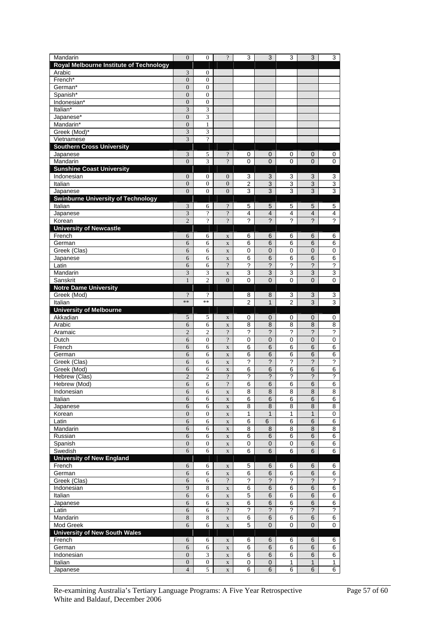| Mandarin                                       | $\theta$                     | $\mathbf{0}$        | $\overline{?}$                    | 3              | 3                                   | 3                         | 3                         | 3                         |
|------------------------------------------------|------------------------------|---------------------|-----------------------------------|----------------|-------------------------------------|---------------------------|---------------------------|---------------------------|
| <b>Royal Melbourne Institute of Technology</b> |                              |                     |                                   |                |                                     |                           |                           |                           |
| Arabic                                         | 3                            | $\boldsymbol{0}$    |                                   |                |                                     |                           |                           |                           |
| French*                                        | $\overline{0}$               | $\boldsymbol{0}$    |                                   |                |                                     |                           |                           |                           |
| German*                                        | $\overline{0}$               | $\mathbf{0}$        |                                   |                |                                     |                           |                           |                           |
| Spanish*                                       | $\overline{0}$               | $\boldsymbol{0}$    |                                   |                |                                     |                           |                           |                           |
| Indonesian*                                    | $\mathbf{0}$                 | $\boldsymbol{0}$    |                                   |                |                                     |                           |                           |                           |
| Italian*                                       | 3                            | 3                   |                                   |                |                                     |                           |                           |                           |
| Japanese*                                      | $\overline{0}$               | 3                   |                                   |                |                                     |                           |                           |                           |
| Mandarin*                                      | $\overline{0}$               | $\mathbf{1}$        |                                   |                |                                     |                           |                           |                           |
| Greek (Mod)*                                   | 3                            | 3                   |                                   |                |                                     |                           |                           |                           |
| Vietnamese                                     | 3                            | $\overline{\cdot}$  |                                   |                |                                     |                           |                           |                           |
| <b>Southern Cross University</b>               |                              |                     |                                   |                |                                     |                           |                           |                           |
| Japanese<br>Mandarin                           | 3<br>$\overline{0}$          | 5<br>3              | $\cdot$<br>$\overline{?}$         | 0<br>0         | 0<br>$\overline{0}$                 | 0<br>0                    | 0<br>$\overline{0}$       | 0<br>0                    |
| <b>Sunshine Coast University</b>               |                              |                     |                                   |                |                                     |                           |                           |                           |
| Indonesian                                     | $\boldsymbol{0}$             | $\boldsymbol{0}$    | $\boldsymbol{0}$                  | 3              | 3                                   | 3                         | 3                         | 3                         |
| Italian                                        | $\overline{0}$               | $\boldsymbol{0}$    | $\overline{0}$                    | $\overline{c}$ | 3                                   | 3                         | 3                         | $\overline{3}$            |
| Japanese                                       | $\overline{0}$               | 0                   | $\boldsymbol{0}$                  | 3              | 3                                   | 3                         | 3                         | 3                         |
| <b>Swinburne University of Technology</b>      |                              |                     |                                   |                |                                     |                           |                           |                           |
| Italian                                        | 3                            | 6                   | $\cdot$                           | 5              | 5                                   | 5                         | 5                         | 5                         |
| Japanese                                       | 3                            | $\overline{?}$      | $\overline{?}$                    | 4              | $\overline{\mathbf{4}}$             | $\overline{4}$            | $\overline{4}$            | $\overline{4}$            |
| Korean                                         | $\overline{2}$               | $\overline{?}$      | $\gamma$                          | ?              | ?                                   | ?                         | $\overline{?}$            | $\overline{?}$            |
| <b>University of Newcastle</b>                 |                              |                     |                                   |                |                                     |                           |                           |                           |
| French                                         | 6                            | 6                   | $\mathbf X$                       | 6              | 6                                   | 6                         | 6                         | 6                         |
| German                                         | 6                            | 6                   | $\mathbf X$                       | 6              | 6                                   | 6                         | 6                         | 6                         |
| Greek (Clas)                                   | 6                            | 6                   | $\mathbf X$                       | 0              | $\mathbf 0$                         | 0                         | $\overline{0}$            | 0                         |
| Japanese                                       | 6                            | 6                   | $\mathbf X$                       | $\overline{6}$ | 6                                   | $\overline{6}$            | 6                         | $\overline{6}$            |
| Latin                                          | 6                            | 6                   | $\overline{?}$                    | ?              | $\overline{\mathbf{c}}$             | $\overline{\cdot}$        | $\overline{\mathbf{C}}$   | $\overline{?}$            |
| Mandarin                                       | 3                            | 3                   | $\mathbf X$                       | 3              | 3                                   | 3                         | 3                         | 3                         |
| Sanskrit                                       | $\mathbf{1}$                 | $\overline{c}$      | $\overline{0}$                    | 0              | $\overline{0}$                      | 0                         | $\overline{0}$            | 0                         |
| <b>Notre Dame University</b>                   |                              |                     |                                   |                |                                     |                           |                           |                           |
| Greek (Mod)                                    | $\overline{\cdot}$           | $\cdot$             |                                   | 8              | 8                                   | 3                         | 3                         | 3                         |
| Italian                                        | $\ast$                       | **                  |                                   | $\overline{2}$ | $\mathbf{1}$                        | $\overline{2}$            | 3                         | 3                         |
| <b>University of Melbourne</b>                 |                              |                     |                                   |                |                                     |                           |                           |                           |
| Akkadian                                       | 5                            | 5                   | $\mathbf X$                       | 0              | $\mathbf 0$                         | 0                         | $\mathbf 0$               | 0                         |
| Arabic                                         | 6<br>$\overline{2}$          | 6<br>$\overline{c}$ | $\mathbf X$<br>$\overline{\cdot}$ | 8<br>?         | $\,$ 8 $\,$<br>$\ddot{\phantom{0}}$ | 8<br>$\ddot{\phantom{0}}$ | 8<br>$\ddot{\phantom{0}}$ | 8<br>$\ddot{\phantom{0}}$ |
| Aramaic<br>Dutch                               | 6                            | $\boldsymbol{0}$    | $\cdot$                           | 0              | 0                                   | 0                         | $\mathbf 0$               | 0                         |
| French                                         | 6                            | 6                   | $\mathbf X$                       | 6              | $\overline{6}$                      | 6                         | 6                         | $\,6$                     |
| German                                         | 6                            | 6                   | $\mathbf X$                       | 6              | 6                                   | 6                         | 6                         | 6                         |
| Greek (Clas)                                   | 6                            | 6                   | $\mathbf X$                       | ?              | ?                                   | ?                         | $\ddot{\phantom{0}}$      | ?                         |
| Greek (Mod)                                    | 6                            | 6                   | $\mathbf X$                       | 6              | 6                                   | $\overline{6}$            | 6                         | $\overline{6}$            |
| Hebrew (Clas)                                  | $\overline{2}$               | $\overline{c}$      | $\overline{?}$                    | ?              | ?                                   | ?                         | $\overline{\phantom{0}}$  | ?                         |
| Hebrew (Mod)                                   | 6                            | 6                   | $\gamma$                          | 6              | 6                                   | 6                         | 6                         | 6                         |
| Indonesian                                     | 6                            | 6                   | $\mathbf X$                       | 8              | 8                                   | 8                         | 8                         | 8                         |
| Italian                                        | 6                            | 6                   | $\mathbf X$                       | 6              | 6                                   | 6                         | 6                         | $\overline{6}$            |
| Japanese                                       | $\sqrt{6}$                   | 6                   | $\mathbf X$                       | 8              | $\bf8$                              | 8                         | $\bf8$                    | 8                         |
| Korean                                         | $\boldsymbol{0}$             | $\boldsymbol{0}$    | $\mathbf X$                       | 1              | $\mathbf{1}$                        | 1                         | $\mathbf{1}$              | $\mathbf 0$               |
| Latin                                          | 6                            | 6                   | $\mathbf X$                       | 6              | 6                                   | 6                         | 6                         | 6                         |
| Mandarin                                       | 6                            | 6                   | $\mathbf X$                       | 8              | $\,$ 8 $\,$                         | 8                         | 8                         | 8                         |
| Russian                                        | 6                            | 6                   | $\mathbf X$                       | 6              | 6                                   | 6                         | $6\phantom{1}$            | $\overline{6}$            |
| Spanish                                        | $\boldsymbol{0}$             | $\boldsymbol{0}$    | $\mathbf X$                       | 0              | $\pmb{0}$                           | 0                         | 6                         | 6                         |
| Swedish                                        | 6                            | 6                   | $\mathbf X$                       | 6              | 6                                   | 6                         | $6\phantom{1}$            | 6                         |
| <b>University of New England</b>               |                              |                     |                                   |                |                                     |                           |                           |                           |
| French                                         | 6                            | 6                   | $\mathbf X$                       | 5              | 6                                   | 6                         | 6                         | 6                         |
| German                                         | 6                            | 6                   | $\mathbf X$                       | 6              | $6\phantom{1}$                      | 6                         | $6\phantom{1}$            | 6<br>$\overline{\cdot}$   |
| Greek (Clas)                                   | 6<br>9                       | 6                   | $\overline{\cdot}$                | ?              | $\overline{\phantom{0}}$            | ?                         | $\overline{\phantom{a}}$  |                           |
| Indonesian                                     | 6                            | $\,8\,$<br>6        | $\mathbf X$                       | 6              | $\,6$                               | 6                         | $\,6$                     | 6                         |
| Italian<br>Japanese                            | 6                            | 6                   | $\mathbf X$                       | 5<br>6         | $\,6$<br>$6\phantom{1}$             | 6<br>6                    | $\,6$<br>$6\phantom{1}$   | 6<br>6                    |
| Latin                                          | 6                            | 6                   | $\mathbf X$<br>$\overline{\cdot}$ | ?              | $\ddot{\phantom{0}}$                | $\overline{\cdot}$        | $\ddot{\phantom{0}}$      | $\overline{?}$            |
| Mandarin                                       | $\,8$                        | 8                   | $\mathbf X$                       | 6              | $\,6$                               | 6                         | $\,6$                     | $\overline{6}$            |
| Mod Greek                                      | 6                            | 6                   | $\mathbf X$                       | 5              | $\mathbf{0}$                        | 0                         | $\mathbf 0$               | 0                         |
| <b>University of New South Wales</b>           |                              |                     |                                   |                |                                     |                           |                           |                           |
| French                                         | 6                            | 6                   | $\mathbf X$                       | 6              | 6                                   | 6                         | 6                         | 6                         |
| German                                         |                              |                     |                                   | 6              |                                     | 6                         |                           | 6                         |
|                                                |                              |                     |                                   |                |                                     |                           |                           |                           |
| Indonesian                                     | $\sqrt{6}$<br>$\overline{0}$ | 6<br>3              | $\mathbf X$<br>$\mathbf X$        | 6              | $\,6$<br>6                          | 6                         | 6<br>6                    | 6                         |
| Italian                                        | $\boldsymbol{0}$             | $\boldsymbol{0}$    | $\mathbf X$                       | $\pmb{0}$      | 0                                   | 1                         | $\mathbf{1}$              | $\mathbf{1}$              |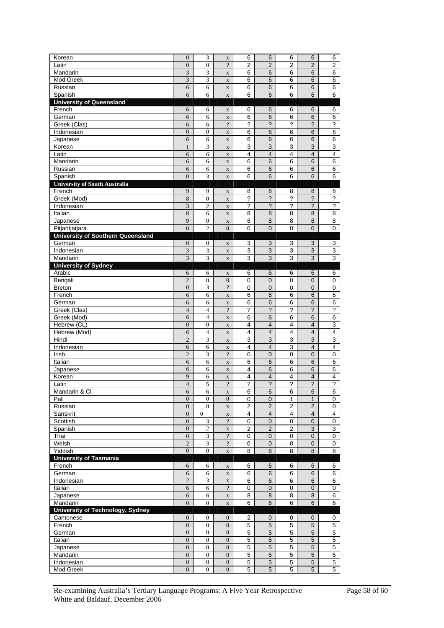| Korean                                   | $\overline{0}$                   | 3                           | $\mathbf X$                    | 6                       | 6                        | 6                       | 6                        | 6                        |
|------------------------------------------|----------------------------------|-----------------------------|--------------------------------|-------------------------|--------------------------|-------------------------|--------------------------|--------------------------|
| Latin                                    | $\boldsymbol{0}$                 | $\boldsymbol{0}$            | $\overline{\cdot}$             | 2                       | $\overline{2}$           | $\overline{2}$          | $\overline{2}$           | $\overline{2}$           |
| Mandarin                                 | 3                                | 3                           | $\mathbf X$                    | 6                       | 6                        | 6                       | 6                        | 6                        |
| Mod Greek                                | 3                                | 3                           | $\mathbf X$                    | 6                       | 6                        | 6                       | 6                        | 6                        |
| Russian                                  | 6                                | 6                           | $\mathbf X$                    | 6                       | 6                        | 6                       | 6                        | 6                        |
| Spanish                                  | 6                                | 6                           | $\mathbf X$                    | 6                       | 6                        | 6                       | 6                        | 6                        |
| <b>University of Queensland</b>          |                                  |                             |                                |                         |                          |                         |                          |                          |
| French                                   | 6                                | 6                           | $\mathbf X$                    | 6                       | 6                        | 6                       | 6                        | 6                        |
| German                                   | 6                                | 6                           | $\mathbf X$                    | 6                       | 6                        | 6                       | 6                        | 6                        |
| Greek (Clas)                             | 6<br>$\overline{0}$              | 6                           | $\overline{\cdot}$             | ?<br>6                  | $\tilde{?}$              | ?<br>6                  | ?<br>6                   | ?<br>6                   |
| Indonesian<br>Japanese                   | 6                                | $\boldsymbol{0}$<br>6       | $\mathbf X$                    | 6                       | 6<br>6                   |                         | 6                        | 6                        |
| Korean                                   | 1                                | 3                           | $\mathbf X$<br>$\mathbf X$     | 3                       | 3                        | 6<br>3                  | 3                        | 3                        |
| Latin                                    | 6                                | 6                           | $\mathbf X$                    | 4                       | $\overline{4}$           | 4                       | $\overline{4}$           | $\overline{4}$           |
| Mandarin                                 | 6                                | 6                           | $\mathbf X$                    | 6                       | 6                        | 6                       | 6                        | 6                        |
| Russian                                  | 6                                | 6                           | $\mathbf X$                    | 6                       | 6                        | 6                       | 6                        | 6                        |
| Spanish                                  | $\overline{0}$                   | 3                           | $\mathbf X$                    | 6                       | 6                        | 6                       | 6                        | 6                        |
| <b>University of South Australia</b>     |                                  |                             |                                |                         |                          |                         |                          |                          |
| French                                   | 9                                | 9                           | $\mathbf X$                    | 8                       | 8                        | 8                       | 8                        | 8                        |
| Greek (Mod)                              | 8                                | $\boldsymbol{0}$            | $\mathbf X$                    | ?                       | ?                        | ?                       | $\overline{\phantom{0}}$ | $\overline{\phantom{0}}$ |
| Indonesian                               | 3                                | $\mathbf{2}$                | $\mathbf X$                    | ?                       | $\ddot{\phantom{0}}$     | ?                       | ?                        | ?                        |
| Italian                                  | 8                                | 6                           | $\mathbf X$                    | 8                       | 8                        | 8                       | 8                        | 8                        |
| Japanese                                 | 9                                | $\boldsymbol{0}$            | $\mathbf X$                    | 8                       | 8                        | 8                       | 8                        | 8                        |
| Pitjantjatjara                           | $\overline{0}$                   | $\overline{c}$              | $\overline{0}$                 | $\mathbf 0$             | $\overline{0}$           | 0                       | $\mathbf 0$              | $\pmb{0}$                |
| <b>University of Southern Queensland</b> |                                  |                             |                                |                         |                          |                         |                          |                          |
| German                                   | $\boldsymbol{0}$                 | $\boldsymbol{0}$            | $\mathbf X$                    | 3                       | 3                        | 3                       | 3                        | 3                        |
| Indonesian<br>Mandarin                   | 3<br>3                           | 3<br>3                      | $\mathbf X$                    | 3<br>3                  | $\overline{3}$<br>3      | 3<br>3                  | 3<br>3                   | $\overline{3}$<br>3      |
| <b>University of Sydney</b>              |                                  |                             | $\mathbf X$                    |                         |                          |                         |                          |                          |
| Arabic                                   | 6                                | 6                           | $\mathbf X$                    | 6                       | 6                        | 6                       | 6                        | 6                        |
| Bengali                                  | $\overline{2}$                   | $\boldsymbol{0}$            | $\overline{0}$                 | 0                       | $\mathbf 0$              | 0                       | $\mathbf 0$              | 0                        |
| <b>Breton</b>                            | $\boldsymbol{0}$                 | 3                           | $\overline{\cdot}$             | 0                       | $\mathbf 0$              | 0                       | $\mathbf 0$              | 0                        |
| French                                   | 6                                | 6                           | $\mathbf X$                    | 6                       | 6                        | 6                       | 6                        | 6                        |
| German                                   | 6                                | 6                           | $\mathbf X$                    | 6                       | 6                        | 6                       | 6                        | 6                        |
| Greek (Clas)                             | $\overline{4}$                   | $\overline{4}$              | $\overline{?}$                 | ?                       | $\overline{\phantom{0}}$ | ?                       | $\overline{\phantom{0}}$ | ?                        |
| Greek (Mod)                              | 6                                | $\overline{4}$              | $\mathbf X$                    | 6                       | 6                        | 6                       | 6                        | 6                        |
| Hebrew (CL)                              | $\boldsymbol{0}$                 | $\boldsymbol{0}$            | $\mathbf X$                    | 4                       | $\overline{\mathbf{4}}$  | 4                       | $\overline{4}$           | 3                        |
| Hebrew (Mod)                             | 6                                | $\overline{4}$              | $\mathbf X$                    | 4                       | 4                        | 4                       | $\overline{4}$           | 4                        |
| Hindi                                    | $\overline{2}$                   | 3                           | $\mathbf X$                    | 3                       | 3                        | 3                       | 3                        | 3                        |
| Indonesian                               | 6                                | 6                           | $\mathbf X$                    | 4                       | $\overline{\mathbf{4}}$  | 3                       | $\overline{4}$           | 4                        |
| Irish                                    | $\overline{2}$                   | 3                           | $\overline{?}$                 | $\mathbf 0$             | $\mathbf 0$              | 0                       | $\mathbf 0$              | $\mathbf 0$              |
| Italian<br>Japanese                      | 6<br>6                           | 6<br>6                      | $\mathbf X$<br>$\mathbf X$     | 6<br>4                  | 6<br>6                   | 6<br>6                  | 6<br>6                   | 6<br>6                   |
| Korean                                   | 9                                | 6                           | $\mathbf X$                    | 4                       | 4                        | 4                       | $\overline{4}$           | 4                        |
| Latin                                    | $\overline{4}$                   | 5                           | $\overline{?}$                 | 2                       | ?                        | ?                       | ?                        | 2                        |
| Mandarin & Cl                            | 6                                | 6                           | $\mathbf X$                    | 6                       | $\,6$                    | 6                       | 6                        | 6                        |
| Pali                                     | $\boldsymbol{0}$                 | $\mathbf{0}$                | $\mathbf{0}$                   | 0                       | $\pmb{0}$                | 1                       | $\mathbf{1}$             | $\pmb{0}$                |
| Russian                                  | $\mathbf{0}$                     | $\boldsymbol{0}$            | $\mathbf X$                    | $\overline{\mathbf{c}}$ | 2                        | 2                       | 2                        | 0                        |
| Sanskrit                                 | $\overline{0}$                   | $\overline{0}$              | $\mathbf X$                    | 4                       | $\overline{\mathbf{4}}$  | $\overline{\mathbf{4}}$ | $\overline{4}$           | $\overline{4}$           |
| Scottish                                 | $\boldsymbol{0}$                 | $\ensuremath{\mathfrak{Z}}$ | $\cdot$                        | $\pmb{0}$               | $\overline{0}$           | 0                       | $\pmb{0}$                | $\pmb{0}$                |
| Spanish                                  | $\mathbf{0}$                     | 2                           | $\mathbf X$                    | 2                       | 2                        | 2                       | 3                        | 3                        |
| Thai                                     | $\boldsymbol{0}$                 | $\overline{\mathbf{3}}$     | $\overline{\cdot}$             | 0                       | $\mathbf 0$              | $\mathbf 0$             | $\mathbf 0$              | $\overline{0}$           |
| Welsh                                    | $\overline{2}$                   | $\overline{\mathbf{3}}$     | $\overline{\cdot}$             | $\mathbf 0$             | $\mathsf 0$              | 0                       | $\mathbf 0$              | $\pmb{0}$                |
| Yiddish                                  | $\boldsymbol{0}$                 | $\boldsymbol{0}$            | $\mathbf X$                    | 8                       | 8                        | 8                       | 8                        | 8                        |
| <b>University of Tasmania</b><br>French  | 6                                | 6                           |                                | 6                       | 6                        | 6                       | 6                        | 6                        |
| German                                   | $\sqrt{6}$                       | 6                           | $\mathbf X$<br>$\mathbf X$     | 6                       | $\,6$                    | 6                       | $6\phantom{1}$           | 6                        |
| Indonesian                               | $\overline{2}$                   | 3                           | $\mathbf X$                    | 6                       | 6                        | 6                       | 6                        | 6                        |
| Italian                                  | $\sqrt{6}$                       | 6                           | $\overline{\cdot}$             | $\mathbf 0$             | $\pmb{0}$                | 0                       | $\pmb{0}$                | 0                        |
| Japanese                                 | $\sqrt{6}$                       | 6                           | $\mathbf X$                    | 8                       | 8                        | 8                       | 8                        | 6                        |
| Mandarin                                 | $\boldsymbol{0}$                 | $\overline{0}$              | $\mathbf X$                    | 6                       | 6                        | 6                       | 6                        | 6                        |
| University of Technology, Sydney         |                                  |                             |                                |                         |                          |                         |                          |                          |
| Cantonese                                | $\boldsymbol{0}$                 | $\boldsymbol{0}$            | $\mathbf{0}$                   | 2                       | $\pmb{0}$                | 0                       | $\boldsymbol{0}$         | 0                        |
| French                                   | $\overline{0}$                   | $\boldsymbol{0}$            | $\boldsymbol{0}$               | 5                       | $\overline{5}$           | $\overline{5}$          | $\overline{5}$           | $\overline{5}$           |
| German                                   | $\boldsymbol{0}$                 | $\boldsymbol{0}$            | $\mathbf{0}$                   | 5                       | $\mathbf 5$              | $\overline{5}$          | $\mathbf 5$              | $\overline{5}$           |
| Italian                                  | $\boldsymbol{0}$                 | $\boldsymbol{0}$            | $\boldsymbol{0}$               | 5                       | 5                        | 5                       | 5                        | $\mathbf 5$              |
| Japanese                                 | $\boldsymbol{0}$                 | $\boldsymbol{0}$            | $\mathbf{0}$                   | $\overline{5}$          | $\overline{5}$           | 5                       | $\overline{5}$           | $\overline{5}$           |
|                                          |                                  |                             |                                |                         |                          |                         |                          |                          |
| Mandarin                                 | $\boldsymbol{0}$                 | $\boldsymbol{0}$            | $\boldsymbol{0}$               | 5                       | $\overline{5}$           | 5                       | $\overline{5}$           | $\overline{5}$           |
| Indonesian<br>Mod Greek                  | $\boldsymbol{0}$<br>$\mathbf{0}$ | $\boldsymbol{0}$<br>0       | $\mathbf{0}$<br>$\overline{0}$ | 5<br>5                  | 5<br>5                   | 5<br>5                  | $\sqrt{5}$<br>5          | $\mathbf 5$<br>5         |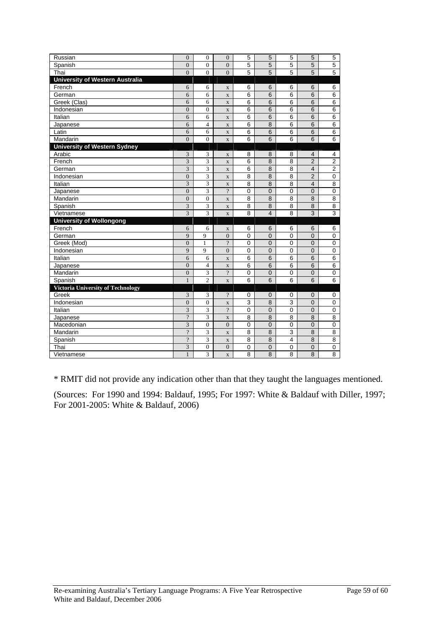| Russian                                  | $\overline{0}$          | $\mathbf{0}$            | $\overline{0}$           | 5              | 5                       | 5              | 5              | 5              |
|------------------------------------------|-------------------------|-------------------------|--------------------------|----------------|-------------------------|----------------|----------------|----------------|
| Spanish                                  | $\Omega$                | $\Omega$                | $\Omega$                 | 5              | 5                       | 5              | 5              | $\overline{5}$ |
| Thai                                     | $\theta$                | $\theta$                | $\theta$                 | 5              | 5                       | 5              | 5              | 5              |
| <b>University of Western Australia</b>   |                         |                         |                          |                |                         |                |                |                |
| French                                   | 6                       | 6                       | $\mathbf X$              | 6              | 6                       | 6              | 6              | 6              |
| German                                   | 6                       | 6                       | $\mathbf X$              | 6              | 6                       | 6              | 6              | 6              |
| Greek (Clas)                             | 6                       | 6                       | $\overline{\mathbf{X}}$  | 6              | 6                       | 6              | 6              | 6              |
| Indonesian                               | $\overline{0}$          | $\overline{0}$          | $\overline{\mathbf{X}}$  | 6              | 6                       | 6              | 6              | 6              |
| Italian                                  | 6                       | 6                       | $\mathbf X$              | 6              | 6                       | 6              | 6              | 6              |
| Japanese                                 | 6                       | $\overline{4}$          | $\mathbf{x}$             | 6              | 8                       | 6              | 6              | 6              |
| Latin                                    | 6                       | 6                       | $\mathbf X$              | 6              | 6                       | 6              | 6              | 6              |
| Mandarin                                 | $\overline{0}$          | $\mathbf{0}$            | $\mathbf{x}$             | 6              | 6                       | 6              | 6              | 6              |
| <b>University of Western Sydney</b>      |                         |                         |                          |                |                         |                |                |                |
| Arabic                                   | 3                       | 3                       | $\mathbf X$              | 8              | 8                       | 8              | 4              | 4              |
| French                                   | $\overline{3}$          | 3                       | $\overline{\mathbf{X}}$  | 6              | 8                       | 8              | $\overline{2}$ | $\overline{2}$ |
| German                                   | 3                       | 3                       | $\mathbf{x}$             | 6              | 8                       | 8              | $\overline{4}$ | $\overline{2}$ |
| Indonesian                               | $\overline{0}$          | 3                       | $\mathbf X$              | 8              | 8                       | $\overline{8}$ | $\overline{2}$ | 0              |
| Italian                                  | $\overline{3}$          | 3                       | $\mathbf X$              | 8              | $\overline{8}$          | 8              | $\overline{4}$ | 8              |
| Japanese                                 | $\overline{0}$          | $\overline{3}$          | $\overline{?}$           | $\overline{0}$ | $\overline{0}$          | $\mathbf 0$    | $\overline{0}$ | $\overline{0}$ |
| Mandarin                                 | $\theta$                | $\overline{0}$          | $\overline{\mathbf{X}}$  | 8              | 8                       | 8              | 8              | 8              |
| Spanish                                  | 3                       | 3                       | $\overline{\mathbf{X}}$  | 8              | 8                       | 8              | 8              | 8              |
| Vietnamese                               | $\overline{\mathbf{3}}$ | 3                       | $\mathbf X$              | 8              | $\overline{\mathbf{4}}$ | 8              | 3              | $\overline{3}$ |
| <b>University of Wollongong</b>          |                         |                         |                          |                |                         |                |                |                |
| French                                   | 6                       | 6                       | $\mathbf X$              | 6              | 6                       | 6              | 6              | 6              |
| German                                   | 9                       | 9                       | $\overline{0}$           | 0              | 0                       | $\mathbf 0$    | $\overline{0}$ | $\mathbf 0$    |
| Greek (Mod)                              | $\overline{0}$          | $\mathbf{1}$            | $\overline{?}$           | $\mathbf 0$    | $\overline{0}$          | $\mathbf 0$    | $\overline{0}$ | $\mathbf 0$    |
| Indonesian                               | 9                       | 9                       | $\overline{0}$           | 0              | $\overline{0}$          | $\mathbf 0$    | $\overline{0}$ | 0              |
| Italian                                  | 6                       | 6                       | $\mathbf{x}$             | 6              | 6                       | 6              | 6              | $\overline{6}$ |
| Japanese                                 | $\overline{0}$          | $\overline{\mathbf{4}}$ | $\overline{\mathbf{X}}$  | 6              | 6                       | 6              | 6              | 6              |
| Mandarin                                 | $\overline{0}$          | 3                       | $\overline{\cdot}$       | $\overline{0}$ | $\overline{0}$          | 0              | 0              | 0              |
| Spanish                                  | $\mathbf{1}$            | $\overline{c}$          | $\overline{X}$           | 6              | 6                       | 6              | 6              | 6              |
| <b>Victoria University of Technology</b> |                         |                         |                          |                |                         |                |                |                |
| Greek                                    | 3                       | 3                       | $\gamma$                 | 0              | $\Omega$                | 0              | $\Omega$       | 0              |
| Indonesian                               | $\overline{0}$          | $\boldsymbol{0}$        | $\overline{\mathbf{X}}$  | 3              | 8                       | 3              | 0              | $\mathbf 0$    |
| Italian                                  | 3                       | 3                       | $\overline{\mathcal{L}}$ | $\overline{0}$ | $\mathsf 0$             | 0              | $\overline{0}$ | $\mathbf 0$    |
| Japanese                                 | $\overline{?}$          | 3                       | $\overline{\mathbf{X}}$  | 8              | 8                       | 8              | 8              | 8              |
| Macedonian                               | $\overline{3}$          | $\mathbf{0}$            | $\overline{0}$           | $\mathbf 0$    | $\overline{0}$          | 0              | $\overline{0}$ | 0              |
| Mandarin                                 | $\overline{?}$          | 3                       | $\mathbf X$              | 8              | 8                       | 3              | 8              | 8              |
| Spanish                                  | $\gamma$                | 3                       | $\mathbf X$              | 8              | 8                       | $\overline{4}$ | 8              | 8              |
| Thai                                     | 3                       | $\boldsymbol{0}$        | $\overline{0}$           | 0              | $\overline{0}$          | 0              | $\overline{0}$ | 0              |
| Vietnamese                               | $\mathbf{1}$            | 3                       | $\mathbf{x}$             | 8              | 8                       | 8              | 8              | 8              |

\* RMIT did not provide any indication other than that they taught the languages mentioned.

(Sources: For 1990 and 1994: Baldauf, 1995; For 1997: White & Baldauf with Diller, 1997; For 2001-2005: White & Baldauf, 2006)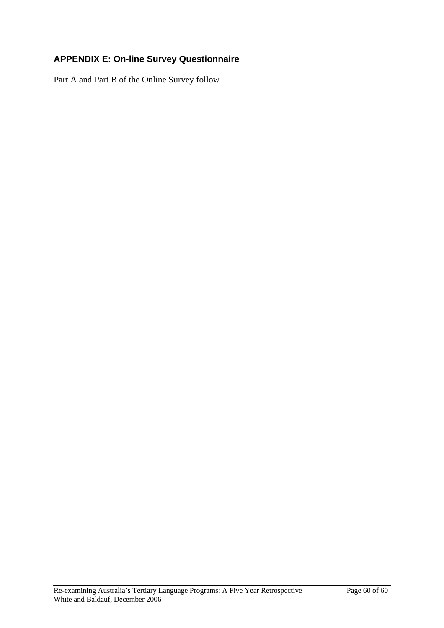# **APPENDIX E: On-line Survey Questionnaire**

Part A and Part B of the Online Survey follow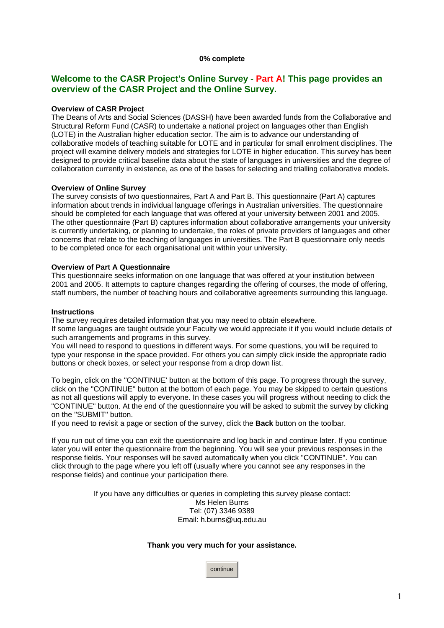## **Welcome to the CASR Project's Online Survey - Part A! This page provides an overview of the CASR Project and the Online Survey.**

#### **Overview of CASR Project**

The Deans of Arts and Social Sciences (DASSH) have been awarded funds from the Collaborative and Structural Reform Fund (CASR) to undertake a national project on languages other than English (LOTE) in the Australian higher education sector. The aim is to advance our understanding of collaborative models of teaching suitable for LOTE and in particular for small enrolment disciplines. The project will examine delivery models and strategies for LOTE in higher education. This survey has been designed to provide critical baseline data about the state of languages in universities and the degree of collaboration currently in existence, as one of the bases for selecting and trialling collaborative models.

#### **Overview of Online Survey**

The survey consists of two questionnaires, Part A and Part B. This questionnaire (Part A) captures information about trends in individual language offerings in Australian universities. The questionnaire should be completed for each language that was offered at your university between 2001 and 2005. The other questionnaire (Part B) captures information about collaborative arrangements your university is currently undertaking, or planning to undertake, the roles of private providers of languages and other concerns that relate to the teaching of languages in universities. The Part B questionnaire only needs to be completed once for each organisational unit within your university.

### **Overview of Part A Questionnaire**

This questionnaire seeks information on one language that was offered at your institution between 2001 and 2005. It attempts to capture changes regarding the offering of courses, the mode of offering, staff numbers, the number of teaching hours and collaborative agreements surrounding this language.

#### **Instructions**

The survey requires detailed information that you may need to obtain elsewhere.

If some languages are taught outside your Faculty we would appreciate it if you would include details of such arrangements and programs in this survey.

You will need to respond to questions in different ways. For some questions, you will be required to type your response in the space provided. For others you can simply click inside the appropriate radio buttons or check boxes, or select your response from a drop down list.

To begin, click on the ''CONTINUE' button at the bottom of this page. To progress through the survey, click on the ''CONTINUE'' button at the bottom of each page. You may be skipped to certain questions as not all questions will apply to everyone. In these cases you will progress without needing to click the "CONTINUE" button. At the end of the questionnaire you will be asked to submit the survey by clicking on the ''SUBMIT'' button.

If you need to revisit a page or section of the survey, click the **Back** button on the toolbar.

If you run out of time you can exit the questionnaire and log back in and continue later. If you continue later you will enter the questionnaire from the beginning. You will see your previous responses in the response fields. Your responses will be saved automatically when you click "CONTINUE". You can click through to the page where you left off (usually where you cannot see any responses in the response fields) and continue your participation there.

> If you have any difficulties or queries in completing this survey please contact: Ms Helen Burns Tel: (07) 3346 9389 Email: h.burns@uq.edu.au

### **Thank you very much for your assistance.**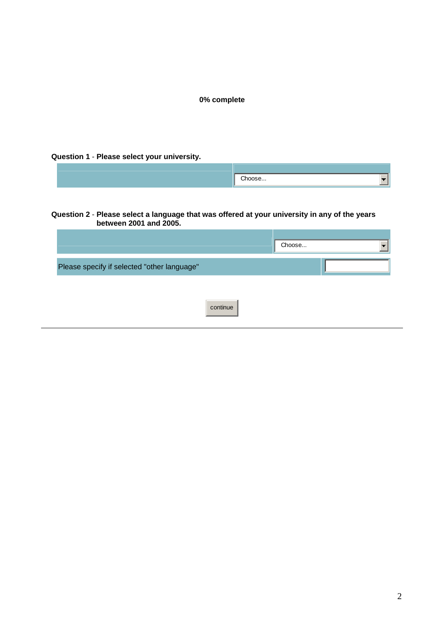# **Question 1** - **Please select your university.**

#### **Question 2** - **Please select a language that was offered at your university in any of the years between 2001 and 2005.**

|                                             | Choose |  |
|---------------------------------------------|--------|--|
| Please specify if selected "other language" |        |  |
|                                             |        |  |
| continue                                    |        |  |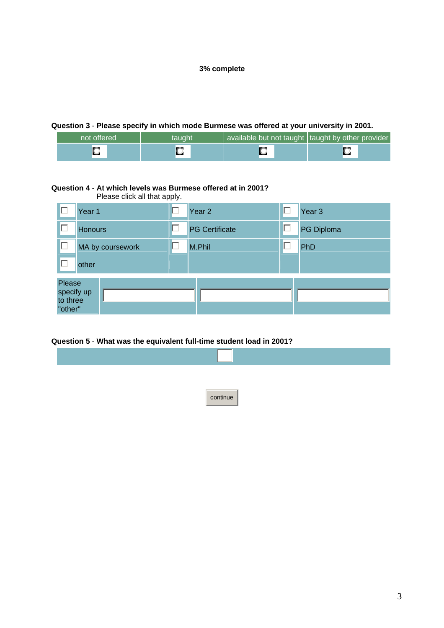## **Question 3** - **Please specify in which mode Burmese was offered at your university in 2001.**

| not offered<br>ltaught' |   | available but not taught taught by other provider |  |  |
|-------------------------|---|---------------------------------------------------|--|--|
|                         | r | ⊷                                                 |  |  |

## **Question 4** - **At which levels was Burmese offered at in 2001?**

Please click all that apply.

|                                             | Year 1           |  | Year <sub>2</sub>     | г | Year <sub>3</sub> |  |  |  |
|---------------------------------------------|------------------|--|-----------------------|---|-------------------|--|--|--|
| Г                                           | <b>Honours</b>   |  | <b>PG Certificate</b> | П | PG Diploma        |  |  |  |
| □                                           | MA by coursework |  | M.Phil                | Г | PhD               |  |  |  |
| г                                           | other            |  |                       |   |                   |  |  |  |
| Please<br>specify up<br>to three<br>"other" |                  |  |                       |   |                   |  |  |  |

## **Question 5** - **What was the equivalent full-time student load in 2001?**

| continue |  |
|----------|--|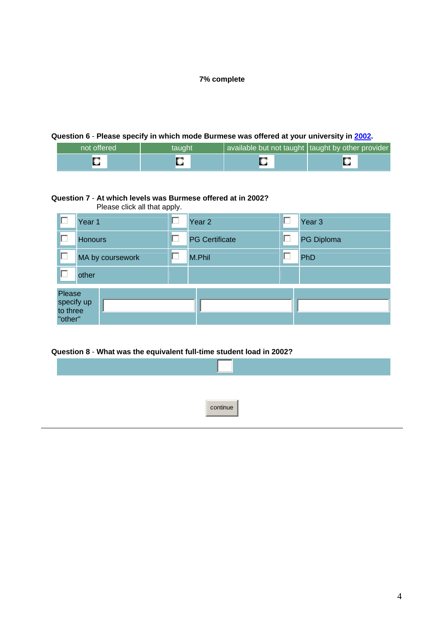# **Question 6** - **Please specify in which mode Burmese was offered at your university in 2002.**

| ⊧not offered \<br>taught |  | available but not taught   taught by other provider |  |  |
|--------------------------|--|-----------------------------------------------------|--|--|
|                          |  |                                                     |  |  |

### **Question 7** - **At which levels was Burmese offered at in 2002?**

|                                             | Please click all that apply. |   |                       |  |                   |  |  |
|---------------------------------------------|------------------------------|---|-----------------------|--|-------------------|--|--|
| г                                           | Year 1                       |   | Year <sub>2</sub>     |  | Year <sub>3</sub> |  |  |
| □                                           | <b>Honours</b>               | Г | <b>PG Certificate</b> |  | PG Diploma        |  |  |
| □                                           | MA by coursework             |   | M.Phil                |  | PhD               |  |  |
| D                                           | other                        |   |                       |  |                   |  |  |
| Please<br>specify up<br>to three<br>"other" |                              |   |                       |  |                   |  |  |

**Question 8** - **What was the equivalent full-time student load in 2002?**

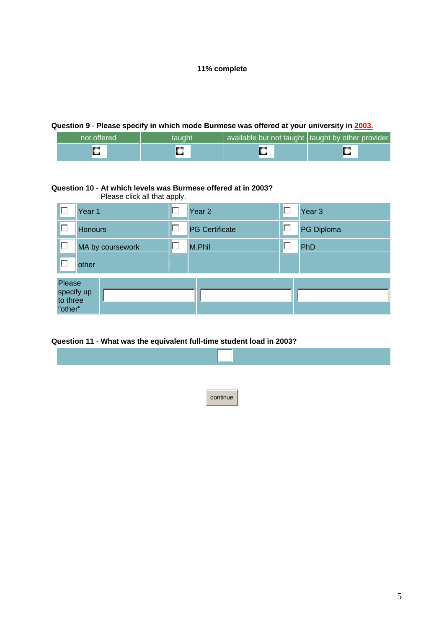## **Question 9** - **Please specify in which mode Burmese was offered at your university in 2003.**

| not offered | taught | available but not taught taught by other provider |   |
|-------------|--------|---------------------------------------------------|---|
|             |        |                                                   | r |

## **Question 10** - **At which levels was Burmese offered at in 2003?**

Please click all that apply.

|                                             | Year 1           |  | Year <sub>2</sub>     | г | Year <sub>3</sub> |  |  |  |
|---------------------------------------------|------------------|--|-----------------------|---|-------------------|--|--|--|
| П                                           | <b>Honours</b>   |  | <b>PG Certificate</b> | П | PG Diploma        |  |  |  |
| $\Box$                                      | MA by coursework |  | M.Phil                | Γ | PhD               |  |  |  |
| г                                           | other            |  |                       |   |                   |  |  |  |
| Please<br>specify up<br>to three<br>"other" |                  |  |                       |   |                   |  |  |  |

## **Question 11** - **What was the equivalent full-time student load in 2003?**

| continue |  |
|----------|--|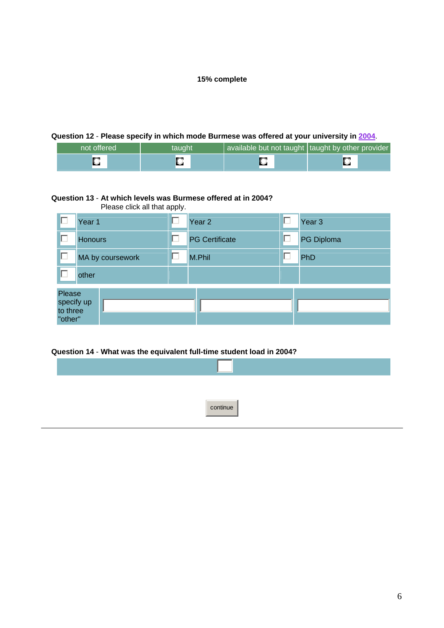# **Question 12** - **Please specify in which mode Burmese was offered at your university in 2004**.

| not offered | taught' | available but not taught   taught by other provider |  |
|-------------|---------|-----------------------------------------------------|--|
|             |         |                                                     |  |

### **Question 13** - **At which levels was Burmese offered at in 2004?**

Please click all that apply.

| г | Year 1                                      | L | Year <sub>2</sub>     | Г | Year <sub>3</sub> |
|---|---------------------------------------------|---|-----------------------|---|-------------------|
| □ | <b>Honours</b>                              | г | <b>PG Certificate</b> | П | PG Diploma        |
| г | MA by coursework                            |   | M.Phil                | Г | PhD               |
| г | other                                       |   |                       |   |                   |
|   | Please<br>specify up<br>to three<br>"other" |   |                       |   |                   |

**Question 14** - **What was the equivalent full-time student load in 2004?**

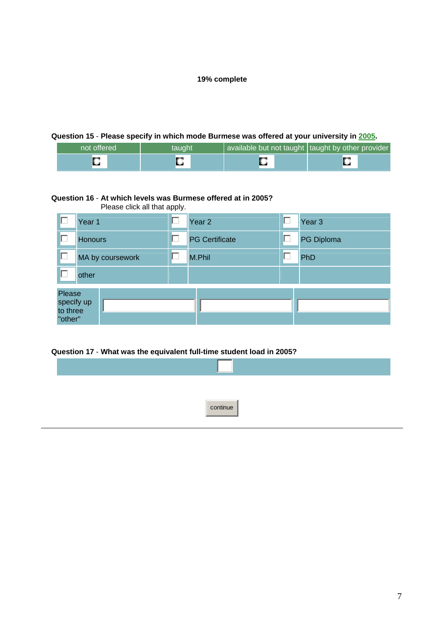# **Question 15** - **Please specify in which mode Burmese was offered at your university in 2005.**

| not offered | taught' | available but not taught   taught by other provider |  |
|-------------|---------|-----------------------------------------------------|--|
|             |         |                                                     |  |

#### **Question 16** - **At which levels was Burmese offered at in 2005?**

Please click all that apply.

| г  | Year 1                                      |  | Year <sub>2</sub>     | □ | Year <sub>3</sub> |
|----|---------------------------------------------|--|-----------------------|---|-------------------|
| г  | <b>Honours</b>                              |  | <b>PG Certificate</b> | П | PG Diploma        |
| □  | MA by coursework                            |  | M.Phil                | Г | PhD               |
| IП | other                                       |  |                       |   |                   |
|    | Please<br>specify up<br>to three<br>"other" |  |                       |   |                   |

**Question 17** - **What was the equivalent full-time student load in 2005?**

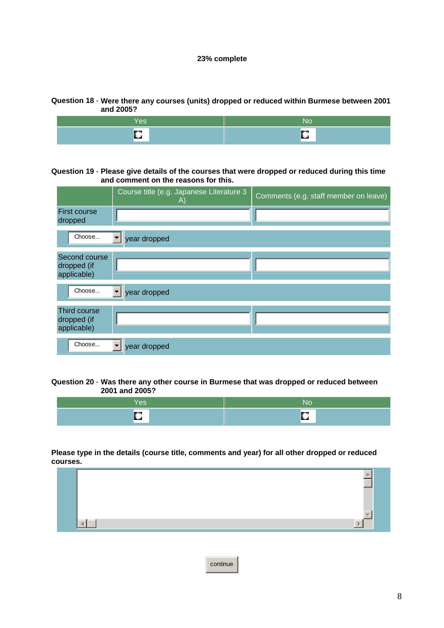## **Question 18** - **Were there any courses (units) dropped or reduced within Burmese between 2001 and 2005?**

| r es | NC      |
|------|---------|
| $-$  | __<br>- |

### **Question 19** - **Please give details of the courses that were dropped or reduced during this time and comment on the reasons for this.**

|                                             | Course title (e.g. Japanese Literature 3<br>A) | Comments (e.g. staff member on leave) |
|---------------------------------------------|------------------------------------------------|---------------------------------------|
| <b>First course</b><br>dropped              |                                                |                                       |
| Choose                                      | year dropped                                   |                                       |
| Second course<br>dropped (if<br>applicable) |                                                |                                       |
| Choose                                      | year dropped                                   |                                       |
| Third course<br>dropped (if<br>applicable)  |                                                |                                       |
| Choose                                      | year dropped                                   |                                       |

### **Question 20** - **Was there any other course in Burmese that was dropped or reduced between 2001 and 2005?**

| res      | No |
|----------|----|
| _<br>. . | ш  |

### **Please type in the details (course title, comments and year) for all other dropped or reduced courses.**



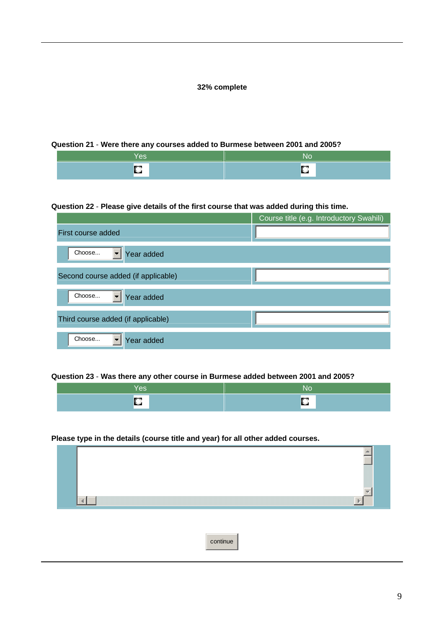### **Question 21** - **Were there any courses added to Burmese between 2001 and 2005?**

| <b>Yes</b> | NC |
|------------|----|
|            |    |

## **Question 22** - **Please give details of the first course that was added during this time.**

|                                     | Course title (e.g. Introductory Swahili) |
|-------------------------------------|------------------------------------------|
| First course added                  |                                          |
| Choose<br>Year added                |                                          |
| Second course added (if applicable) |                                          |
| Choose<br>Year added                |                                          |
| Third course added (if applicable)  |                                          |
| Choose<br>Year added                |                                          |

#### **Question 23** - **Was there any other course in Burmese added between 2001 and 2005?**

## **Please type in the details (course title and year) for all other added courses.**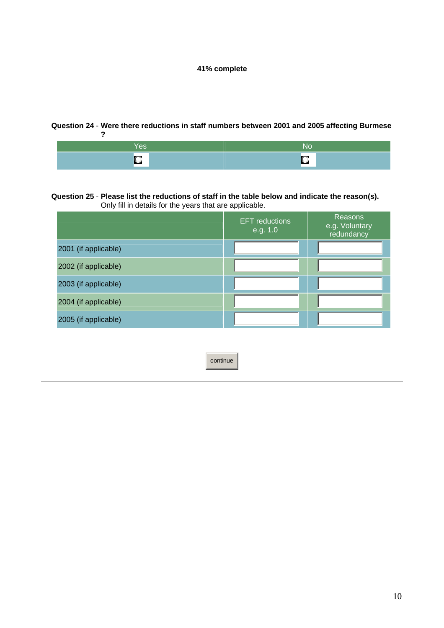#### **Question 24** - **Were there reductions in staff numbers between 2001 and 2005 affecting Burmese ?**



#### **Question 25** - **Please list the reductions of staff in the table below and indicate the reason(s).** Only fill in details for the years that are applicable.

|                      | <b>EFT</b> reductions<br>e.g. 1.0 | Reasons<br>e.g. Voluntary<br>redundancy |
|----------------------|-----------------------------------|-----------------------------------------|
| 2001 (if applicable) |                                   |                                         |
| 2002 (if applicable) |                                   |                                         |
| 2003 (if applicable) |                                   |                                         |
| 2004 (if applicable) |                                   |                                         |
| 2005 (if applicable) |                                   |                                         |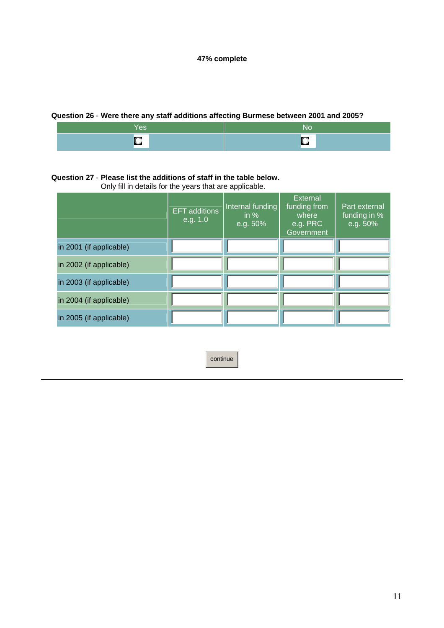# **Question 26** - **Were there any staff additions affecting Burmese between 2001 and 2005?**

| __<br>U. |  |
|----------|--|

## **Question 27** - **Please list the additions of staff in the table below.**

Only fill in details for the years that are applicable.

|                         | <b>EFT</b> additions<br>e.g. 1.0 | Internal funding<br>in $%$<br>e.g. 50% | External<br>funding from<br>where<br>e.g. PRC<br>Government | Part external<br>funding in %<br>e.g. 50% |
|-------------------------|----------------------------------|----------------------------------------|-------------------------------------------------------------|-------------------------------------------|
| in 2001 (if applicable) |                                  |                                        |                                                             |                                           |
| in 2002 (if applicable) |                                  |                                        |                                                             |                                           |
| in 2003 (if applicable) |                                  |                                        |                                                             |                                           |
| in 2004 (if applicable) |                                  |                                        |                                                             |                                           |
| in 2005 (if applicable) |                                  |                                        |                                                             |                                           |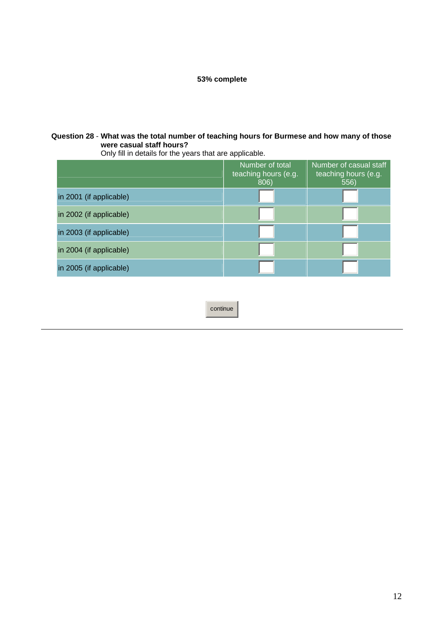# **Question 28** - **What was the total number of teaching hours for Burmese and how many of those were casual staff hours?**

Only fill in details for the years that are applicable.

|                         | Number of total<br>teaching hours (e.g.<br>806) | Number of casual staff<br>teaching hours (e.g.<br>556) |
|-------------------------|-------------------------------------------------|--------------------------------------------------------|
| in 2001 (if applicable) |                                                 |                                                        |
| in 2002 (if applicable) |                                                 |                                                        |
| in 2003 (if applicable) |                                                 |                                                        |
| in 2004 (if applicable) |                                                 |                                                        |
| in 2005 (if applicable) |                                                 |                                                        |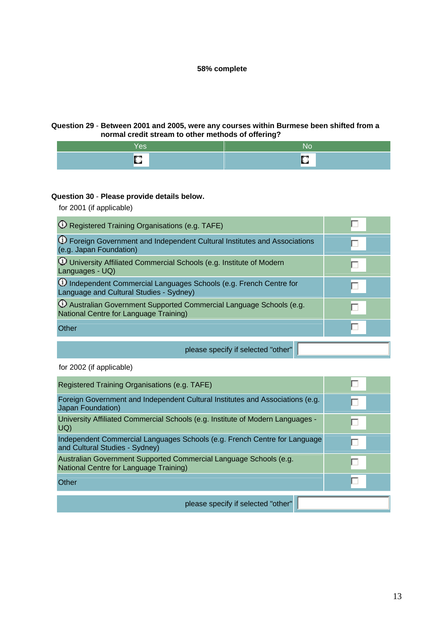## **Question 29** - **Between 2001 and 2005, were any courses within Burmese been shifted from a normal credit stream to other methods of offering?**

| Ш |  |
|---|--|

## **Question 30** - **Please provide details below.**

for 2001 (if applicable)

| <sup>1</sup> O Registered Training Organisations (e.g. TAFE)                                                               |  |
|----------------------------------------------------------------------------------------------------------------------------|--|
| 1 Foreign Government and Independent Cultural Institutes and Associations<br>(e.g. Japan Foundation)                       |  |
| <b>W</b> University Affiliated Commercial Schools (e.g. Institute of Modern<br>Languages - UQ)                             |  |
| 10 Independent Commercial Languages Schools (e.g. French Centre for<br>Language and Cultural Studies - Sydney)             |  |
| <sup>1</sup> O Australian Government Supported Commercial Language Schools (e.g.<br>National Centre for Language Training) |  |
| Other                                                                                                                      |  |
| please specify if selected "other"                                                                                         |  |

for 2002 (if applicable)

| Registered Training Organisations (e.g. TAFE)                                                               |  |
|-------------------------------------------------------------------------------------------------------------|--|
| Foreign Government and Independent Cultural Institutes and Associations (e.g.<br>Japan Foundation)          |  |
| University Affiliated Commercial Schools (e.g. Institute of Modern Languages -<br>UQ                        |  |
| Independent Commercial Languages Schools (e.g. French Centre for Language<br>and Cultural Studies - Sydney) |  |
| Australian Government Supported Commercial Language Schools (e.g.<br>National Centre for Language Training) |  |
| Other                                                                                                       |  |
| please specify if selected "other"                                                                          |  |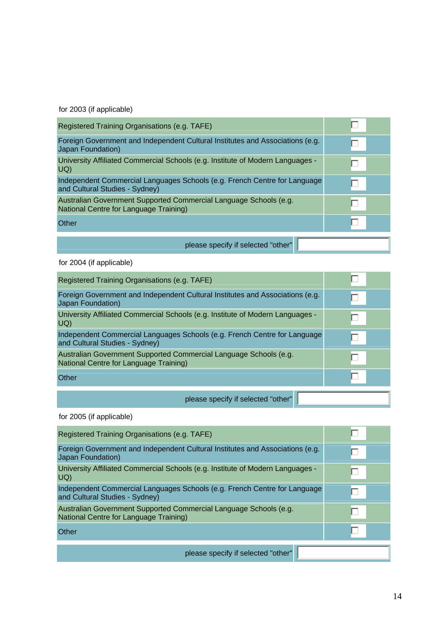for 2003 (if applicable)

| Registered Training Organisations (e.g. TAFE)                                                               |   |
|-------------------------------------------------------------------------------------------------------------|---|
| Foreign Government and Independent Cultural Institutes and Associations (e.g.<br>Japan Foundation)          | г |
| University Affiliated Commercial Schools (e.g. Institute of Modern Languages -<br>UQ                        |   |
| Independent Commercial Languages Schools (e.g. French Centre for Language<br>and Cultural Studies - Sydney) | г |
| Australian Government Supported Commercial Language Schools (e.g.<br>National Centre for Language Training) |   |
| Other                                                                                                       |   |
| please specify if selected "other"                                                                          |   |

for 2004 (if applicable)

| Registered Training Organisations (e.g. TAFE)                                                               |   |
|-------------------------------------------------------------------------------------------------------------|---|
| Foreign Government and Independent Cultural Institutes and Associations (e.g.<br>Japan Foundation)          | Г |
| University Affiliated Commercial Schools (e.g. Institute of Modern Languages -<br>UQ                        |   |
| Independent Commercial Languages Schools (e.g. French Centre for Language<br>and Cultural Studies - Sydney) | Г |
| Australian Government Supported Commercial Language Schools (e.g.<br>National Centre for Language Training) |   |
| Other                                                                                                       |   |
|                                                                                                             |   |

please specify if selected "other"

for 2005 (if applicable)

| Registered Training Organisations (e.g. TAFE)                                                               |  |
|-------------------------------------------------------------------------------------------------------------|--|
| Foreign Government and Independent Cultural Institutes and Associations (e.g.<br>Japan Foundation)          |  |
| University Affiliated Commercial Schools (e.g. Institute of Modern Languages -<br>UQ                        |  |
| Independent Commercial Languages Schools (e.g. French Centre for Language<br>and Cultural Studies - Sydney) |  |
| Australian Government Supported Commercial Language Schools (e.g.<br>National Centre for Language Training) |  |
| Other                                                                                                       |  |
| please specify if selected "other"                                                                          |  |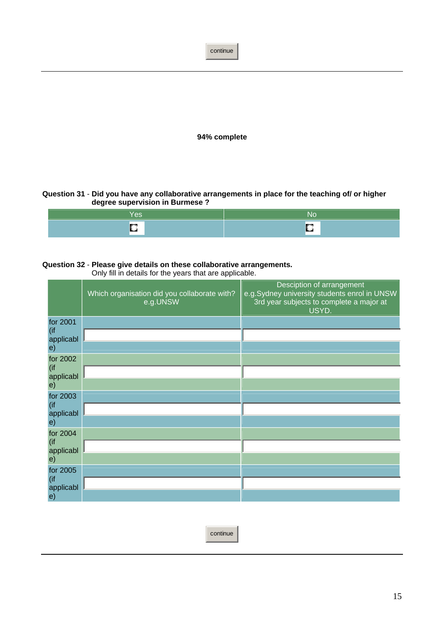continue **94% complete**

**Question 31** - **Did you have any collaborative arrangements in place for the teaching of/ or higher degree supervision in Burmese ?**

| wa |
|----|
|    |

# **Question 32** - **Please give details on these collaborative arrangements.**

Only fill in details for the years that are applicable.

|                         | Which organisation did you collaborate with?<br>e.g.UNSW | Desciption of arrangement<br>e.g.Sydney university students enrol in UNSW<br>3rd year subjects to complete a major at<br>USYD. |
|-------------------------|----------------------------------------------------------|--------------------------------------------------------------------------------------------------------------------------------|
| for 2001<br>(if         |                                                          |                                                                                                                                |
| applicabl<br>$\epsilon$ |                                                          |                                                                                                                                |
| for 2002<br>(if         |                                                          |                                                                                                                                |
| applicabl               |                                                          |                                                                                                                                |
| e)<br>for 2003          |                                                          |                                                                                                                                |
| (if<br>applicabl        |                                                          |                                                                                                                                |
| $\epsilon$              |                                                          |                                                                                                                                |
| for 2004<br>(if         |                                                          |                                                                                                                                |
| applicabl<br>$\epsilon$ |                                                          |                                                                                                                                |
| for 2005                |                                                          |                                                                                                                                |
| (if<br>applicabl        |                                                          |                                                                                                                                |
| $\epsilon$              |                                                          |                                                                                                                                |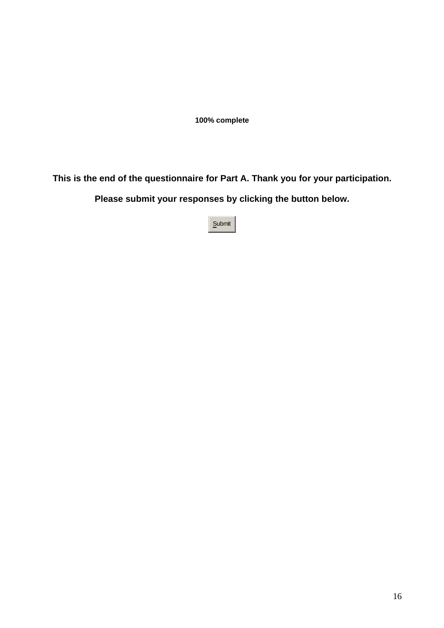**This is the end of the questionnaire for Part A. Thank you for your participation.** 

**Please submit your responses by clicking the button below.**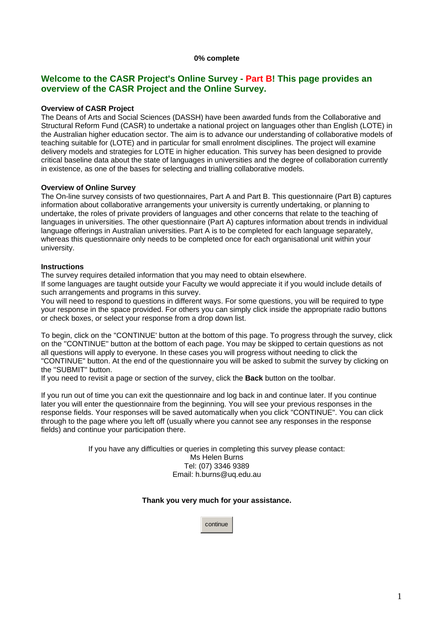## **Welcome to the CASR Project's Online Survey - Part B! This page provides an overview of the CASR Project and the Online Survey.**

## **Overview of CASR Project**

The Deans of Arts and Social Sciences (DASSH) have been awarded funds from the Collaborative and Structural Reform Fund (CASR) to undertake a national project on languages other than English (LOTE) in the Australian higher education sector. The aim is to advance our understanding of collaborative models of teaching suitable for (LOTE) and in particular for small enrolment disciplines. The project will examine delivery models and strategies for LOTE in higher education. This survey has been designed to provide critical baseline data about the state of languages in universities and the degree of collaboration currently in existence, as one of the bases for selecting and trialling collaborative models.

#### **Overview of Online Survey**

The On-line survey consists of two questionnaires, Part A and Part B. This questionnaire (Part B) captures information about collaborative arrangements your university is currently undertaking, or planning to undertake, the roles of private providers of languages and other concerns that relate to the teaching of languages in universities. The other questionnaire (Part A) captures information about trends in individual language offerings in Australian universities. Part A is to be completed for each language separately, whereas this questionnaire only needs to be completed once for each organisational unit within your university.

#### **Instructions**

The survey requires detailed information that you may need to obtain elsewhere.

If some languages are taught outside your Faculty we would appreciate it if you would include details of such arrangements and programs in this survey.

You will need to respond to questions in different ways. For some questions, you will be required to type your response in the space provided. For others you can simply click inside the appropriate radio buttons or check boxes, or select your response from a drop down list.

To begin, click on the ''CONTINUE' button at the bottom of this page. To progress through the survey, click on the ''CONTINUE'' button at the bottom of each page. You may be skipped to certain questions as not all questions will apply to everyone. In these cases you will progress without needing to click the "CONTINUE" button. At the end of the questionnaire you will be asked to submit the survey by clicking on the ''SUBMIT'' button.

If you need to revisit a page or section of the survey, click the **Back** button on the toolbar.

If you run out of time you can exit the questionnaire and log back in and continue later. If you continue later you will enter the questionnaire from the beginning. You will see your previous responses in the response fields. Your responses will be saved automatically when you click "CONTINUE". You can click through to the page where you left off (usually where you cannot see any responses in the response fields) and continue your participation there.

> If you have any difficulties or queries in completing this survey please contact: Ms Helen Burns Tel: (07) 3346 9389 Email: h.burns@uq.edu.au

## **Thank you very much for your assistance.**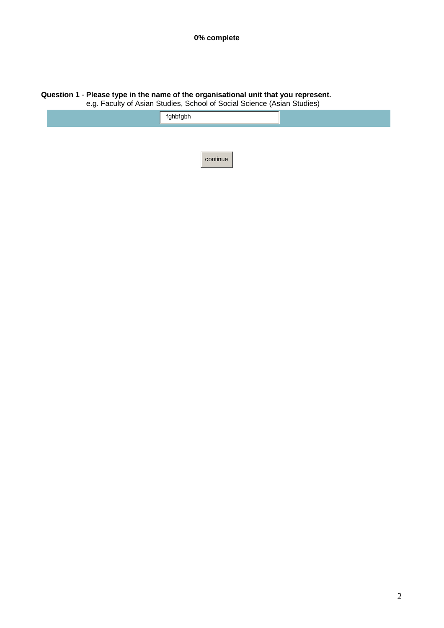#### **Question 1** - **Please type in the name of the organisational unit that you represent.**

e.g. Faculty of Asian Studies, School of Social Science (Asian Studies)

| fghbfgbh |
|----------|
|          |
| continue |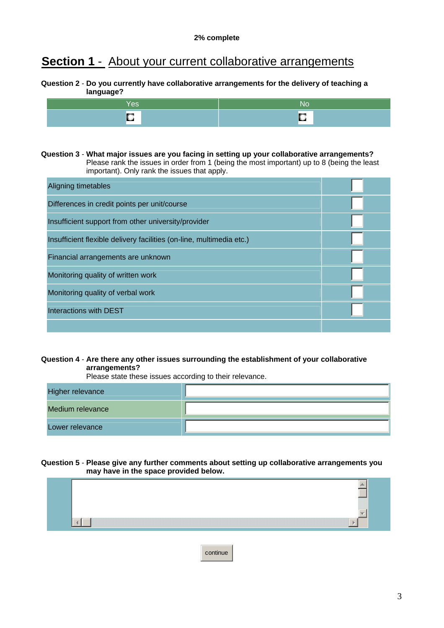# **Section 1** - About your current collaborative arrangements

## **Question 2** - **Do you currently have collaborative arrangements for the delivery of teaching a language?**

| w<br>ч. |
|---------|

**Question 3** - **What major issues are you facing in setting up your collaborative arrangements?** Please rank the issues in order from 1 (being the most important) up to 8 (being the least important). Only rank the issues that apply.

| Aligning timetables                                                  |  |
|----------------------------------------------------------------------|--|
| Differences in credit points per unit/course                         |  |
| Insufficient support from other university/provider                  |  |
| Insufficient flexible delivery facilities (on-line, multimedia etc.) |  |
| Financial arrangements are unknown                                   |  |
| Monitoring quality of written work                                   |  |
| Monitoring quality of verbal work                                    |  |
| Interactions with DEST                                               |  |
|                                                                      |  |

## **Question 4** - **Are there any other issues surrounding the establishment of your collaborative arrangements?**

Please state these issues according to their relevance.

| Higher relevance |  |
|------------------|--|
| Medium relevance |  |
| Lower relevance  |  |

#### **Question 5** - **Please give any further comments about setting up collaborative arrangements you may have in the space provided below.**

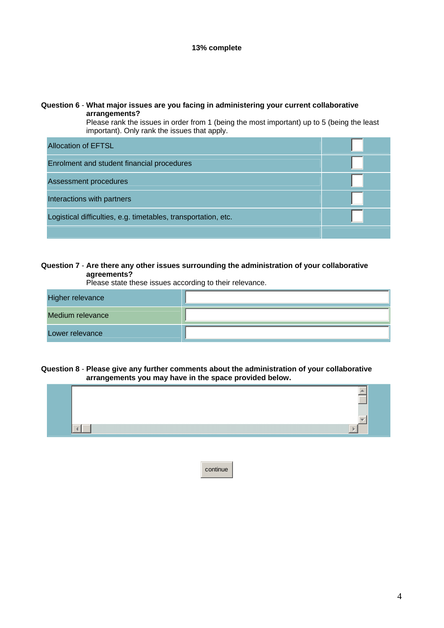### **Question 6** - **What major issues are you facing in administering your current collaborative arrangements?**

Please rank the issues in order from 1 (being the most important) up to 5 (being the least important). Only rank the issues that apply.

| <b>Allocation of EFTSL</b>                                     |  |
|----------------------------------------------------------------|--|
| Enrolment and student financial procedures                     |  |
| Assessment procedures                                          |  |
| Interactions with partners                                     |  |
| Logistical difficulties, e.g. timetables, transportation, etc. |  |
|                                                                |  |

## **Question 7** - **Are there any other issues surrounding the administration of your collaborative agreements?**

Please state these issues according to their relevance.

| Higher relevance |  |
|------------------|--|
| Medium relevance |  |
| Lower relevance  |  |

#### **Question 8** - **Please give any further comments about the administration of your collaborative arrangements you may have in the space provided below.**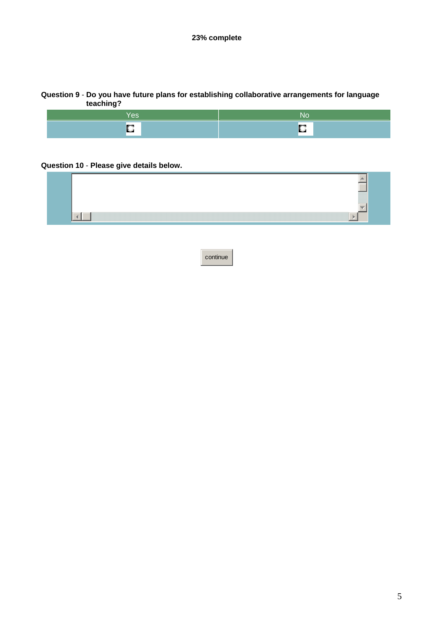# **Question 9** - **Do you have future plans for establishing collaborative arrangements for language teaching?**



## **Question 10** - **Please give details below.**

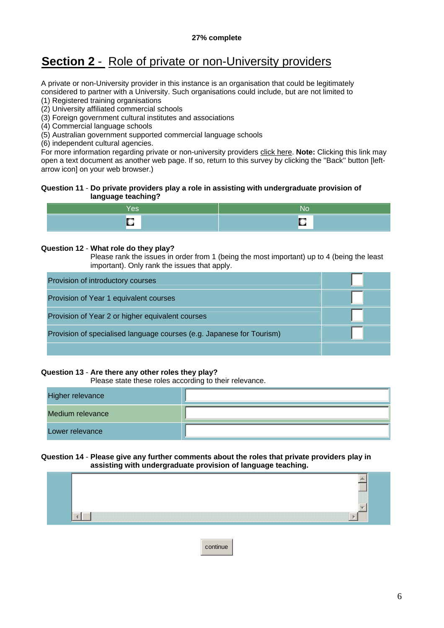# **Section 2** - Role of private or non-University providers

A private or non-University provider in this instance is an organisation that could be legitimately considered to partner with a University. Such organisations could include, but are not limited to

(1) Registered training organisations

(2) University affiliated commercial schools

- (3) Foreign government cultural institutes and associations
- (4) Commercial language schools

(5) Australian government supported commercial language schools

(6) independent cultural agencies.

For more information regarding private or non-university providers [click here](http://152.98.216.11/smweb/projects/19/privateproviders.doc). **Note:** Clicking this link may open a text document as another web page. If so, return to this survey by clicking the ''Back'' button [leftarrow icon] on your web browser.)

## **Question 11** - **Do private providers play a role in assisting with undergraduate provision of language teaching?**

| es / | 'NO |
|------|-----|
|      |     |

## **Question 12** - **What role do they play?**

Please rank the issues in order from 1 (being the most important) up to 4 (being the least important). Only rank the issues that apply.

| Provision of introductory courses                                     |  |
|-----------------------------------------------------------------------|--|
| Provision of Year 1 equivalent courses                                |  |
| Provision of Year 2 or higher equivalent courses                      |  |
| Provision of specialised language courses (e.g. Japanese for Tourism) |  |
|                                                                       |  |

## **Question 13** - **Are there any other roles they play?**

Please state these roles according to their relevance.

| Higher relevance |  |
|------------------|--|
| Medium relevance |  |
| Lower relevance  |  |

#### **Question 14** - **Please give any further comments about the roles that private providers play in assisting with undergraduate provision of language teaching.**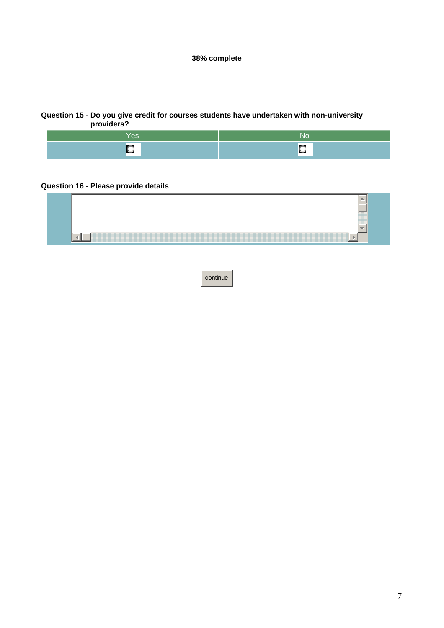#### **Question 15** - **Do you give credit for courses students have undertaken with non-university providers?**

| $\overline{\phantom{a}}$ | 'NC |
|--------------------------|-----|
|                          |     |
| <b>Service</b>           |     |

## **Question 16** - **Please provide details**

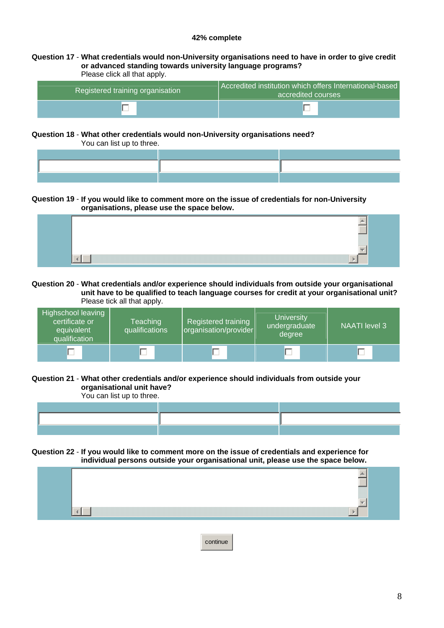#### **Question 17** - **What credentials would non-University organisations need to have in order to give credit or advanced standing towards university language programs?** Please click all that apply.

| Registered training organisation | Accredited institution which offers International-based<br>accredited courses |
|----------------------------------|-------------------------------------------------------------------------------|
|                                  |                                                                               |

## **Question 18** - **What other credentials would non-University organisations need?**

You can list up to three.

## **Question 19** - **If you would like to comment more on the issue of credentials for non-University organisations, please use the space below.**

#### **Question 20** - **What credentials and/or experience should individuals from outside your organisational unit have to be qualified to teach language courses for credit at your organisational unit?** Please tick all that apply.

| Highschool leaving<br>certificate or<br>equivalent<br>qualification | Teaching<br>qualifications | Registered training<br>organisation/provider | <b>University</b><br>undergraduate<br>degree | <b>NAATI</b> level 3 |
|---------------------------------------------------------------------|----------------------------|----------------------------------------------|----------------------------------------------|----------------------|
|                                                                     |                            |                                              |                                              |                      |

## **Question 21** - **What other credentials and/or experience should individuals from outside your organisational unit have?**

You can list up to three.

## **Question 22** - **If you would like to comment more on the issue of credentials and experience for individual persons outside your organisational unit, please use the space below.**

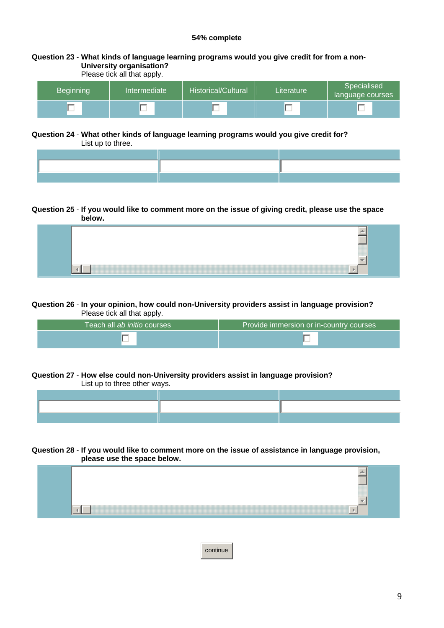#### **Question 23** - **What kinds of language learning programs would you give credit for from a non-University organisation?** Please tick all that apply

| <b>Beginning</b> | Intermediate | <b>Historical/Cultural</b> | Literature | Specialised<br>language courses |
|------------------|--------------|----------------------------|------------|---------------------------------|
|                  |              |                            |            |                                 |

# **Question 24** - **What other kinds of language learning programs would you give credit for?**

List up to three.

## **Question 25** - **If you would like to comment more on the issue of giving credit, please use the space below.**

## **Question 26** - **In your opinion, how could non-University providers assist in language provision?** Please tick all that apply.

| Teach all ab initio courses | Provide immersion or in-country courses |
|-----------------------------|-----------------------------------------|
|                             |                                         |

#### **Question 27** - **How else could non-University providers assist in language provision?** List up to three other ways.

#### **Question 28** - **If you would like to comment more on the issue of assistance in language provision, please use the space below.**

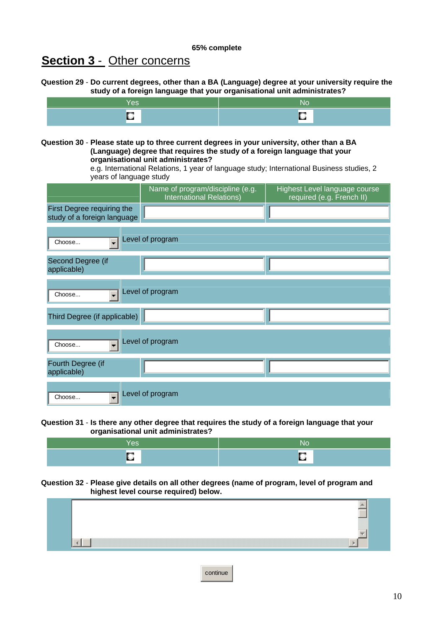# **Section 3** - Other concerns

**Question 29** - **Do current degrees, other than a BA (Language) degree at your university require the study of a foreign language that your organisational unit administrates?**

| . | w.       |
|---|----------|
|   | . .<br>ш |

**Question 30** - **Please state up to three current degrees in your university, other than a BA (Language) degree that requires the study of a foreign language that your organisational unit administrates?** 

> e.g. International Relations, 1 year of language study; International Business studies, 2 years of language study

|                                                           | Name of program/discipline (e.g.<br>International Relations) | Highest Level language course<br>required (e.g. French II) |
|-----------------------------------------------------------|--------------------------------------------------------------|------------------------------------------------------------|
| First Degree requiring the<br>study of a foreign language |                                                              |                                                            |
| $\overline{\phantom{0}}$<br>Choose                        | Level of program                                             |                                                            |
| Second Degree (if<br>applicable)                          |                                                              |                                                            |
| $\blacksquare$<br>Choose                                  | Level of program                                             |                                                            |
| Third Degree (if applicable)                              |                                                              |                                                            |
| $\overline{\phantom{0}}$<br>Choose                        | Level of program                                             |                                                            |
| Fourth Degree (if<br>applicable)                          |                                                              |                                                            |
| Choose<br>$\overline{\phantom{a}}$                        | Level of program                                             |                                                            |

**Question 31** - **Is there any other degree that requires the study of a foreign language that your organisational unit administrates?**

| ш |  |
|---|--|

#### **Question 32** - **Please give details on all other degrees (name of program, level of program and highest level course required) below.**

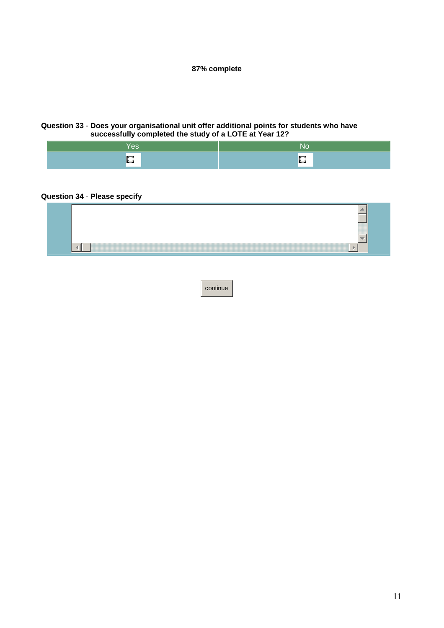## **Question 33** - **Does your organisational unit offer additional points for students who have successfully completed the study of a LOTE at Year 12?**

| $-$ |
|-----|

## **Question 34** - **Please specify**

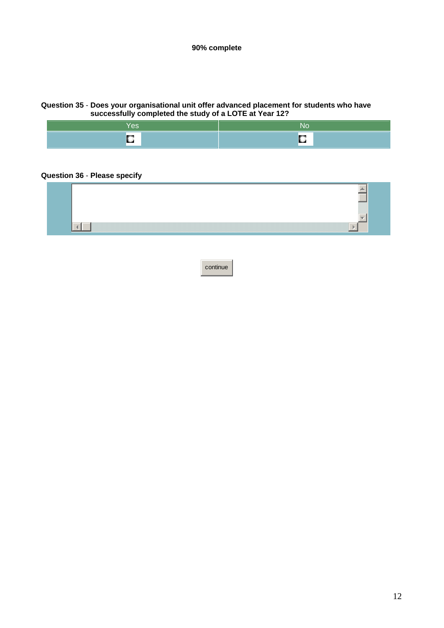## **Question 35** - **Does your organisational unit offer advanced placement for students who have successfully completed the study of a LOTE at Year 12?**



## **Question 36** - **Please specify**